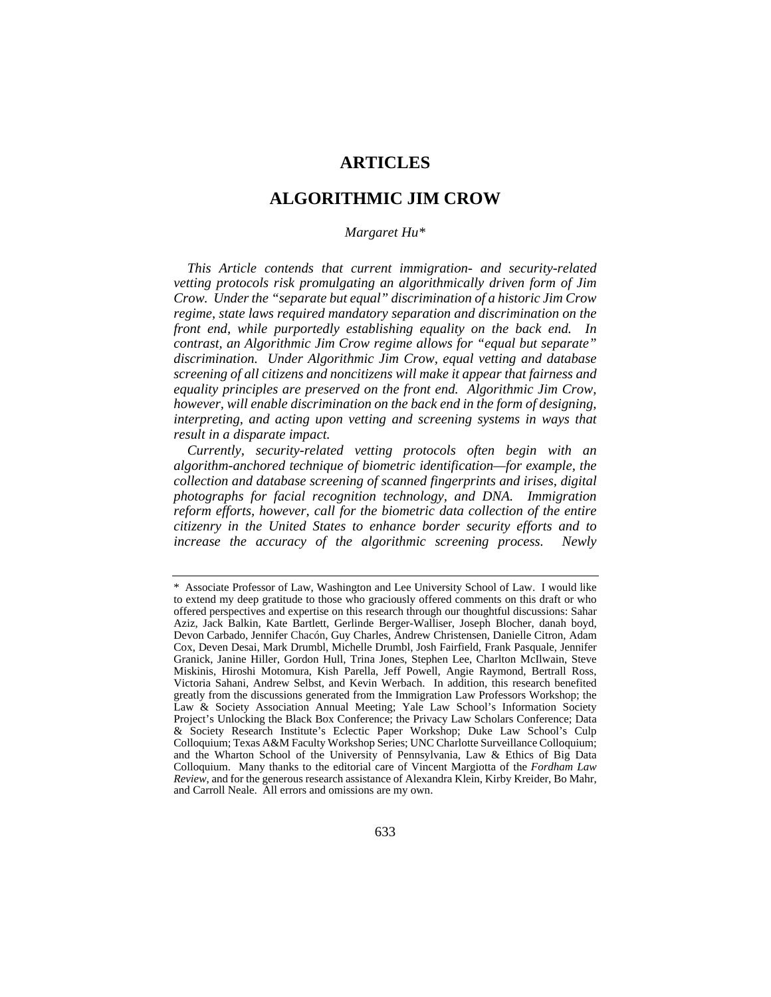# **ARTICLES**

# **ALGORITHMIC JIM CROW**

#### *Margaret Hu\**

*This Article contends that current immigration- and security-related vetting protocols risk promulgating an algorithmically driven form of Jim Crow. Under the "separate but equal" discrimination of a historic Jim Crow regime, state laws required mandatory separation and discrimination on the front end, while purportedly establishing equality on the back end. In contrast, an Algorithmic Jim Crow regime allows for "equal but separate" discrimination. Under Algorithmic Jim Crow, equal vetting and database screening of all citizens and noncitizens will make it appear that fairness and equality principles are preserved on the front end. Algorithmic Jim Crow, however, will enable discrimination on the back end in the form of designing, interpreting, and acting upon vetting and screening systems in ways that result in a disparate impact.*

*Currently, security-related vetting protocols often begin with an algorithm-anchored technique of biometric identification—for example, the collection and database screening of scanned fingerprints and irises, digital photographs for facial recognition technology, and DNA. Immigration reform efforts, however, call for the biometric data collection of the entire citizenry in the United States to enhance border security efforts and to increase the accuracy of the algorithmic screening process. Newly* 

<sup>\*</sup> Associate Professor of Law, Washington and Lee University School of Law. I would like to extend my deep gratitude to those who graciously offered comments on this draft or who offered perspectives and expertise on this research through our thoughtful discussions: Sahar Aziz, Jack Balkin, Kate Bartlett, Gerlinde Berger-Walliser, Joseph Blocher, danah boyd, Devon Carbado, Jennifer Chacón, Guy Charles, Andrew Christensen, Danielle Citron, Adam Cox, Deven Desai, Mark Drumbl, Michelle Drumbl, Josh Fairfield, Frank Pasquale, Jennifer Granick, Janine Hiller, Gordon Hull, Trina Jones, Stephen Lee, Charlton McIlwain, Steve Miskinis, Hiroshi Motomura, Kish Parella, Jeff Powell, Angie Raymond, Bertrall Ross, Victoria Sahani, Andrew Selbst, and Kevin Werbach. In addition, this research benefited greatly from the discussions generated from the Immigration Law Professors Workshop; the Law & Society Association Annual Meeting; Yale Law School's Information Society Project's Unlocking the Black Box Conference; the Privacy Law Scholars Conference; Data & Society Research Institute's Eclectic Paper Workshop; Duke Law School's Culp Colloquium; Texas A&M Faculty Workshop Series; UNC Charlotte Surveillance Colloquium; and the Wharton School of the University of Pennsylvania, Law & Ethics of Big Data Colloquium. Many thanks to the editorial care of Vincent Margiotta of the *Fordham Law Review*, and for the generous research assistance of Alexandra Klein, Kirby Kreider, Bo Mahr, and Carroll Neale. All errors and omissions are my own.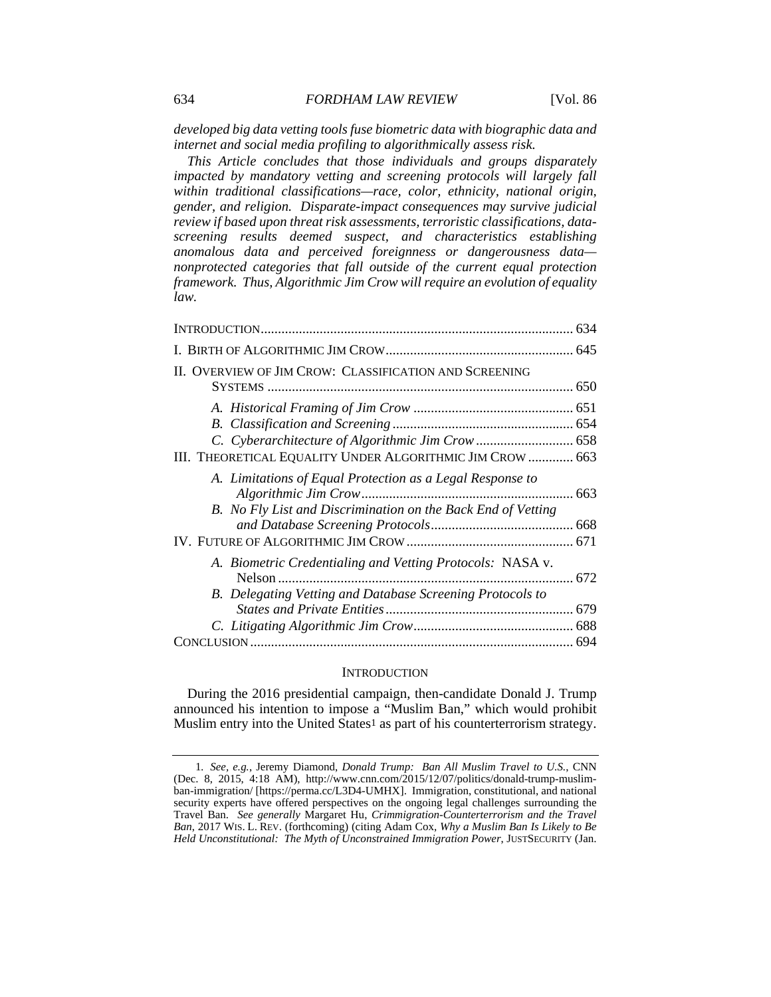*developed big data vetting tools fuse biometric data with biographic data and internet and social media profiling to algorithmically assess risk.*

*This Article concludes that those individuals and groups disparately impacted by mandatory vetting and screening protocols will largely fall within traditional classifications—race, color, ethnicity, national origin, gender, and religion. Disparate-impact consequences may survive judicial review if based upon threat risk assessments, terroristic classifications, datascreening results deemed suspect, and characteristics establishing anomalous data and perceived foreignness or dangerousness data nonprotected categories that fall outside of the current equal protection framework. Thus, Algorithmic Jim Crow will require an evolution of equality law.* 

| II. OVERVIEW OF JIM CROW: CLASSIFICATION AND SCREENING                                                                    |  |
|---------------------------------------------------------------------------------------------------------------------------|--|
| III. THEORETICAL EQUALITY UNDER ALGORITHMIC JIM CROW  663                                                                 |  |
| A. Limitations of Equal Protection as a Legal Response to<br>B. No Fly List and Discrimination on the Back End of Vetting |  |
| A. Biometric Credentialing and Vetting Protocols: NASA v.<br>B. Delegating Vetting and Database Screening Protocols to    |  |
|                                                                                                                           |  |
|                                                                                                                           |  |

#### **INTRODUCTION**

During the 2016 presidential campaign, then-candidate Donald J. Trump announced his intention to impose a "Muslim Ban," which would prohibit Muslim entry into the United States<sup>1</sup> as part of his counterterrorism strategy.

<sup>1</sup>*. See, e.g.*, Jeremy Diamond, *Donald Trump: Ban All Muslim Travel to U.S.*, CNN (Dec. 8, 2015, 4:18 AM), http://www.cnn.com/2015/12/07/politics/donald-trump-muslimban-immigration/ [https://perma.cc/L3D4-UMHX]. Immigration, constitutional, and national security experts have offered perspectives on the ongoing legal challenges surrounding the Travel Ban. *See generally* Margaret Hu, *Crimmigration-Counterterrorism and the Travel Ban*, 2017 WIS. L. REV. (forthcoming) (citing Adam Cox, *Why a Muslim Ban Is Likely to Be Held Unconstitutional: The Myth of Unconstrained Immigration Power*, JUSTSECURITY (Jan.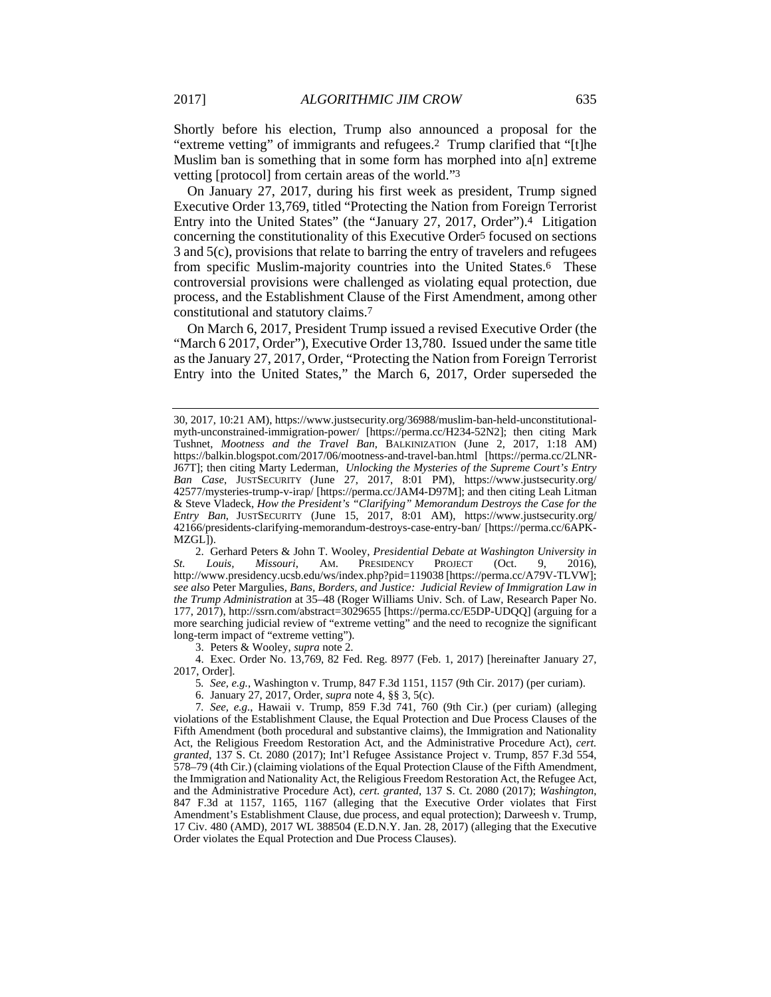Shortly before his election, Trump also announced a proposal for the "extreme vetting" of immigrants and refugees.2 Trump clarified that "[t]he Muslim ban is something that in some form has morphed into a[n] extreme vetting [protocol] from certain areas of the world."3

On January 27, 2017, during his first week as president, Trump signed Executive Order 13,769, titled "Protecting the Nation from Foreign Terrorist Entry into the United States" (the "January 27, 2017, Order").4 Litigation concerning the constitutionality of this Executive Order5 focused on sections 3 and 5(c), provisions that relate to barring the entry of travelers and refugees from specific Muslim-majority countries into the United States.6 These controversial provisions were challenged as violating equal protection, due process, and the Establishment Clause of the First Amendment, among other constitutional and statutory claims.7

On March 6, 2017, President Trump issued a revised Executive Order (the "March 6 2017, Order"), Executive Order 13,780. Issued under the same title as the January 27, 2017, Order, "Protecting the Nation from Foreign Terrorist Entry into the United States," the March 6, 2017, Order superseded the

 2. Gerhard Peters & John T. Wooley, *Presidential Debate at Washington University in St. Louis, Missouri*, AM. PRESIDENCY PROJECT (Oct. 9, 2016), http://www.presidency.ucsb.edu/ws/index.php?pid=119038 [https://perma.cc/A79V-TLVW]; *see also* Peter Margulies, *Bans, Borders, and Justice: Judicial Review of Immigration Law in the Trump Administration* at 35–48 (Roger Williams Univ. Sch. of Law, Research Paper No. 177, 2017), http://ssrn.com/abstract=3029655 [https://perma.cc/E5DP-UDQQ] (arguing for a more searching judicial review of "extreme vetting" and the need to recognize the significant long-term impact of "extreme vetting").

3. Peters & Wooley, *supra* note 2.

 4. Exec. Order No. 13,769, 82 Fed. Reg. 8977 (Feb. 1, 2017) [hereinafter January 27, 2017, Order].

5*. See, e.g.*, Washington v. Trump, 847 F.3d 1151, 1157 (9th Cir. 2017) (per curiam).

6. January 27, 2017, Order, *supra* note 4, §§ 3, 5(c).

7*. See, e.g.*, Hawaii v. Trump, 859 F.3d 741, 760 (9th Cir.) (per curiam) (alleging violations of the Establishment Clause, the Equal Protection and Due Process Clauses of the Fifth Amendment (both procedural and substantive claims), the Immigration and Nationality Act, the Religious Freedom Restoration Act, and the Administrative Procedure Act), *cert. granted*, 137 S. Ct. 2080 (2017); Int'l Refugee Assistance Project v. Trump, 857 F.3d 554, 578–79 (4th Cir.) (claiming violations of the Equal Protection Clause of the Fifth Amendment, the Immigration and Nationality Act, the Religious Freedom Restoration Act, the Refugee Act, and the Administrative Procedure Act), *cert. granted*, 137 S. Ct. 2080 (2017); *Washington*, 847 F.3d at 1157, 1165, 1167 (alleging that the Executive Order violates that First Amendment's Establishment Clause, due process, and equal protection); Darweesh v. Trump, 17 Civ. 480 (AMD), 2017 WL 388504 (E.D.N.Y. Jan. 28, 2017) (alleging that the Executive Order violates the Equal Protection and Due Process Clauses).

<sup>30, 2017, 10:21</sup> AM), https://www.justsecurity.org/36988/muslim-ban-held-unconstitutionalmyth-unconstrained-immigration-power/ [https://perma.cc/H234-52N2]; then citing Mark Tushnet, *Mootness and the Travel Ban*, BALKINIZATION (June 2, 2017, 1:18 AM) https://balkin.blogspot.com/2017/06/mootness-and-travel-ban.html [https://perma.cc/2LNR-J67T]; then citing Marty Lederman, *Unlocking the Mysteries of the Supreme Court's Entry Ban Case*, JUSTSECURITY (June 27, 2017, 8:01 PM), https://www.justsecurity.org/ 42577/mysteries-trump-v-irap/ [https://perma.cc/JAM4-D97M]; and then citing Leah Litman & Steve Vladeck, *How the President's "Clarifying" Memorandum Destroys the Case for the Entry Ban*, JUSTSECURITY (June 15, 2017, 8:01 AM), https://www.justsecurity.org/ 42166/presidents-clarifying-memorandum-destroys-case-entry-ban/ [https://perma.cc/6APK-MZGL]).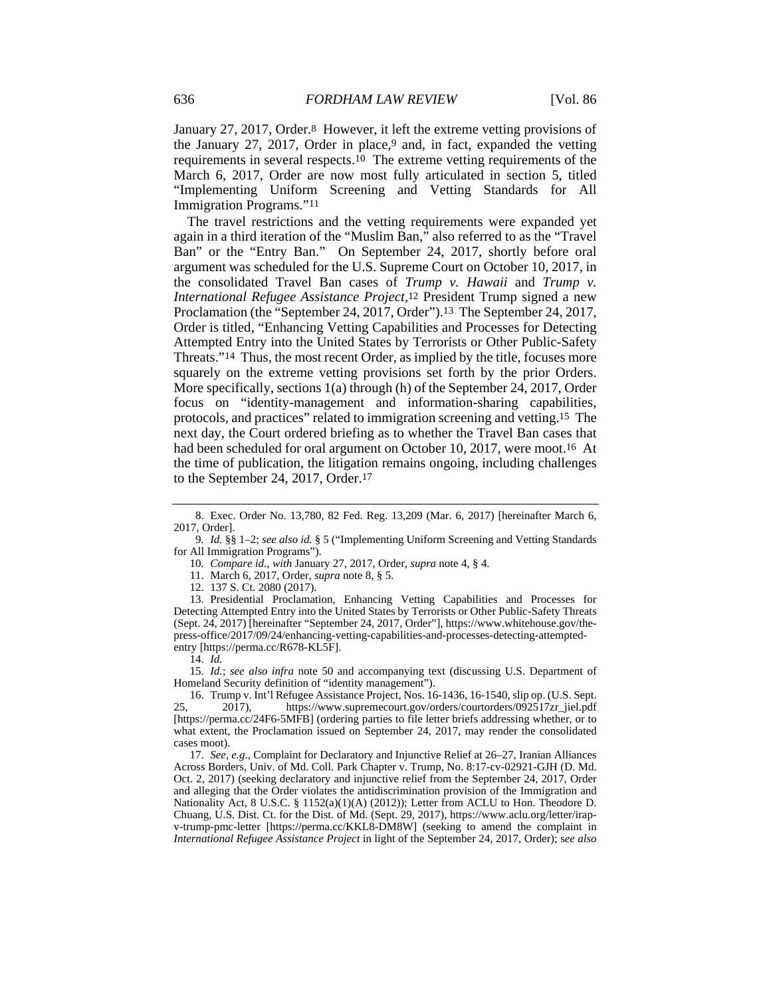January 27, 2017, Order.8 However, it left the extreme vetting provisions of the January 27, 2017, Order in place,<sup>9</sup> and, in fact, expanded the vetting requirements in several respects.10 The extreme vetting requirements of the March 6, 2017, Order are now most fully articulated in section 5, titled "Implementing Uniform Screening and Vetting Standards for All Immigration Programs."11

The travel restrictions and the vetting requirements were expanded yet again in a third iteration of the "Muslim Ban," also referred to as the "Travel Ban" or the "Entry Ban." On September 24, 2017, shortly before oral argument was scheduled for the U.S. Supreme Court on October 10, 2017, in the consolidated Travel Ban cases of *Trump v. Hawaii* and *Trump v. International Refugee Assistance Project*,12 President Trump signed a new Proclamation (the "September 24, 2017, Order").13 The September 24, 2017, Order is titled, "Enhancing Vetting Capabilities and Processes for Detecting Attempted Entry into the United States by Terrorists or Other Public-Safety Threats."14 Thus, the most recent Order, as implied by the title, focuses more squarely on the extreme vetting provisions set forth by the prior Orders. More specifically, sections 1(a) through (h) of the September 24, 2017, Order focus on "identity-management and information-sharing capabilities, protocols, and practices" related to immigration screening and vetting.15 The next day, the Court ordered briefing as to whether the Travel Ban cases that had been scheduled for oral argument on October 10, 2017, were moot.<sup>16</sup> At the time of publication, the litigation remains ongoing, including challenges to the September 24, 2017, Order.17

12. 137 S. Ct. 2080 (2017).

 13. Presidential Proclamation, Enhancing Vetting Capabilities and Processes for Detecting Attempted Entry into the United States by Terrorists or Other Public-Safety Threats (Sept. 24, 2017) [hereinafter "September 24, 2017, Order"], https://www.whitehouse.gov/thepress-office/2017/09/24/enhancing-vetting-capabilities-and-processes-detecting-attemptedentry [https://perma.cc/R678-KL5F].

14. *Id.*

 15. *Id.*; *see also infra* note 50 and accompanying text (discussing U.S. Department of Homeland Security definition of "identity management").

 16. Trump v. Int'l Refugee Assistance Project, Nos. 16-1436, 16-1540, slip op. (U.S. Sept. 25, 2017), https://www.supremecourt.gov/orders/courtorders/092517zr\_jiel.pdf [https://perma.cc/24F6-5MFB] (ordering parties to file letter briefs addressing whether, or to what extent, the Proclamation issued on September 24, 2017, may render the consolidated cases moot).

 17. *See, e.g.*, Complaint for Declaratory and Injunctive Relief at 26–27, Iranian Alliances Across Borders, Univ. of Md. Coll. Park Chapter v. Trump, No. 8:17-cv-02921-GJH (D. Md. Oct. 2, 2017) (seeking declaratory and injunctive relief from the September 24, 2017, Order and alleging that the Order violates the antidiscrimination provision of the Immigration and Nationality Act, 8 U.S.C. § 1152(a)(1)(A) (2012)); Letter from ACLU to Hon. Theodore D. Chuang, U.S. Dist. Ct. for the Dist. of Md. (Sept. 29, 2017), https://www.aclu.org/letter/irapv-trump-pmc-letter [https://perma.cc/KKL8-DM8W] (seeking to amend the complaint in *International Refugee Assistance Project* in light of the September 24, 2017, Order); s*ee also* 

 <sup>8.</sup> Exec. Order No. 13,780, 82 Fed. Reg. 13,209 (Mar. 6, 2017) [hereinafter March 6, 2017, Order].

<sup>9</sup>*. Id.* §§ 1–2; *see also id.* § 5 ("Implementing Uniform Screening and Vetting Standards for All Immigration Programs").

<sup>10</sup>*. Compare id.*, *with* January 27, 2017, Order, *supra* note 4, § 4.

 <sup>11.</sup> March 6, 2017, Order, *supra* note 8, § 5.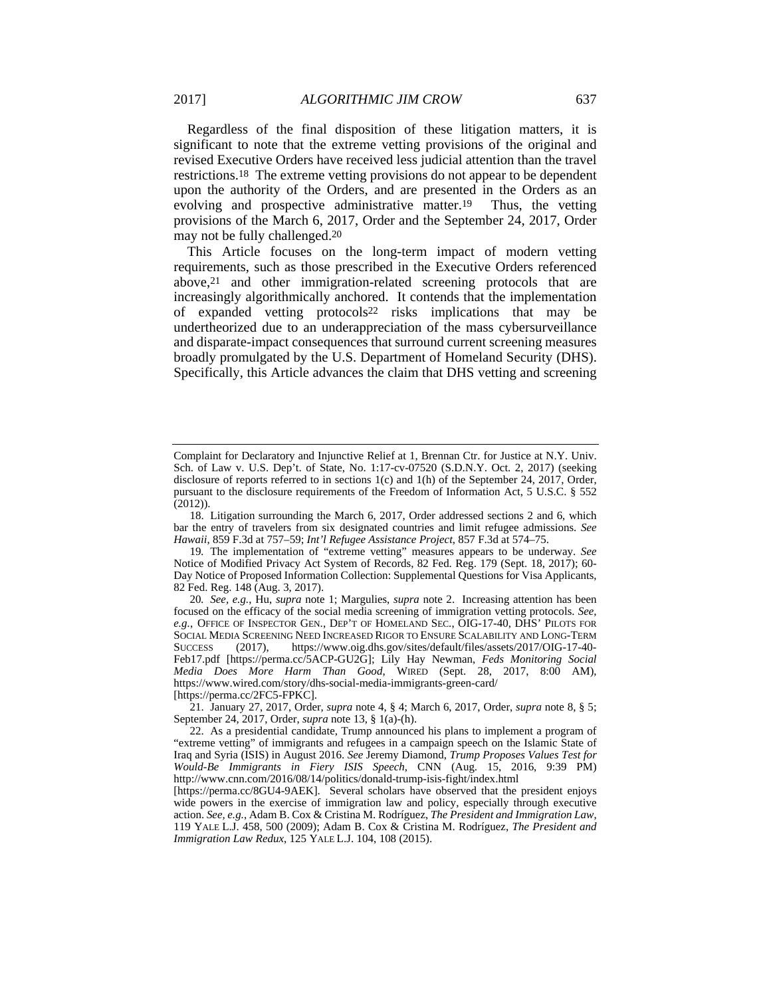Regardless of the final disposition of these litigation matters, it is significant to note that the extreme vetting provisions of the original and revised Executive Orders have received less judicial attention than the travel restrictions.18 The extreme vetting provisions do not appear to be dependent upon the authority of the Orders, and are presented in the Orders as an evolving and prospective administrative matter.19 Thus, the vetting provisions of the March 6, 2017, Order and the September 24, 2017, Order may not be fully challenged.20

This Article focuses on the long-term impact of modern vetting requirements, such as those prescribed in the Executive Orders referenced above,21 and other immigration-related screening protocols that are increasingly algorithmically anchored. It contends that the implementation of expanded vetting protocols22 risks implications that may be undertheorized due to an underappreciation of the mass cybersurveillance and disparate-impact consequences that surround current screening measures broadly promulgated by the U.S. Department of Homeland Security (DHS). Specifically, this Article advances the claim that DHS vetting and screening

Complaint for Declaratory and Injunctive Relief at 1, Brennan Ctr. for Justice at N.Y. Univ. Sch. of Law v. U.S. Dep't. of State, No. 1:17-cv-07520 (S.D.N.Y. Oct. 2, 2017) (seeking disclosure of reports referred to in sections 1(c) and 1(h) of the September 24, 2017, Order, pursuant to the disclosure requirements of the Freedom of Information Act, 5 U.S.C. § 552 (2012)).

 <sup>18.</sup> Litigation surrounding the March 6, 2017, Order addressed sections 2 and 6, which bar the entry of travelers from six designated countries and limit refugee admissions. *See Hawaii*, 859 F.3d at 757–59; *Int'l Refugee Assistance Project*, 857 F.3d at 574–75.

<sup>19</sup>*.* The implementation of "extreme vetting" measures appears to be underway. *See* Notice of Modified Privacy Act System of Records, 82 Fed. Reg. 179 (Sept. 18, 2017); 60- Day Notice of Proposed Information Collection: Supplemental Questions for Visa Applicants, 82 Fed. Reg. 148 (Aug. 3, 2017).

<sup>20</sup>*. See, e.g.*, Hu, *supra* note 1; Margulies, *supra* note 2. Increasing attention has been focused on the efficacy of the social media screening of immigration vetting protocols. *See, e.g.*, OFFICE OF INSPECTOR GEN., DEP'T OF HOMELAND SEC., OIG-17-40, DHS' PILOTS FOR SOCIAL MEDIA SCREENING NEED INCREASED RIGOR TO ENSURE SCALABILITY AND LONG-TERM SUCCESS (2017), https://www.oig.dhs.gov/sites/default/files/assets/2017/OIG-17-40- Feb17.pdf [https://perma.cc/5ACP-GU2G]; Lily Hay Newman, *Feds Monitoring Social Media Does More Harm Than Good*, WIRED (Sept. 28, 2017, 8:00 AM), https://www.wired.com/story/dhs-social-media-immigrants-green-card/

<sup>[</sup>https://perma.cc/2FC5-FPKC].

 <sup>21.</sup> January 27, 2017, Order, *supra* note 4, § 4; March 6, 2017, Order, *supra* note 8, § 5; September 24, 2017, Order, *supra* note 13, § 1(a)-(h).

 <sup>22.</sup> As a presidential candidate, Trump announced his plans to implement a program of "extreme vetting" of immigrants and refugees in a campaign speech on the Islamic State of Iraq and Syria (ISIS) in August 2016. *See* Jeremy Diamond, *Trump Proposes Values Test for Would-Be Immigrants in Fiery ISIS Speech*, CNN (Aug. 15, 2016, 9:39 PM) http://www.cnn.com/2016/08/14/politics/donald-trump-isis-fight/index.html

<sup>[</sup>https://perma.cc/8GU4-9AEK]. Several scholars have observed that the president enjoys wide powers in the exercise of immigration law and policy, especially through executive action. *See, e.g.*, Adam B. Cox & Cristina M. Rodríguez, *The President and Immigration Law*, 119 YALE L.J. 458, 500 (2009); Adam B. Cox & Cristina M. Rodríguez, *The President and Immigration Law Redux*, 125 YALE L.J. 104, 108 (2015).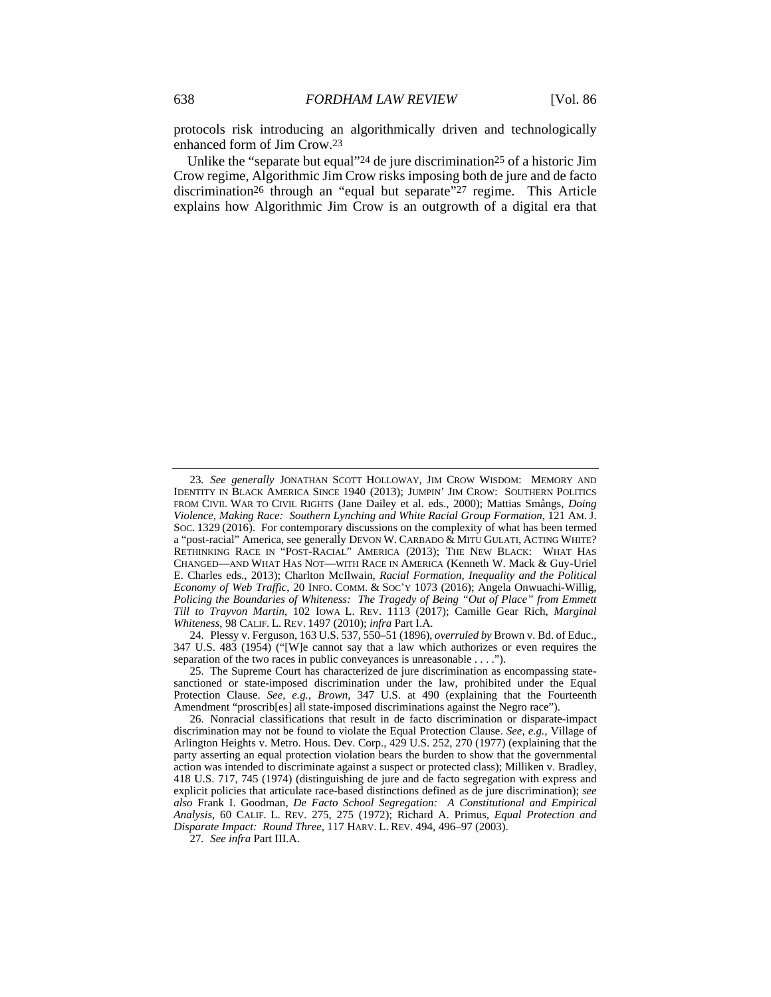protocols risk introducing an algorithmically driven and technologically enhanced form of Jim Crow.23

Unlike the "separate but equal"24 de jure discrimination25 of a historic Jim Crow regime, Algorithmic Jim Crow risks imposing both de jure and de facto discrimination26 through an "equal but separate"27 regime. This Article explains how Algorithmic Jim Crow is an outgrowth of a digital era that

 24. Plessy v. Ferguson, 163 U.S. 537, 550–51 (1896), *overruled by* Brown v. Bd. of Educ., 347 U.S. 483 (1954) ("[W]e cannot say that a law which authorizes or even requires the separation of the two races in public conveyances is unreasonable . . . .").

27*. See infra* Part III.A.

<sup>23</sup>*. See generally* JONATHAN SCOTT HOLLOWAY, JIM CROW WISDOM: MEMORY AND IDENTITY IN BLACK AMERICA SINCE 1940 (2013); JUMPIN' JIM CROW: SOUTHERN POLITICS FROM CIVIL WAR TO CIVIL RIGHTS (Jane Dailey et al. eds., 2000); Mattias Smångs, *Doing Violence, Making Race: Southern Lynching and White Racial Group Formation*, 121 AM. J. SOC. 1329 (2016). For contemporary discussions on the complexity of what has been termed a "post-racial" America, see generally DEVON W. CARBADO & MITU GULATI, ACTING WHITE? RETHINKING RACE IN "POST-RACIAL" AMERICA (2013); THE NEW BLACK: WHAT HAS CHANGED—AND WHAT HAS NOT—WITH RACE IN AMERICA (Kenneth W. Mack & Guy-Uriel E. Charles eds., 2013); Charlton McIlwain, *Racial Formation, Inequality and the Political Economy of Web Traffic*, 20 INFO. COMM. & SOC'Y 1073 (2016); Angela Onwuachi-Willig, *Policing the Boundaries of Whiteness: The Tragedy of Being "Out of Place" from Emmett Till to Trayvon Martin*, 102 IOWA L. REV. 1113 (2017); Camille Gear Rich, *Marginal Whiteness*, 98 CALIF. L. REV. 1497 (2010); *infra* Part I.A.

 <sup>25.</sup> The Supreme Court has characterized de jure discrimination as encompassing statesanctioned or state-imposed discrimination under the law, prohibited under the Equal Protection Clause. *See, e.g.*, *Brown*, 347 U.S. at 490 (explaining that the Fourteenth Amendment "proscrib[es] all state-imposed discriminations against the Negro race").

 <sup>26.</sup> Nonracial classifications that result in de facto discrimination or disparate-impact discrimination may not be found to violate the Equal Protection Clause. *See, e.g.*, Village of Arlington Heights v. Metro. Hous. Dev. Corp., 429 U.S. 252, 270 (1977) (explaining that the party asserting an equal protection violation bears the burden to show that the governmental action was intended to discriminate against a suspect or protected class); Milliken v. Bradley, 418 U.S. 717, 745 (1974) (distinguishing de jure and de facto segregation with express and explicit policies that articulate race-based distinctions defined as de jure discrimination); *see also* Frank I. Goodman, *De Facto School Segregation: A Constitutional and Empirical Analysis*, 60 CALIF. L. REV. 275, 275 (1972); Richard A. Primus, *Equal Protection and Disparate Impact: Round Three*, 117 HARV. L. REV. 494, 496–97 (2003).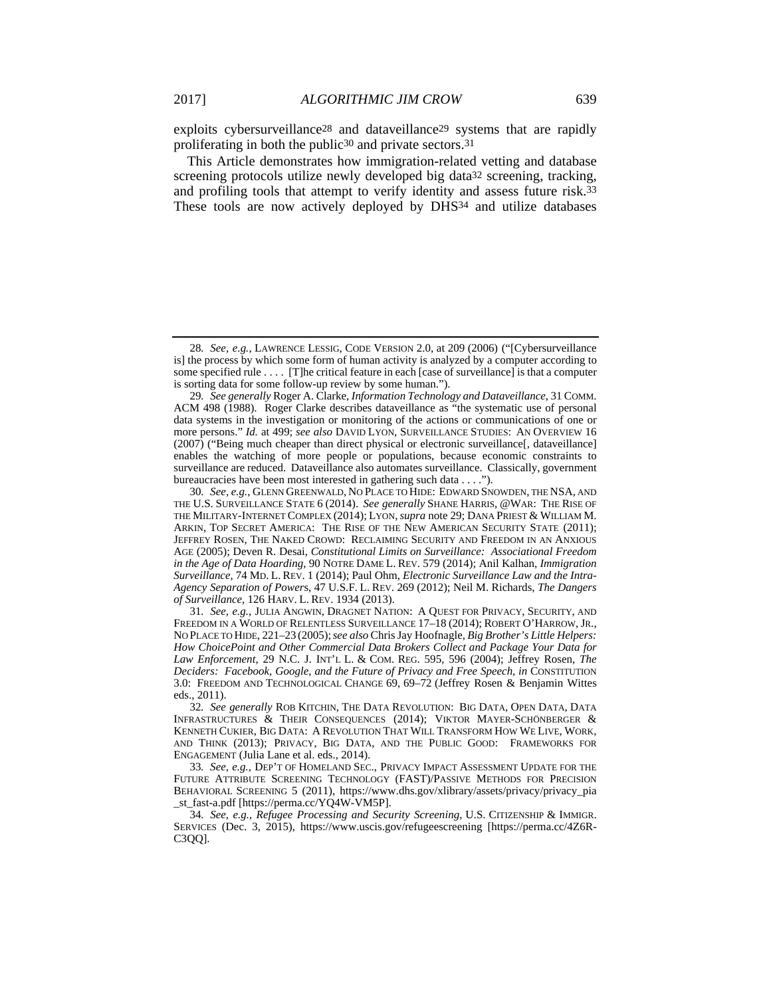exploits cybersurveillance<sup>28</sup> and dataveillance<sup>29</sup> systems that are rapidly proliferating in both the public30 and private sectors.31

This Article demonstrates how immigration-related vetting and database screening protocols utilize newly developed big data32 screening, tracking, and profiling tools that attempt to verify identity and assess future risk.33 These tools are now actively deployed by DHS34 and utilize databases

<sup>28</sup>*. See, e.g.*, LAWRENCE LESSIG, CODE VERSION 2.0, at 209 (2006) ("[Cybersurveillance is] the process by which some form of human activity is analyzed by a computer according to some specified rule . . . . [T]he critical feature in each [case of surveillance] is that a computer is sorting data for some follow-up review by some human.").

<sup>29</sup>*. See generally* Roger A. Clarke, *Information Technology and Dataveillance*, 31 COMM. ACM 498 (1988). Roger Clarke describes dataveillance as "the systematic use of personal data systems in the investigation or monitoring of the actions or communications of one or more persons." *Id.* at 499; *see also* DAVID LYON, SURVEILLANCE STUDIES: AN OVERVIEW 16 (2007) ("Being much cheaper than direct physical or electronic surveillance[, dataveillance] enables the watching of more people or populations, because economic constraints to surveillance are reduced. Dataveillance also automates surveillance. Classically, government bureaucracies have been most interested in gathering such data . . . .").

<sup>30</sup>*. See, e.g.*, GLENN GREENWALD, NO PLACE TO HIDE: EDWARD SNOWDEN, THE NSA, AND THE U.S. SURVEILLANCE STATE 6 (2014). *See generally* SHANE HARRIS, @WAR: THE RISE OF THE MILITARY-INTERNET COMPLEX (2014); LYON,*supra* note 29; DANA PRIEST & WILLIAM M. ARKIN, TOP SECRET AMERICA: THE RISE OF THE NEW AMERICAN SECURITY STATE (2011); JEFFREY ROSEN, THE NAKED CROWD: RECLAIMING SECURITY AND FREEDOM IN AN ANXIOUS AGE (2005); Deven R. Desai, *Constitutional Limits on Surveillance: Associational Freedom in the Age of Data Hoarding*, 90 NOTRE DAME L. REV. 579 (2014); Anil Kalhan, *Immigration Surveillance*, 74 MD. L. REV. 1 (2014); Paul Ohm, *Electronic Surveillance Law and the Intra-Agency Separation of Power*s, 47 U.S.F. L. REV. 269 (2012); Neil M. Richards, *The Dangers of Surveillance*, 126 HARV. L. REV. 1934 (2013).

<sup>31</sup>*. See, e.g.*, JULIA ANGWIN, DRAGNET NATION: A QUEST FOR PRIVACY, SECURITY, AND FREEDOM IN A WORLD OF RELENTLESS SURVEILLANCE 17–18 (2014); ROBERT O'HARROW, JR., NO PLACE TO HIDE, 221–23 (2005);*see also* Chris Jay Hoofnagle, *Big Brother's Little Helpers: How ChoicePoint and Other Commercial Data Brokers Collect and Package Your Data for Law Enforcement*, 29 N.C. J. INT'L L. & COM. REG. 595, 596 (2004); Jeffrey Rosen, *The Deciders: Facebook, Google, and the Future of Privacy and Free Speech*, *in* CONSTITUTION 3.0: FREEDOM AND TECHNOLOGICAL CHANGE 69, 69–72 (Jeffrey Rosen & Benjamin Wittes eds., 2011).

<sup>32</sup>*. See generally* ROB KITCHIN, THE DATA REVOLUTION: BIG DATA, OPEN DATA, DATA INFRASTRUCTURES & THEIR CONSEQUENCES (2014); VIKTOR MAYER-SCHÖNBERGER & KENNETH CUKIER, BIG DATA: A REVOLUTION THAT WILL TRANSFORM HOW WE LIVE, WORK, AND THINK (2013); PRIVACY, BIG DATA, AND THE PUBLIC GOOD: FRAMEWORKS FOR ENGAGEMENT (Julia Lane et al. eds., 2014).

<sup>33</sup>*. See, e.g.*, DEP'T OF HOMELAND SEC., PRIVACY IMPACT ASSESSMENT UPDATE FOR THE FUTURE ATTRIBUTE SCREENING TECHNOLOGY (FAST)/PASSIVE METHODS FOR PRECISION BEHAVIORAL SCREENING 5 (2011), https://www.dhs.gov/xlibrary/assets/privacy/privacy\_pia \_st\_fast-a.pdf [https://perma.cc/YQ4W-VM5P].

<sup>34</sup>*. See, e.g.*, *Refugee Processing and Security Screening*, U.S. CITIZENSHIP & IMMIGR. SERVICES (Dec. 3, 2015), https://www.uscis.gov/refugeescreening [https://perma.cc/4Z6R-C3QQ].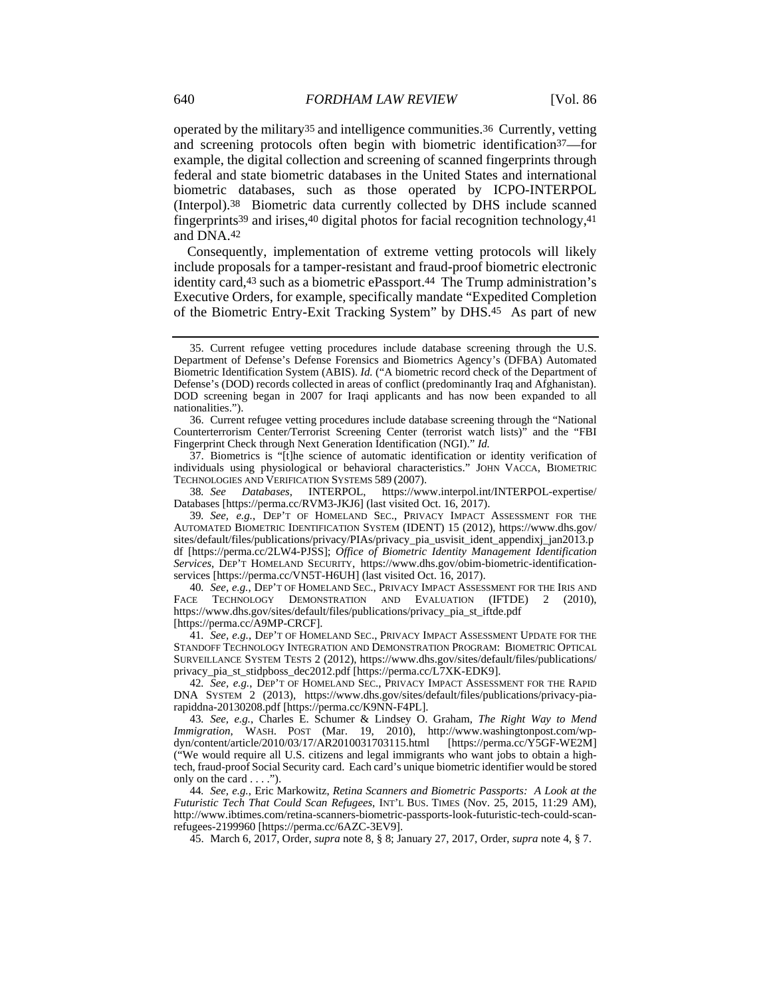operated by the military35 and intelligence communities.36 Currently, vetting and screening protocols often begin with biometric identification37—for example, the digital collection and screening of scanned fingerprints through federal and state biometric databases in the United States and international biometric databases, such as those operated by ICPO-INTERPOL (Interpol).38 Biometric data currently collected by DHS include scanned fingerprints39 and irises,40 digital photos for facial recognition technology,41 and DNA.42

Consequently, implementation of extreme vetting protocols will likely include proposals for a tamper-resistant and fraud-proof biometric electronic identity card,43 such as a biometric ePassport.44 The Trump administration's Executive Orders, for example, specifically mandate "Expedited Completion of the Biometric Entry-Exit Tracking System" by DHS.45 As part of new

 37. Biometrics is "[t]he science of automatic identification or identity verification of individuals using physiological or behavioral characteristics." JOHN VACCA, BIOMETRIC TECHNOLOGIES AND VERIFICATION SYSTEMS 589 (2007).

38*. See Databases*, INTERPOL, https://www.interpol.int/INTERPOL-expertise/ Databases [https://perma.cc/RVM3-JKJ6] (last visited Oct. 16, 2017).

39*. See, e.g.*, DEP'T OF HOMELAND SEC., PRIVACY IMPACT ASSESSMENT FOR THE AUTOMATED BIOMETRIC IDENTIFICATION SYSTEM (IDENT) 15 (2012), https://www.dhs.gov/ sites/default/files/publications/privacy/PIAs/privacy\_pia\_usvisit\_ident\_appendixj\_jan2013.p df [https://perma.cc/2LW4-PJSS]; *Office of Biometric Identity Management Identification Services*, DEP'T HOMELAND SECURITY, https://www.dhs.gov/obim-biometric-identificationservices [https://perma.cc/VN5T-H6UH] (last visited Oct. 16, 2017).

40*. See, e.g.*, DEP'T OF HOMELAND SEC., PRIVACY IMPACT ASSESSMENT FOR THE IRIS AND FACE TECHNOLOGY DEMONSTRATION AND EVALUATION (IFTDE) 2 (2010), https://www.dhs.gov/sites/default/files/publications/privacy\_pia\_st\_iftde.pdf [https://perma.cc/A9MP-CRCF].

41*. See, e.g.*, DEP'T OF HOMELAND SEC., PRIVACY IMPACT ASSESSMENT UPDATE FOR THE STANDOFF TECHNOLOGY INTEGRATION AND DEMONSTRATION PROGRAM: BIOMETRIC OPTICAL SURVEILLANCE SYSTEM TESTS 2 (2012), https://www.dhs.gov/sites/default/files/publications/ privacy\_pia\_st\_stidpboss\_dec2012.pdf [https://perma.cc/L7XK-EDK9].

42*. See, e.g.*, DEP'T OF HOMELAND SEC., PRIVACY IMPACT ASSESSMENT FOR THE RAPID DNA SYSTEM 2 (2013), https://www.dhs.gov/sites/default/files/publications/privacy-piarapiddna-20130208.pdf [https://perma.cc/K9NN-F4PL].

43*. See, e.g.*, Charles E. Schumer & Lindsey O. Graham, *The Right Way to Mend Immigration*, WASH. POST (Mar. 19, 2010), http://www.washingtonpost.com/wpdyn/content/article/2010/03/17/AR2010031703115.html [https://perma.cc/Y5GF-WE2M] ("We would require all U.S. citizens and legal immigrants who want jobs to obtain a hightech, fraud-proof Social Security card. Each card's unique biometric identifier would be stored only on the card  $\dots$ .").

44*. See, e.g.*, Eric Markowitz, *Retina Scanners and Biometric Passports: A Look at the Futuristic Tech That Could Scan Refugees*, INT'L BUS. TIMES (Nov. 25, 2015, 11:29 AM), http://www.ibtimes.com/retina-scanners-biometric-passports-look-futuristic-tech-could-scanrefugees-2199960 [https://perma.cc/6AZC-3EV9].

45. March 6, 2017, Order, *supra* note 8, § 8; January 27, 2017, Order, *supra* note 4, § 7.

 <sup>35.</sup> Current refugee vetting procedures include database screening through the U.S. Department of Defense's Defense Forensics and Biometrics Agency's (DFBA) Automated Biometric Identification System (ABIS). *Id.* ("A biometric record check of the Department of Defense's (DOD) records collected in areas of conflict (predominantly Iraq and Afghanistan). DOD screening began in 2007 for Iraqi applicants and has now been expanded to all nationalities.").

 <sup>36.</sup> Current refugee vetting procedures include database screening through the "National Counterterrorism Center/Terrorist Screening Center (terrorist watch lists)" and the "FBI Fingerprint Check through Next Generation Identification (NGI)." *Id.*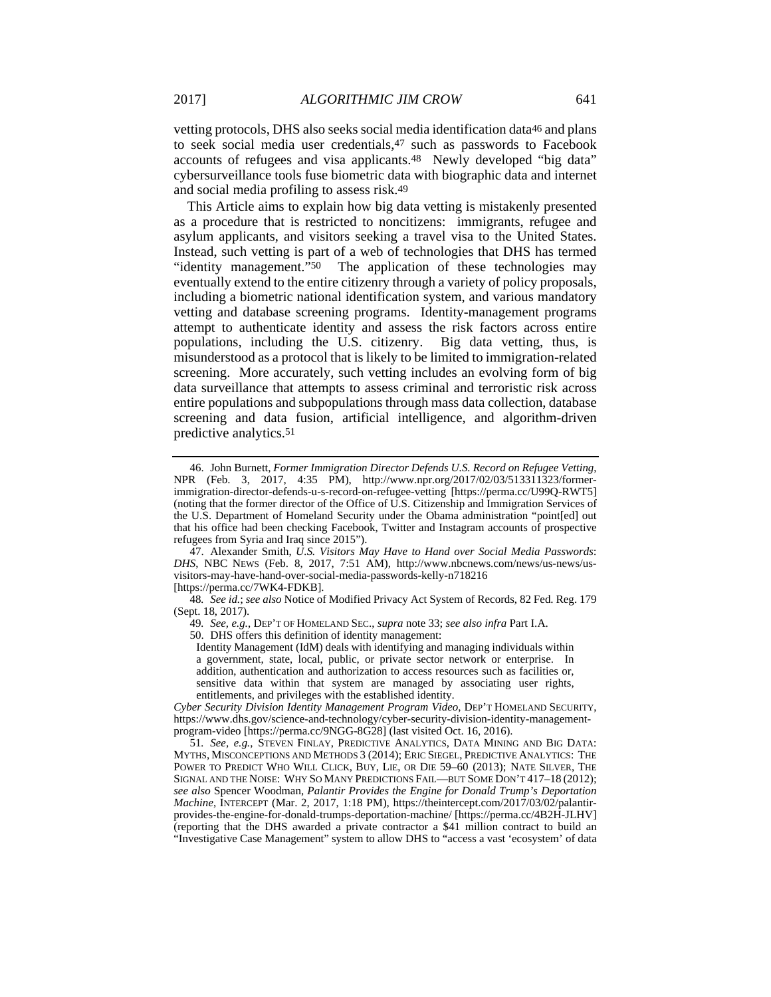vetting protocols, DHS also seeks social media identification data46 and plans to seek social media user credentials,47 such as passwords to Facebook accounts of refugees and visa applicants.48 Newly developed "big data" cybersurveillance tools fuse biometric data with biographic data and internet and social media profiling to assess risk.49

This Article aims to explain how big data vetting is mistakenly presented as a procedure that is restricted to noncitizens: immigrants, refugee and asylum applicants, and visitors seeking a travel visa to the United States. Instead, such vetting is part of a web of technologies that DHS has termed "identity management."50 The application of these technologies may eventually extend to the entire citizenry through a variety of policy proposals, including a biometric national identification system, and various mandatory vetting and database screening programs. Identity-management programs attempt to authenticate identity and assess the risk factors across entire populations, including the U.S. citizenry. Big data vetting, thus, is misunderstood as a protocol that is likely to be limited to immigration-related screening. More accurately, such vetting includes an evolving form of big data surveillance that attempts to assess criminal and terroristic risk across entire populations and subpopulations through mass data collection, database screening and data fusion, artificial intelligence, and algorithm-driven predictive analytics.51

 47. Alexander Smith, *U.S. Visitors May Have to Hand over Social Media Passwords*: *DHS*, NBC NEWS (Feb. 8, 2017, 7:51 AM), http://www.nbcnews.com/news/us-news/usvisitors-may-have-hand-over-social-media-passwords-kelly-n718216

[https://perma.cc/7WK4-FDKB].

48*. See id.*; *see also* Notice of Modified Privacy Act System of Records, 82 Fed. Reg. 179 (Sept. 18, 2017).

49*. See, e.g.*, DEP'T OF HOMELAND SEC., *supra* note 33; *see also infra* Part I.A.

50. DHS offers this definition of identity management:

Identity Management (IdM) deals with identifying and managing individuals within a government, state, local, public, or private sector network or enterprise. In addition, authentication and authorization to access resources such as facilities or, sensitive data within that system are managed by associating user rights, entitlements, and privileges with the established identity.

*Cyber Security Division Identity Management Program Video*, DEP'T HOMELAND SECURITY, https://www.dhs.gov/science-and-technology/cyber-security-division-identity-managementprogram-video [https://perma.cc/9NGG-8G28] (last visited Oct. 16, 2016).

51*. See, e.g.*, STEVEN FINLAY, PREDICTIVE ANALYTICS, DATA MINING AND BIG DATA: MYTHS, MISCONCEPTIONS AND METHODS 3 (2014); ERIC SIEGEL, PREDICTIVE ANALYTICS: THE POWER TO PREDICT WHO WILL CLICK, BUY, LIE, OR DIE 59–60 (2013); NATE SILVER, THE SIGNAL AND THE NOISE: WHY SO MANY PREDICTIONS FAIL—BUT SOME DON'T 417–18 (2012); *see also* Spencer Woodman, *Palantir Provides the Engine for Donald Trump's Deportation Machine*, INTERCEPT (Mar. 2, 2017, 1:18 PM), https://theintercept.com/2017/03/02/palantirprovides-the-engine-for-donald-trumps-deportation-machine/ [https://perma.cc/4B2H-JLHV] (reporting that the DHS awarded a private contractor a \$41 million contract to build an "Investigative Case Management" system to allow DHS to "access a vast 'ecosystem' of data

 <sup>46.</sup> John Burnett, *Former Immigration Director Defends U.S. Record on Refugee Vetting*, NPR (Feb. 3, 2017, 4:35 PM), http://www.npr.org/2017/02/03/513311323/formerimmigration-director-defends-u-s-record-on-refugee-vetting [https://perma.cc/U99Q-RWT5] (noting that the former director of the Office of U.S. Citizenship and Immigration Services of the U.S. Department of Homeland Security under the Obama administration "point[ed] out that his office had been checking Facebook, Twitter and Instagram accounts of prospective refugees from Syria and Iraq since 2015").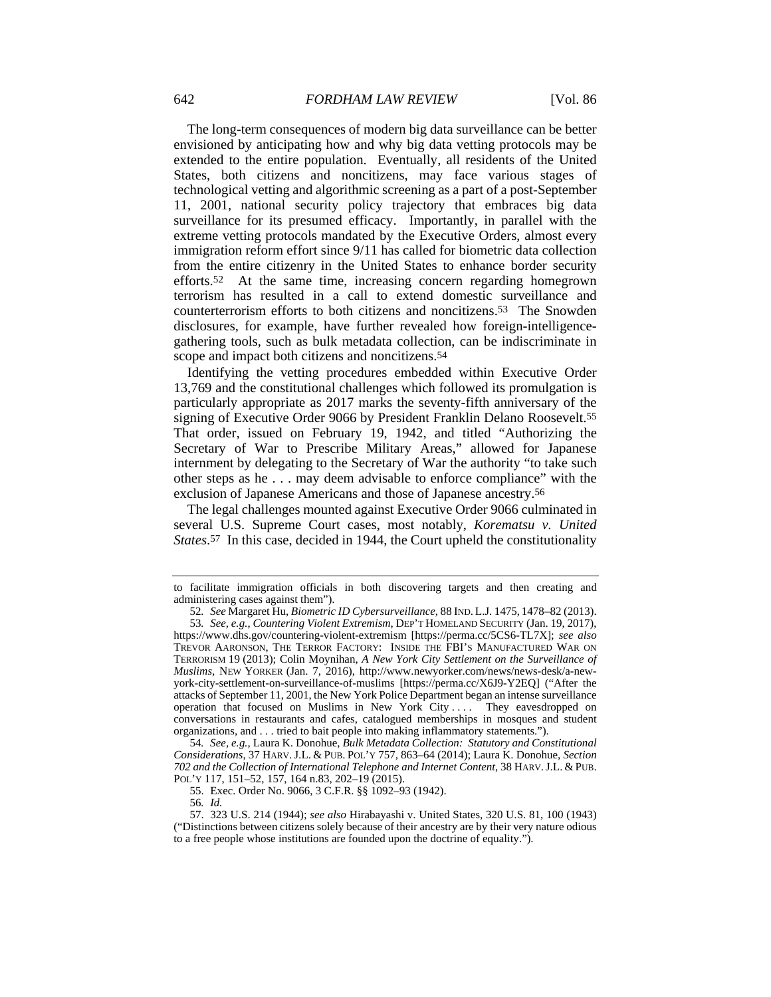The long-term consequences of modern big data surveillance can be better envisioned by anticipating how and why big data vetting protocols may be extended to the entire population. Eventually, all residents of the United States, both citizens and noncitizens, may face various stages of technological vetting and algorithmic screening as a part of a post-September 11, 2001, national security policy trajectory that embraces big data surveillance for its presumed efficacy. Importantly, in parallel with the extreme vetting protocols mandated by the Executive Orders, almost every immigration reform effort since 9/11 has called for biometric data collection from the entire citizenry in the United States to enhance border security efforts.52 At the same time, increasing concern regarding homegrown terrorism has resulted in a call to extend domestic surveillance and counterterrorism efforts to both citizens and noncitizens.53 The Snowden disclosures, for example, have further revealed how foreign-intelligencegathering tools, such as bulk metadata collection, can be indiscriminate in scope and impact both citizens and noncitizens.54

Identifying the vetting procedures embedded within Executive Order 13,769 and the constitutional challenges which followed its promulgation is particularly appropriate as 2017 marks the seventy-fifth anniversary of the signing of Executive Order 9066 by President Franklin Delano Roosevelt.55 That order, issued on February 19, 1942, and titled "Authorizing the Secretary of War to Prescribe Military Areas," allowed for Japanese internment by delegating to the Secretary of War the authority "to take such other steps as he . . . may deem advisable to enforce compliance" with the exclusion of Japanese Americans and those of Japanese ancestry.56

The legal challenges mounted against Executive Order 9066 culminated in several U.S. Supreme Court cases, most notably, *Korematsu v. United States*.57 In this case, decided in 1944, the Court upheld the constitutionality

55. Exec. Order No. 9066, 3 C.F.R. §§ 1092–93 (1942).

56*. Id.*

to facilitate immigration officials in both discovering targets and then creating and administering cases against them").

<sup>52</sup>*. See* Margaret Hu, *Biometric ID Cybersurveillance*, 88 IND. L.J. 1475, 1478–82 (2013). 53*. See, e.g.*, *Countering Violent Extremism*, DEP'T HOMELAND SECURITY (Jan. 19, 2017), https://www.dhs.gov/countering-violent-extremism [https://perma.cc/5CS6-TL7X]; *see also* TREVOR AARONSON, THE TERROR FACTORY: INSIDE THE FBI'S MANUFACTURED WAR ON TERRORISM 19 (2013); Colin Moynihan, *A New York City Settlement on the Surveillance of Muslims*, NEW YORKER (Jan. 7, 2016), http://www.newyorker.com/news/news-desk/a-newyork-city-settlement-on-surveillance-of-muslims [https://perma.cc/X6J9-Y2EQ] ("After the attacks of September 11, 2001, the New York Police Department began an intense surveillance operation that focused on Muslims in New York City .... They eavesdropped on conversations in restaurants and cafes, catalogued memberships in mosques and student organizations, and . . . tried to bait people into making inflammatory statements.").

<sup>54</sup>*. See, e.g.*, Laura K. Donohue, *Bulk Metadata Collection: Statutory and Constitutional Considerations*, 37 HARV.J.L. & PUB. POL'Y 757, 863–64 (2014); Laura K. Donohue, *Section 702 and the Collection of International Telephone and Internet Content*, 38 HARV.J.L. & PUB. POL'Y 117, 151–52, 157, 164 n.83, 202–19 (2015).

 <sup>57. 323</sup> U.S. 214 (1944); *see also* Hirabayashi v. United States, 320 U.S. 81, 100 (1943) ("Distinctions between citizens solely because of their ancestry are by their very nature odious to a free people whose institutions are founded upon the doctrine of equality.").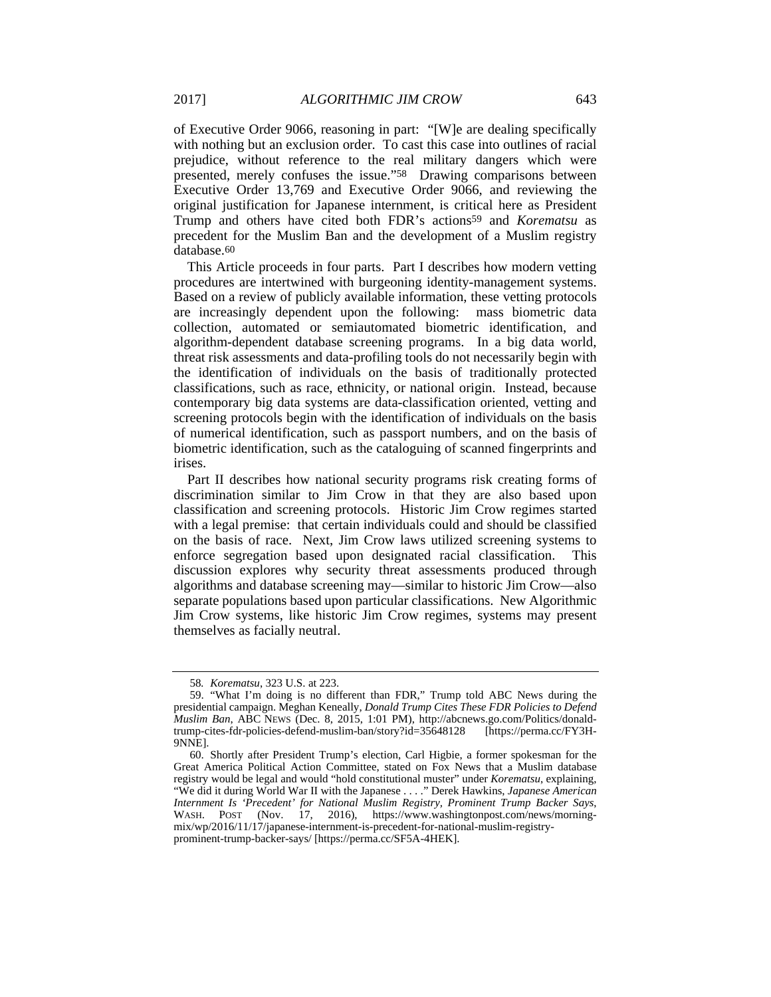of Executive Order 9066, reasoning in part: "[W]e are dealing specifically with nothing but an exclusion order. To cast this case into outlines of racial prejudice, without reference to the real military dangers which were presented, merely confuses the issue."58 Drawing comparisons between Executive Order 13,769 and Executive Order 9066, and reviewing the original justification for Japanese internment, is critical here as President Trump and others have cited both FDR's actions59 and *Korematsu* as precedent for the Muslim Ban and the development of a Muslim registry database.60

This Article proceeds in four parts. Part I describes how modern vetting procedures are intertwined with burgeoning identity-management systems. Based on a review of publicly available information, these vetting protocols are increasingly dependent upon the following: mass biometric data collection, automated or semiautomated biometric identification, and algorithm-dependent database screening programs. In a big data world, threat risk assessments and data-profiling tools do not necessarily begin with the identification of individuals on the basis of traditionally protected classifications, such as race, ethnicity, or national origin. Instead, because contemporary big data systems are data-classification oriented, vetting and screening protocols begin with the identification of individuals on the basis of numerical identification, such as passport numbers, and on the basis of biometric identification, such as the cataloguing of scanned fingerprints and irises.

Part II describes how national security programs risk creating forms of discrimination similar to Jim Crow in that they are also based upon classification and screening protocols. Historic Jim Crow regimes started with a legal premise: that certain individuals could and should be classified on the basis of race. Next, Jim Crow laws utilized screening systems to enforce segregation based upon designated racial classification. This discussion explores why security threat assessments produced through algorithms and database screening may—similar to historic Jim Crow—also separate populations based upon particular classifications. New Algorithmic Jim Crow systems, like historic Jim Crow regimes, systems may present themselves as facially neutral.

<sup>58</sup>*. Korematsu*, 323 U.S. at 223.

 <sup>59. &</sup>quot;What I'm doing is no different than FDR," Trump told ABC News during the presidential campaign. Meghan Keneally, *Donald Trump Cites These FDR Policies to Defend Muslim Ban*, ABC NEWS (Dec. 8, 2015, 1:01 PM), http://abcnews.go.com/Politics/donaldtrump-cites-fdr-policies-defend-muslim-ban/story?id=35648128 [https://perma.cc/FY3H-9NNE].

 <sup>60.</sup> Shortly after President Trump's election, Carl Higbie, a former spokesman for the Great America Political Action Committee, stated on Fox News that a Muslim database registry would be legal and would "hold constitutional muster" under *Korematsu*, explaining, "We did it during World War II with the Japanese . . . ." Derek Hawkins, *Japanese American Internment Is 'Precedent' for National Muslim Registry, Prominent Trump Backer Says*, WASH. POST (Nov. 17, 2016), https://www.washingtonpost.com/news/morningmix/wp/2016/11/17/japanese-internment-is-precedent-for-national-muslim-registryprominent-trump-backer-says/ [https://perma.cc/SF5A-4HEK].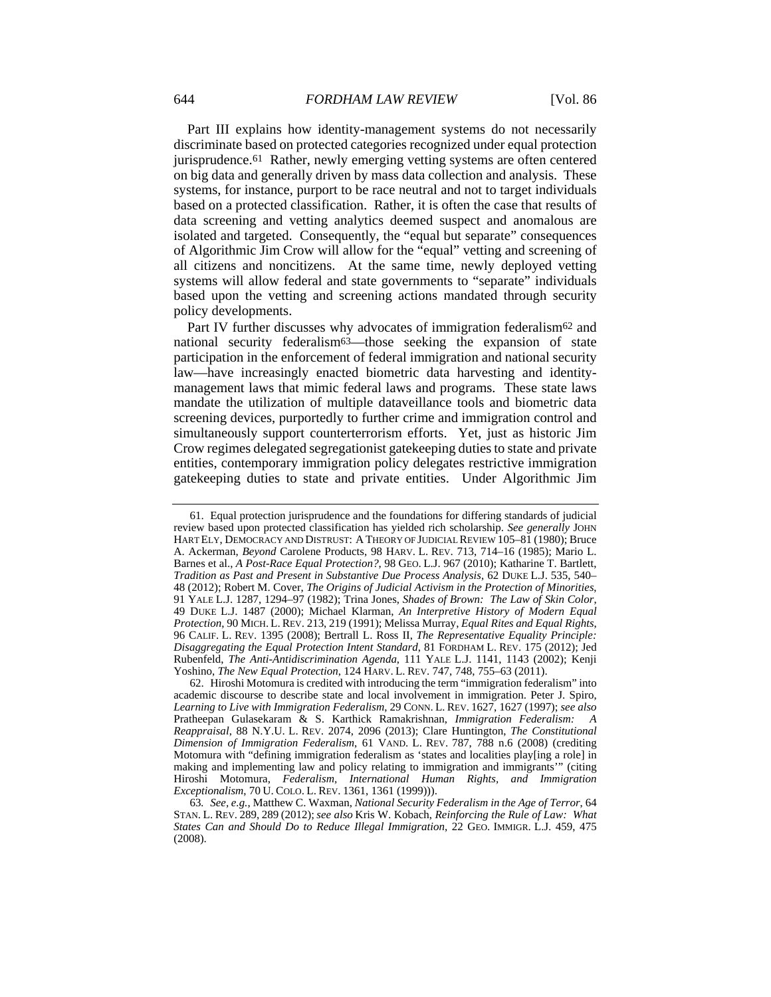Part III explains how identity-management systems do not necessarily discriminate based on protected categories recognized under equal protection jurisprudence.<sup>61</sup> Rather, newly emerging vetting systems are often centered on big data and generally driven by mass data collection and analysis. These systems, for instance, purport to be race neutral and not to target individuals based on a protected classification. Rather, it is often the case that results of data screening and vetting analytics deemed suspect and anomalous are isolated and targeted. Consequently, the "equal but separate" consequences of Algorithmic Jim Crow will allow for the "equal" vetting and screening of all citizens and noncitizens. At the same time, newly deployed vetting systems will allow federal and state governments to "separate" individuals based upon the vetting and screening actions mandated through security policy developments.

Part IV further discusses why advocates of immigration federalism62 and national security federalism63—those seeking the expansion of state participation in the enforcement of federal immigration and national security law—have increasingly enacted biometric data harvesting and identitymanagement laws that mimic federal laws and programs. These state laws mandate the utilization of multiple dataveillance tools and biometric data screening devices, purportedly to further crime and immigration control and simultaneously support counterterrorism efforts. Yet, just as historic Jim Crow regimes delegated segregationist gatekeeping duties to state and private entities, contemporary immigration policy delegates restrictive immigration gatekeeping duties to state and private entities. Under Algorithmic Jim

 <sup>61.</sup> Equal protection jurisprudence and the foundations for differing standards of judicial review based upon protected classification has yielded rich scholarship. *See generally* JOHN HART ELY, DEMOCRACY AND DISTRUST: A THEORY OF JUDICIAL REVIEW 105–81 (1980); Bruce A. Ackerman, *Beyond* Carolene Products, 98 HARV. L. REV. 713, 714–16 (1985); Mario L. Barnes et al., *A Post-Race Equal Protection?*, 98 GEO. L.J. 967 (2010); Katharine T. Bartlett, *Tradition as Past and Present in Substantive Due Process Analysis*, 62 DUKE L.J. 535, 540– 48 (2012); Robert M. Cover, *The Origins of Judicial Activism in the Protection of Minorities*, 91 YALE L.J. 1287, 1294–97 (1982); Trina Jones, *Shades of Brown: The Law of Skin Color*, 49 DUKE L.J. 1487 (2000); Michael Klarman, *An Interpretive History of Modern Equal Protection*, 90 MICH. L. REV. 213, 219 (1991); Melissa Murray, *Equal Rites and Equal Rights*, 96 CALIF. L. REV. 1395 (2008); Bertrall L. Ross II, *The Representative Equality Principle: Disaggregating the Equal Protection Intent Standard*, 81 FORDHAM L. REV. 175 (2012); Jed Rubenfeld, *The Anti-Antidiscrimination Agenda*, 111 YALE L.J. 1141, 1143 (2002); Kenji Yoshino, *The New Equal Protection*, 124 HARV. L. REV. 747, 748, 755–63 (2011).

 <sup>62.</sup> Hiroshi Motomura is credited with introducing the term "immigration federalism" into academic discourse to describe state and local involvement in immigration. Peter J. Spiro, *Learning to Live with Immigration Federalism*, 29 CONN. L. REV. 1627, 1627 (1997); *see also* Pratheepan Gulasekaram & S. Karthick Ramakrishnan, *Immigration Federalism: A Reappraisal*, 88 N.Y.U. L. REV. 2074, 2096 (2013); Clare Huntington, *The Constitutional Dimension of Immigration Federalism*, 61 VAND. L. REV. 787, 788 n.6 (2008) (crediting Motomura with "defining immigration federalism as 'states and localities play[ing a role] in making and implementing law and policy relating to immigration and immigrants'" (citing Hiroshi Motomura, *Federalism, International Human Rights, and Immigration Exceptionalism*, 70 U. COLO. L. REV. 1361, 1361 (1999))).

<sup>63</sup>*. See, e.g.*, Matthew C. Waxman, *National Security Federalism in the Age of Terror*, 64 STAN. L. REV. 289, 289 (2012); *see also* Kris W. Kobach, *Reinforcing the Rule of Law: What States Can and Should Do to Reduce Illegal Immigration*, 22 GEO. IMMIGR. L.J. 459, 475 (2008).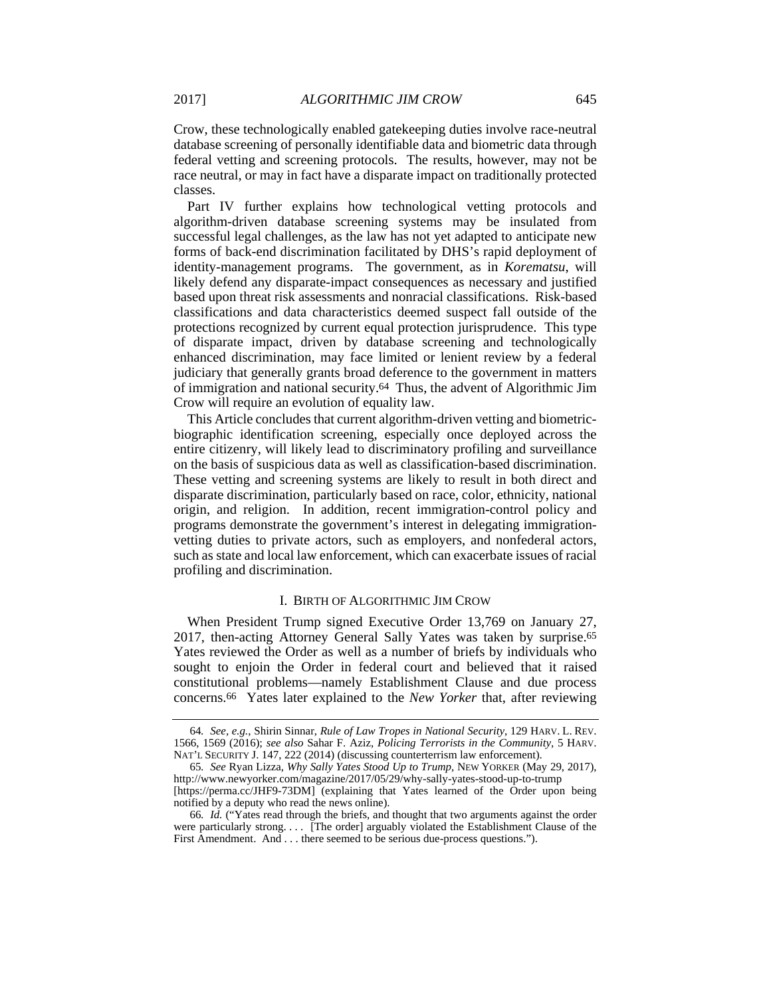Crow, these technologically enabled gatekeeping duties involve race-neutral database screening of personally identifiable data and biometric data through federal vetting and screening protocols. The results, however, may not be race neutral, or may in fact have a disparate impact on traditionally protected classes.

Part IV further explains how technological vetting protocols and algorithm-driven database screening systems may be insulated from successful legal challenges, as the law has not yet adapted to anticipate new forms of back-end discrimination facilitated by DHS's rapid deployment of identity-management programs. The government, as in *Korematsu*, will likely defend any disparate-impact consequences as necessary and justified based upon threat risk assessments and nonracial classifications. Risk-based classifications and data characteristics deemed suspect fall outside of the protections recognized by current equal protection jurisprudence. This type of disparate impact, driven by database screening and technologically enhanced discrimination, may face limited or lenient review by a federal judiciary that generally grants broad deference to the government in matters of immigration and national security.64 Thus, the advent of Algorithmic Jim Crow will require an evolution of equality law.

This Article concludes that current algorithm-driven vetting and biometricbiographic identification screening, especially once deployed across the entire citizenry, will likely lead to discriminatory profiling and surveillance on the basis of suspicious data as well as classification-based discrimination. These vetting and screening systems are likely to result in both direct and disparate discrimination, particularly based on race, color, ethnicity, national origin, and religion. In addition, recent immigration-control policy and programs demonstrate the government's interest in delegating immigrationvetting duties to private actors, such as employers, and nonfederal actors, such as state and local law enforcement, which can exacerbate issues of racial profiling and discrimination.

#### I. BIRTH OF ALGORITHMIC JIM CROW

When President Trump signed Executive Order 13,769 on January 27, 2017, then-acting Attorney General Sally Yates was taken by surprise.65 Yates reviewed the Order as well as a number of briefs by individuals who sought to enjoin the Order in federal court and believed that it raised constitutional problems—namely Establishment Clause and due process concerns.66 Yates later explained to the *New Yorker* that, after reviewing

<sup>64</sup>*. See, e.g.*, Shirin Sinnar, *Rule of Law Tropes in National Security*, 129 HARV. L. REV. 1566, 1569 (2016); *see also* Sahar F. Aziz, *Policing Terrorists in the Community*, 5 HARV. NAT'L SECURITY J. 147, 222 (2014) (discussing counterterrism law enforcement).

<sup>65</sup>*. See* Ryan Lizza, *Why Sally Yates Stood Up to Trump*, NEW YORKER (May 29, 2017), http://www.newyorker.com/magazine/2017/05/29/why-sally-yates-stood-up-to-trump

<sup>[</sup>https://perma.cc/JHF9-73DM] (explaining that Yates learned of the Order upon being notified by a deputy who read the news online).

<sup>66</sup>*. Id.* ("Yates read through the briefs, and thought that two arguments against the order were particularly strong. . . . [The order] arguably violated the Establishment Clause of the First Amendment. And . . . there seemed to be serious due-process questions.").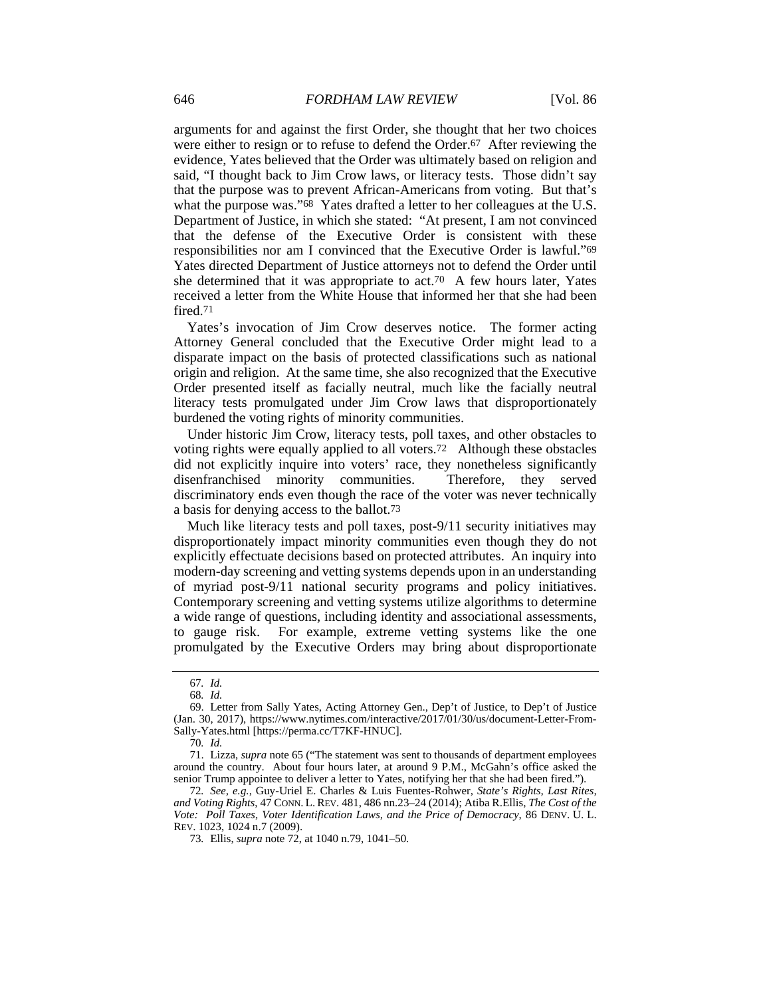arguments for and against the first Order, she thought that her two choices were either to resign or to refuse to defend the Order.67 After reviewing the evidence, Yates believed that the Order was ultimately based on religion and said, "I thought back to Jim Crow laws, or literacy tests. Those didn't say that the purpose was to prevent African-Americans from voting. But that's what the purpose was."68 Yates drafted a letter to her colleagues at the U.S. Department of Justice, in which she stated: "At present, I am not convinced that the defense of the Executive Order is consistent with these responsibilities nor am I convinced that the Executive Order is lawful."69 Yates directed Department of Justice attorneys not to defend the Order until she determined that it was appropriate to act.70 A few hours later, Yates received a letter from the White House that informed her that she had been fired.71

Yates's invocation of Jim Crow deserves notice. The former acting Attorney General concluded that the Executive Order might lead to a disparate impact on the basis of protected classifications such as national origin and religion. At the same time, she also recognized that the Executive Order presented itself as facially neutral, much like the facially neutral literacy tests promulgated under Jim Crow laws that disproportionately burdened the voting rights of minority communities.

Under historic Jim Crow, literacy tests, poll taxes, and other obstacles to voting rights were equally applied to all voters.72 Although these obstacles did not explicitly inquire into voters' race, they nonetheless significantly disenfranchised minority communities. Therefore, they served discriminatory ends even though the race of the voter was never technically a basis for denying access to the ballot.73

Much like literacy tests and poll taxes, post-9/11 security initiatives may disproportionately impact minority communities even though they do not explicitly effectuate decisions based on protected attributes. An inquiry into modern-day screening and vetting systems depends upon in an understanding of myriad post-9/11 national security programs and policy initiatives. Contemporary screening and vetting systems utilize algorithms to determine a wide range of questions, including identity and associational assessments, to gauge risk. For example, extreme vetting systems like the one promulgated by the Executive Orders may bring about disproportionate

<sup>67</sup>*. Id.*

<sup>68</sup>*. Id.*

 <sup>69.</sup> Letter from Sally Yates, Acting Attorney Gen., Dep't of Justice, to Dep't of Justice (Jan. 30, 2017), https://www.nytimes.com/interactive/2017/01/30/us/document-Letter-From-Sally-Yates.html [https://perma.cc/T7KF-HNUC].

<sup>70</sup>*. Id.*

 <sup>71.</sup> Lizza, *supra* note 65 ("The statement was sent to thousands of department employees around the country. About four hours later, at around 9 P.M., McGahn's office asked the senior Trump appointee to deliver a letter to Yates, notifying her that she had been fired.").

<sup>72</sup>*. See, e.g.*, Guy-Uriel E. Charles & Luis Fuentes-Rohwer, *State's Rights, Last Rites, and Voting Rights*, 47 CONN. L. REV. 481, 486 nn.23–24 (2014); Atiba R.Ellis, *The Cost of the Vote: Poll Taxes, Voter Identification Laws, and the Price of Democracy*, 86 DENV. U. L. REV. 1023, 1024 n.7 (2009).

<sup>73</sup>*.* Ellis, *supra* note 72, at 1040 n.79, 1041–50.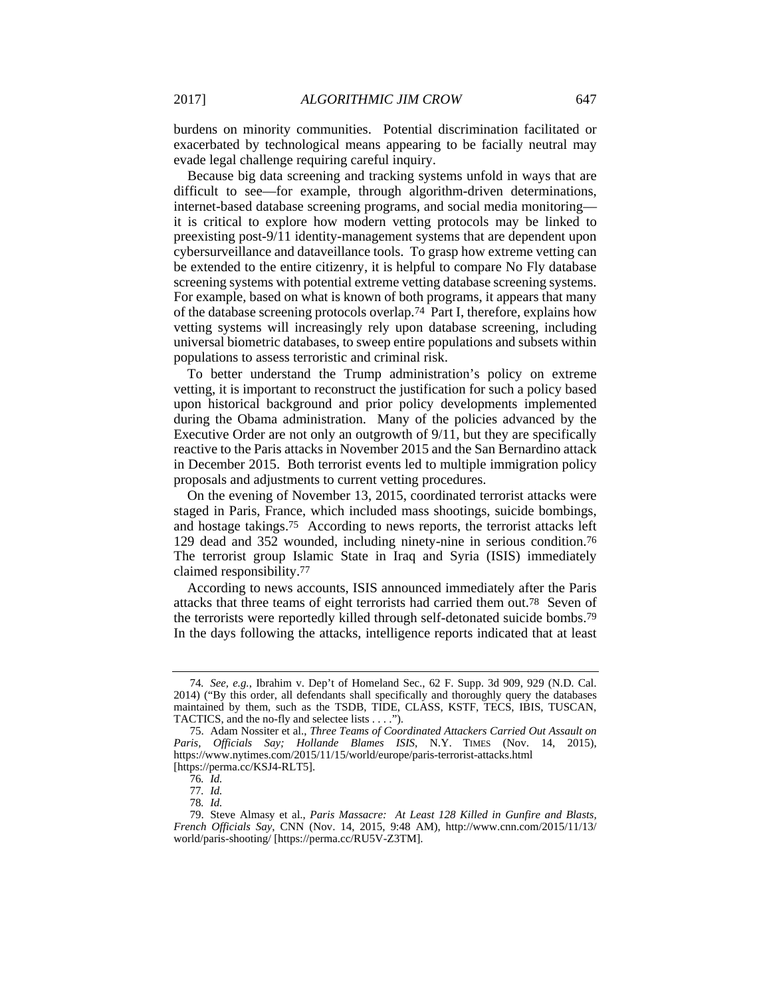burdens on minority communities. Potential discrimination facilitated or exacerbated by technological means appearing to be facially neutral may evade legal challenge requiring careful inquiry.

 Because big data screening and tracking systems unfold in ways that are difficult to see—for example, through algorithm-driven determinations, internet-based database screening programs, and social media monitoring it is critical to explore how modern vetting protocols may be linked to preexisting post-9/11 identity-management systems that are dependent upon cybersurveillance and dataveillance tools. To grasp how extreme vetting can be extended to the entire citizenry, it is helpful to compare No Fly database screening systems with potential extreme vetting database screening systems. For example, based on what is known of both programs, it appears that many of the database screening protocols overlap.74 Part I, therefore, explains how vetting systems will increasingly rely upon database screening, including universal biometric databases, to sweep entire populations and subsets within populations to assess terroristic and criminal risk.

To better understand the Trump administration's policy on extreme vetting, it is important to reconstruct the justification for such a policy based upon historical background and prior policy developments implemented during the Obama administration. Many of the policies advanced by the Executive Order are not only an outgrowth of 9/11, but they are specifically reactive to the Paris attacks in November 2015 and the San Bernardino attack in December 2015. Both terrorist events led to multiple immigration policy proposals and adjustments to current vetting procedures.

On the evening of November 13, 2015, coordinated terrorist attacks were staged in Paris, France, which included mass shootings, suicide bombings, and hostage takings.75 According to news reports, the terrorist attacks left 129 dead and 352 wounded, including ninety-nine in serious condition.76 The terrorist group Islamic State in Iraq and Syria (ISIS) immediately claimed responsibility.77

According to news accounts, ISIS announced immediately after the Paris attacks that three teams of eight terrorists had carried them out.78 Seven of the terrorists were reportedly killed through self-detonated suicide bombs.79 In the days following the attacks, intelligence reports indicated that at least

<sup>74</sup>*. See, e.g.*, Ibrahim v. Dep't of Homeland Sec., 62 F. Supp. 3d 909, 929 (N.D. Cal. 2014) ("By this order, all defendants shall specifically and thoroughly query the databases maintained by them, such as the TSDB, TIDE, CLASS, KSTF, TECS, IBIS, TUSCAN, TACTICS, and the no-fly and selectee lists . . . .").

 <sup>75.</sup> Adam Nossiter et al., *Three Teams of Coordinated Attackers Carried Out Assault on Paris, Officials Say; Hollande Blames ISIS*, N.Y. TIMES (Nov. 14, 2015), https://www.nytimes.com/2015/11/15/world/europe/paris-terrorist-attacks.html [https://perma.cc/KSJ4-RLT5].

<sup>76</sup>*. Id.*

<sup>77</sup>*. Id.*

<sup>78</sup>*. Id.*

 <sup>79.</sup> Steve Almasy et al., *Paris Massacre: At Least 128 Killed in Gunfire and Blasts, French Officials Say*, CNN (Nov. 14, 2015, 9:48 AM), http://www.cnn.com/2015/11/13/ world/paris-shooting/ [https://perma.cc/RU5V-Z3TM].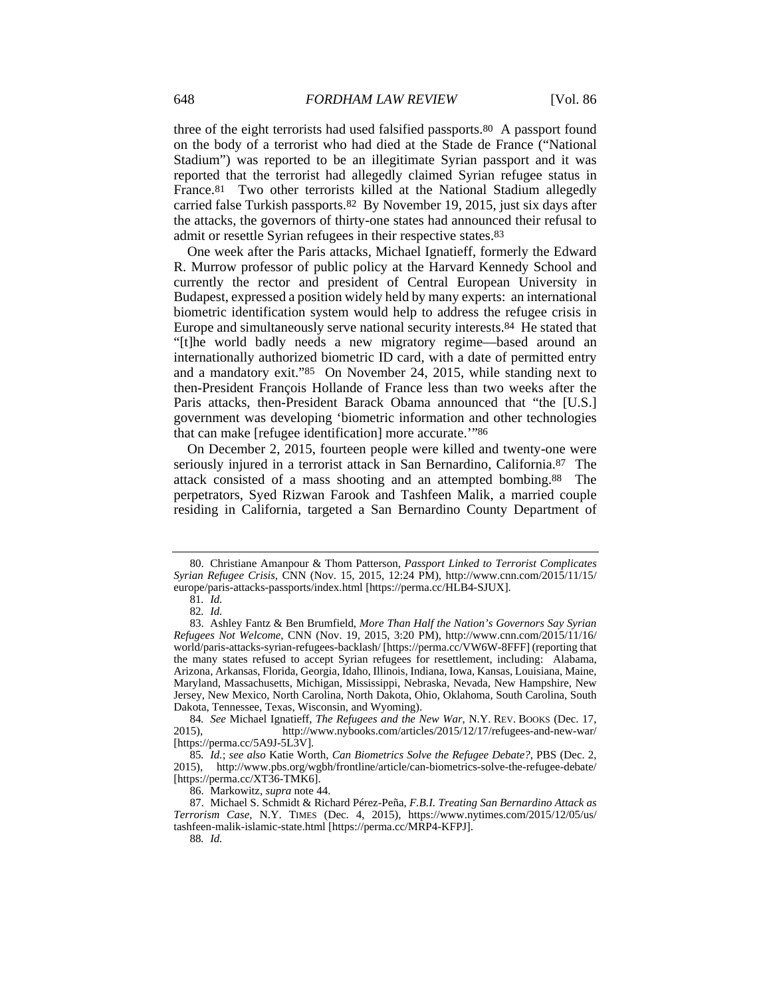three of the eight terrorists had used falsified passports.80 A passport found on the body of a terrorist who had died at the Stade de France ("National Stadium") was reported to be an illegitimate Syrian passport and it was reported that the terrorist had allegedly claimed Syrian refugee status in France.81 Two other terrorists killed at the National Stadium allegedly carried false Turkish passports.82 By November 19, 2015, just six days after the attacks, the governors of thirty-one states had announced their refusal to admit or resettle Syrian refugees in their respective states.83

One week after the Paris attacks, Michael Ignatieff, formerly the Edward R. Murrow professor of public policy at the Harvard Kennedy School and currently the rector and president of Central European University in Budapest, expressed a position widely held by many experts: an international biometric identification system would help to address the refugee crisis in Europe and simultaneously serve national security interests.84 He stated that "[t]he world badly needs a new migratory regime—based around an internationally authorized biometric ID card, with a date of permitted entry and a mandatory exit."85 On November 24, 2015, while standing next to then-President François Hollande of France less than two weeks after the Paris attacks, then-President Barack Obama announced that "the [U.S.] government was developing 'biometric information and other technologies that can make [refugee identification] more accurate.'"86

On December 2, 2015, fourteen people were killed and twenty-one were seriously injured in a terrorist attack in San Bernardino, California.87 The attack consisted of a mass shooting and an attempted bombing.88 The perpetrators, Syed Rizwan Farook and Tashfeen Malik, a married couple residing in California, targeted a San Bernardino County Department of

 <sup>80.</sup> Christiane Amanpour & Thom Patterson, *Passport Linked to Terrorist Complicates Syrian Refugee Crisis*, CNN (Nov. 15, 2015, 12:24 PM), http://www.cnn.com/2015/11/15/ europe/paris-attacks-passports/index.html [https://perma.cc/HLB4-SJUX].

<sup>81</sup>*. Id.*

<sup>82</sup>*. Id.*

 <sup>83.</sup> Ashley Fantz & Ben Brumfield, *More Than Half the Nation's Governors Say Syrian Refugees Not Welcome*, CNN (Nov. 19, 2015, 3:20 PM), http://www.cnn.com/2015/11/16/ world/paris-attacks-syrian-refugees-backlash/ [https://perma.cc/VW6W-8FFF] (reporting that the many states refused to accept Syrian refugees for resettlement, including: Alabama, Arizona, Arkansas, Florida, Georgia, Idaho, Illinois, Indiana, Iowa, Kansas, Louisiana, Maine, Maryland, Massachusetts, Michigan, Mississippi, Nebraska, Nevada, New Hampshire, New Jersey, New Mexico, North Carolina, North Dakota, Ohio, Oklahoma, South Carolina, South Dakota, Tennessee, Texas, Wisconsin, and Wyoming).

<sup>84</sup>*. See* Michael Ignatieff, *The Refugees and the New War*, N.Y. REV. BOOKS (Dec. 17, 2015), http://www.nybooks.com/articles/2015/12/17/refugees-and-new-war/ [https://perma.cc/5A9J-5L3V].

<sup>85</sup>*. Id.*; *see also* Katie Worth, *Can Biometrics Solve the Refugee Debate?*, PBS (Dec. 2, 2015), http://www.pbs.org/wgbh/frontline/article/can-biometrics-solve-the-refugee-debate/ [https://perma.cc/XT36-TMK6].

 <sup>86.</sup> Markowitz, *supra* note 44.

 <sup>87.</sup> Michael S. Schmidt & Richard Pérez-Peña, *F.B.I. Treating San Bernardino Attack as Terrorism Case*, N.Y. TIMES (Dec. 4, 2015), https://www.nytimes.com/2015/12/05/us/ tashfeen-malik-islamic-state.html [https://perma.cc/MRP4-KFPJ].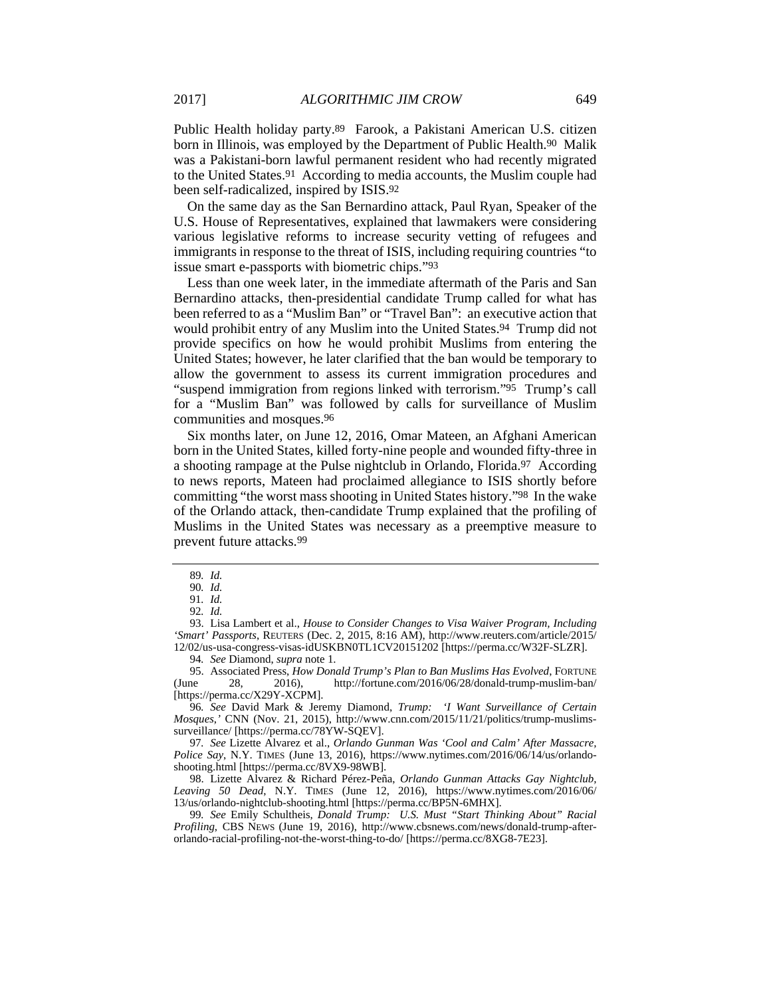Public Health holiday party.89 Farook, a Pakistani American U.S. citizen born in Illinois, was employed by the Department of Public Health.90 Malik was a Pakistani-born lawful permanent resident who had recently migrated to the United States.91 According to media accounts, the Muslim couple had been self-radicalized, inspired by ISIS.92

On the same day as the San Bernardino attack, Paul Ryan, Speaker of the U.S. House of Representatives, explained that lawmakers were considering various legislative reforms to increase security vetting of refugees and immigrants in response to the threat of ISIS, including requiring countries "to issue smart e-passports with biometric chips."93

Less than one week later, in the immediate aftermath of the Paris and San Bernardino attacks, then-presidential candidate Trump called for what has been referred to as a "Muslim Ban" or "Travel Ban": an executive action that would prohibit entry of any Muslim into the United States.<sup>94</sup> Trump did not provide specifics on how he would prohibit Muslims from entering the United States; however, he later clarified that the ban would be temporary to allow the government to assess its current immigration procedures and "suspend immigration from regions linked with terrorism."95 Trump's call for a "Muslim Ban" was followed by calls for surveillance of Muslim communities and mosques.96

Six months later, on June 12, 2016, Omar Mateen, an Afghani American born in the United States, killed forty-nine people and wounded fifty-three in a shooting rampage at the Pulse nightclub in Orlando, Florida.97 According to news reports, Mateen had proclaimed allegiance to ISIS shortly before committing "the worst mass shooting in United States history."98 In the wake of the Orlando attack, then-candidate Trump explained that the profiling of Muslims in the United States was necessary as a preemptive measure to prevent future attacks.99

<sup>89</sup>*. Id.*

<sup>90</sup>*. Id.*

<sup>91</sup>*. Id.*

<sup>92</sup>*. Id.*

 <sup>93.</sup> Lisa Lambert et al., *House to Consider Changes to Visa Waiver Program, Including 'Smart' Passports*, REUTERS (Dec. 2, 2015, 8:16 AM), http://www.reuters.com/article/2015/ 12/02/us-usa-congress-visas-idUSKBN0TL1CV20151202 [https://perma.cc/W32F-SLZR].

<sup>94</sup>*. See* Diamond, *supra* note 1.

 <sup>95.</sup> Associated Press, *How Donald Trump's Plan to Ban Muslims Has Evolved*, FORTUNE (June 28, 2016), http://fortune.com/2016/06/28/donald-trump-muslim-ban/ [https://perma.cc/X29Y-XCPM].

<sup>96</sup>*. See* David Mark & Jeremy Diamond, *Trump: 'I Want Surveillance of Certain Mosques*,*'* CNN (Nov. 21, 2015), http://www.cnn.com/2015/11/21/politics/trump-muslimssurveillance/ [https://perma.cc/78YW-SQEV].

<sup>97</sup>*. See* Lizette Alvarez et al., *Orlando Gunman Was 'Cool and Calm' After Massacre, Police Say*, N.Y. TIMES (June 13, 2016), https://www.nytimes.com/2016/06/14/us/orlandoshooting.html [https://perma.cc/8VX9-98WB].

 <sup>98.</sup> Lizette Alvarez & Richard Pérez-Peña, *Orlando Gunman Attacks Gay Nightclub, Leaving 50 Dead*, N.Y. TIMES (June 12, 2016), https://www.nytimes.com/2016/06/ 13/us/orlando-nightclub-shooting.html [https://perma.cc/BP5N-6MHX].

<sup>99</sup>*. See* Emily Schultheis, *Donald Trump: U.S. Must "Start Thinking About" Racial Profiling*, CBS NEWS (June 19, 2016), http://www.cbsnews.com/news/donald-trump-afterorlando-racial-profiling-not-the-worst-thing-to-do/ [https://perma.cc/8XG8-7E23].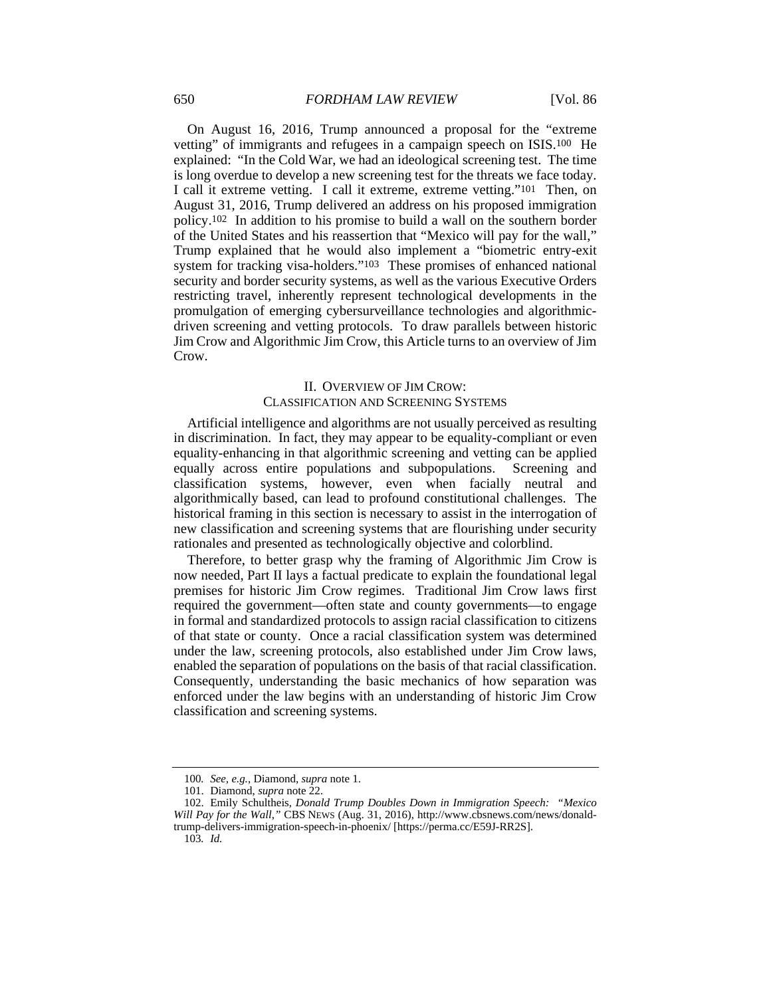On August 16, 2016, Trump announced a proposal for the "extreme vetting" of immigrants and refugees in a campaign speech on ISIS.100 He explained: "In the Cold War, we had an ideological screening test. The time is long overdue to develop a new screening test for the threats we face today. I call it extreme vetting. I call it extreme, extreme vetting."101 Then, on August 31, 2016, Trump delivered an address on his proposed immigration policy.102 In addition to his promise to build a wall on the southern border of the United States and his reassertion that "Mexico will pay for the wall," Trump explained that he would also implement a "biometric entry-exit system for tracking visa-holders."103 These promises of enhanced national security and border security systems, as well as the various Executive Orders restricting travel, inherently represent technological developments in the promulgation of emerging cybersurveillance technologies and algorithmicdriven screening and vetting protocols. To draw parallels between historic Jim Crow and Algorithmic Jim Crow, this Article turns to an overview of Jim Crow.

# II. OVERVIEW OF JIM CROW: CLASSIFICATION AND SCREENING SYSTEMS

Artificial intelligence and algorithms are not usually perceived as resulting in discrimination. In fact, they may appear to be equality-compliant or even equality-enhancing in that algorithmic screening and vetting can be applied equally across entire populations and subpopulations. Screening and classification systems, however, even when facially neutral and algorithmically based, can lead to profound constitutional challenges. The historical framing in this section is necessary to assist in the interrogation of new classification and screening systems that are flourishing under security rationales and presented as technologically objective and colorblind.

Therefore, to better grasp why the framing of Algorithmic Jim Crow is now needed, Part II lays a factual predicate to explain the foundational legal premises for historic Jim Crow regimes. Traditional Jim Crow laws first required the government—often state and county governments—to engage in formal and standardized protocols to assign racial classification to citizens of that state or county. Once a racial classification system was determined under the law, screening protocols, also established under Jim Crow laws, enabled the separation of populations on the basis of that racial classification. Consequently, understanding the basic mechanics of how separation was enforced under the law begins with an understanding of historic Jim Crow classification and screening systems.

<sup>100</sup>*. See, e.g.*, Diamond, *supra* note 1.

 <sup>101.</sup> Diamond, *supra* note 22.

 <sup>102.</sup> Emily Schultheis, *Donald Trump Doubles Down in Immigration Speech: "Mexico Will Pay for the Wall*,*"* CBS NEWS (Aug. 31, 2016), http://www.cbsnews.com/news/donaldtrump-delivers-immigration-speech-in-phoenix/ [https://perma.cc/E59J-RR2S].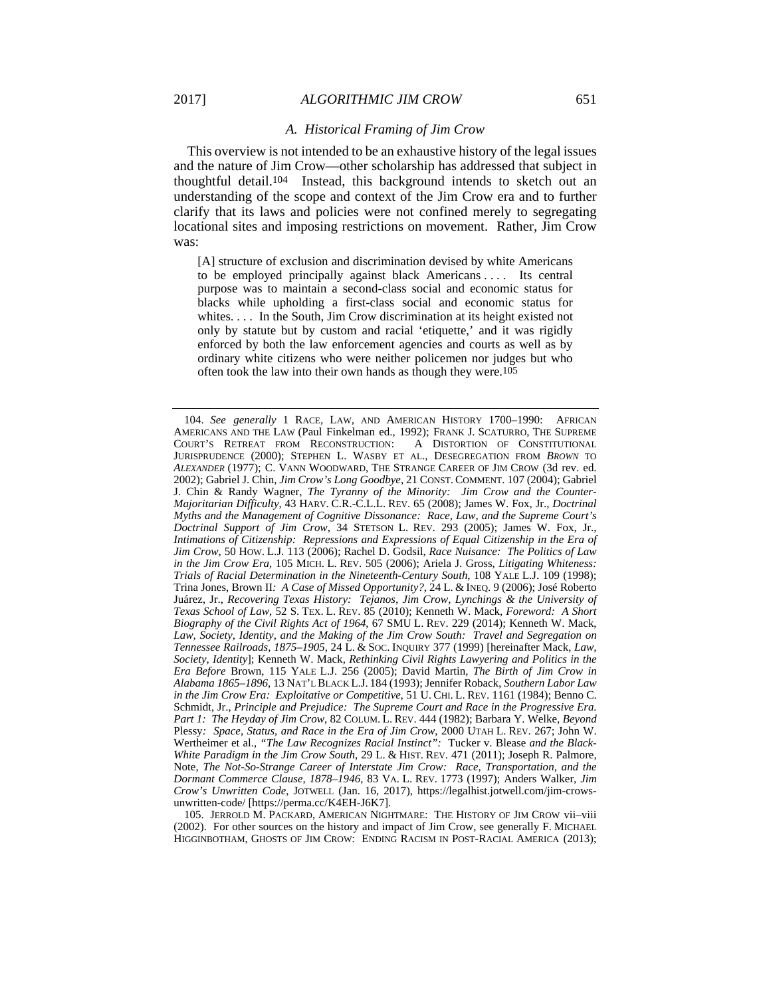#### *A. Historical Framing of Jim Crow*

This overview is not intended to be an exhaustive history of the legal issues and the nature of Jim Crow—other scholarship has addressed that subject in thoughtful detail.104 Instead, this background intends to sketch out an understanding of the scope and context of the Jim Crow era and to further clarify that its laws and policies were not confined merely to segregating locational sites and imposing restrictions on movement. Rather, Jim Crow was:

[A] structure of exclusion and discrimination devised by white Americans to be employed principally against black Americans . . . . Its central purpose was to maintain a second-class social and economic status for blacks while upholding a first-class social and economic status for whites. . . . In the South, Jim Crow discrimination at its height existed not only by statute but by custom and racial 'etiquette,' and it was rigidly enforced by both the law enforcement agencies and courts as well as by ordinary white citizens who were neither policemen nor judges but who often took the law into their own hands as though they were.105

 105. JERROLD M. PACKARD, AMERICAN NIGHTMARE: THE HISTORY OF JIM CROW vii–viii (2002). For other sources on the history and impact of Jim Crow, see generally F. MICHAEL HIGGINBOTHAM, GHOSTS OF JIM CROW: ENDING RACISM IN POST-RACIAL AMERICA (2013);

 <sup>104.</sup> *See generally* 1 RACE, LAW, AND AMERICAN HISTORY 1700–1990: AFRICAN AMERICANS AND THE LAW (Paul Finkelman ed., 1992); FRANK J. SCATURRO, THE SUPREME COURT'S RETREAT FROM RECONSTRUCTION: A DISTORTION OF CONSTITUTIONAL JURISPRUDENCE (2000); STEPHEN L. WASBY ET AL., DESEGREGATION FROM *BROWN* TO *ALEXANDER* (1977); C. VANN WOODWARD, THE STRANGE CAREER OF JIM CROW (3d rev. ed. 2002); Gabriel J. Chin, *Jim Crow's Long Goodbye*, 21 CONST. COMMENT. 107 (2004); Gabriel J. Chin & Randy Wagner, *The Tyranny of the Minority: Jim Crow and the Counter-Majoritarian Difficulty*, 43 HARV. C.R.-C.L.L. REV. 65 (2008); James W. Fox, Jr., *Doctrinal Myths and the Management of Cognitive Dissonance: Race, Law, and the Supreme Court's Doctrinal Support of Jim Crow*, 34 STETSON L. REV. 293 (2005); James W. Fox, Jr., *Intimations of Citizenship: Repressions and Expressions of Equal Citizenship in the Era of Jim Crow*, 50 HOW. L.J. 113 (2006); Rachel D. Godsil, *Race Nuisance: The Politics of Law in the Jim Crow Era*, 105 MICH. L. REV. 505 (2006); Ariela J. Gross, *Litigating Whiteness: Trials of Racial Determination in the Nineteenth-Century South*, 108 YALE L.J. 109 (1998); Trina Jones, Brown II*: A Case of Missed Opportunity?*, 24 L. & INEQ. 9 (2006); José Roberto Juárez, Jr., *Recovering Texas History: Tejanos, Jim Crow, Lynchings & the University of Texas School of Law*, 52 S. TEX. L. REV. 85 (2010); Kenneth W. Mack, *Foreword: A Short Biography of the Civil Rights Act of 1964*, 67 SMU L. REV. 229 (2014); Kenneth W. Mack, *Law, Society, Identity, and the Making of the Jim Crow South: Travel and Segregation on Tennessee Railroads, 1875–1905*, 24 L. & SOC. INQUIRY 377 (1999) [hereinafter Mack, *Law, Society, Identity*]; Kenneth W. Mack, *Rethinking Civil Rights Lawyering and Politics in the Era Before* Brown, 115 YALE L.J. 256 (2005); David Martin, *The Birth of Jim Crow in Alabama 1865–1896*, 13 NAT'L BLACK L.J. 184 (1993); Jennifer Roback, *Southern Labor Law in the Jim Crow Era: Exploitative or Competitive*, 51 U. CHI. L. REV. 1161 (1984); Benno C. Schmidt, Jr., *Principle and Prejudice: The Supreme Court and Race in the Progressive Era. Part 1: The Heyday of Jim Crow*, 82 COLUM. L. REV. 444 (1982); Barbara Y. Welke, *Beyond*  Plessy*: Space, Status, and Race in the Era of Jim Crow*, 2000 UTAH L. REV. 267; John W. Wertheimer et al., *"The Law Recognizes Racial Instinct":* Tucker v. Blease *and the Black-White Paradigm in the Jim Crow South*, 29 L. & HIST. REV. 471 (2011); Joseph R. Palmore, Note, *The Not-So-Strange Career of Interstate Jim Crow: Race, Transportation, and the Dormant Commerce Clause, 1878–1946*, 83 VA. L. REV. 1773 (1997); Anders Walker, *Jim Crow's Unwritten Code*, JOTWELL (Jan. 16, 2017), https://legalhist.jotwell.com/jim-crowsunwritten-code/ [https://perma.cc/K4EH-J6K7].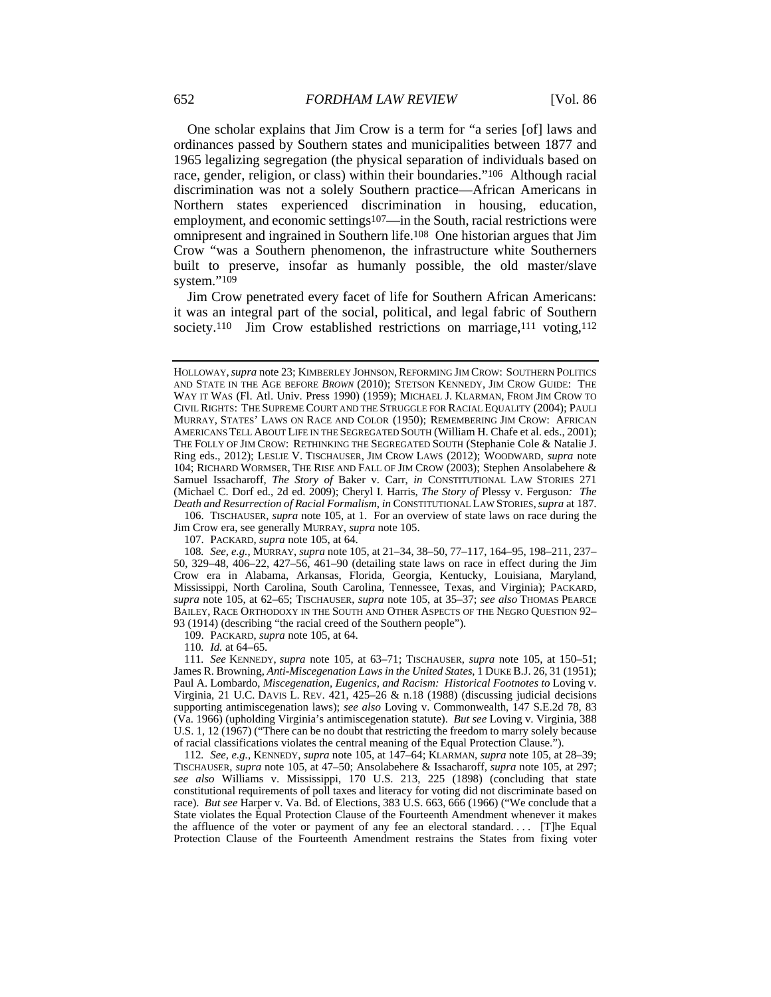One scholar explains that Jim Crow is a term for "a series [of] laws and ordinances passed by Southern states and municipalities between 1877 and 1965 legalizing segregation (the physical separation of individuals based on race, gender, religion, or class) within their boundaries."106 Although racial discrimination was not a solely Southern practice—African Americans in Northern states experienced discrimination in housing, education, employment, and economic settings<sup>107</sup>—in the South, racial restrictions were omnipresent and ingrained in Southern life.108 One historian argues that Jim Crow "was a Southern phenomenon, the infrastructure white Southerners built to preserve, insofar as humanly possible, the old master/slave system."109

Jim Crow penetrated every facet of life for Southern African Americans: it was an integral part of the social, political, and legal fabric of Southern society.<sup>110</sup> Jim Crow established restrictions on marriage,<sup>111</sup> voting,<sup>112</sup>

 106. TISCHAUSER, *supra* note 105, at 1. For an overview of state laws on race during the Jim Crow era, see generally MURRAY, *supra* note 105.

107. PACKARD, *supra* note 105, at 64.

108*. See, e.g.*, MURRAY, *supra* note 105, at 21–34, 38–50, 77–117, 164–95, 198–211, 237– 50, 329–48, 406–22, 427–56, 461–90 (detailing state laws on race in effect during the Jim Crow era in Alabama, Arkansas, Florida, Georgia, Kentucky, Louisiana, Maryland, Mississippi, North Carolina, South Carolina, Tennessee, Texas, and Virginia); PACKARD, *supra* note 105, at 62–65; TISCHAUSER, *supra* note 105, at 35–37; *see also* THOMAS PEARCE BAILEY, RACE ORTHODOXY IN THE SOUTH AND OTHER ASPECTS OF THE NEGRO QUESTION 92– 93 (1914) (describing "the racial creed of the Southern people").

109. PACKARD, *supra* note 105, at 64.

110*. Id.* at 64–65.

111*. See* KENNEDY, *supra* note 105, at 63–71; TISCHAUSER, *supra* note 105, at 150–51; James R. Browning, *Anti-Miscegenation Laws in the United States*, 1 DUKE B.J. 26, 31 (1951); Paul A. Lombardo, Miscegenation, Eugenics, and Racism: Historical Footnotes to Loving v. Virginia, 21 U.C. DAVIS L. REV.  $421, 425-26$  & n.18 (1988) (discussing judicial decisions supporting antimiscegenation laws); *see also* Loving v. Commonwealth, 147 S.E.2d 78, 83 (Va. 1966) (upholding Virginia's antimiscegenation statute). *But see* Loving v. Virginia, 388 U.S. 1, 12 (1967) ("There can be no doubt that restricting the freedom to marry solely because of racial classifications violates the central meaning of the Equal Protection Clause.").

112*. See, e.g.*, KENNEDY, *supra* note 105, at 147–64; KLARMAN, *supra* note 105, at 28–39; TISCHAUSER, *supra* note 105, at 47–50; Ansolabehere & Issacharoff, *supra* note 105, at 297; *see also* Williams v. Mississippi, 170 U.S. 213, 225 (1898) (concluding that state constitutional requirements of poll taxes and literacy for voting did not discriminate based on race). *But see* Harper v. Va. Bd. of Elections, 383 U.S. 663, 666 (1966) ("We conclude that a State violates the Equal Protection Clause of the Fourteenth Amendment whenever it makes the affluence of the voter or payment of any fee an electoral standard. . . . [T]he Equal Protection Clause of the Fourteenth Amendment restrains the States from fixing voter

HOLLOWAY,*supra* note 23; KIMBERLEY JOHNSON, REFORMING JIM CROW: SOUTHERN POLITICS AND STATE IN THE AGE BEFORE *BROWN* (2010); STETSON KENNEDY, JIM CROW GUIDE: THE WAY IT WAS (Fl. Atl. Univ. Press 1990) (1959); MICHAEL J. KLARMAN, FROM JIM CROW TO CIVIL RIGHTS: THE SUPREME COURT AND THE STRUGGLE FOR RACIAL EQUALITY (2004); PAULI MURRAY, STATES' LAWS ON RACE AND COLOR (1950); REMEMBERING JIM CROW: AFRICAN AMERICANS TELL ABOUT LIFE IN THE SEGREGATED SOUTH (William H. Chafe et al. eds., 2001); THE FOLLY OF JIM CROW: RETHINKING THE SEGREGATED SOUTH (Stephanie Cole & Natalie J. Ring eds., 2012); LESLIE V. TISCHAUSER, JIM CROW LAWS (2012); WOODWARD, *supra* note 104; RICHARD WORMSER, THE RISE AND FALL OF JIM CROW (2003); Stephen Ansolabehere & Samuel Issacharoff, *The Story of* Baker v. Carr, *in* CONSTITUTIONAL LAW STORIES 271 (Michael C. Dorf ed., 2d ed. 2009); Cheryl I. Harris, *The Story of* Plessy v. Ferguson*: The Death and Resurrection of Racial Formalism*, *in* CONSTITUTIONAL LAW STORIES,*supra* at 187.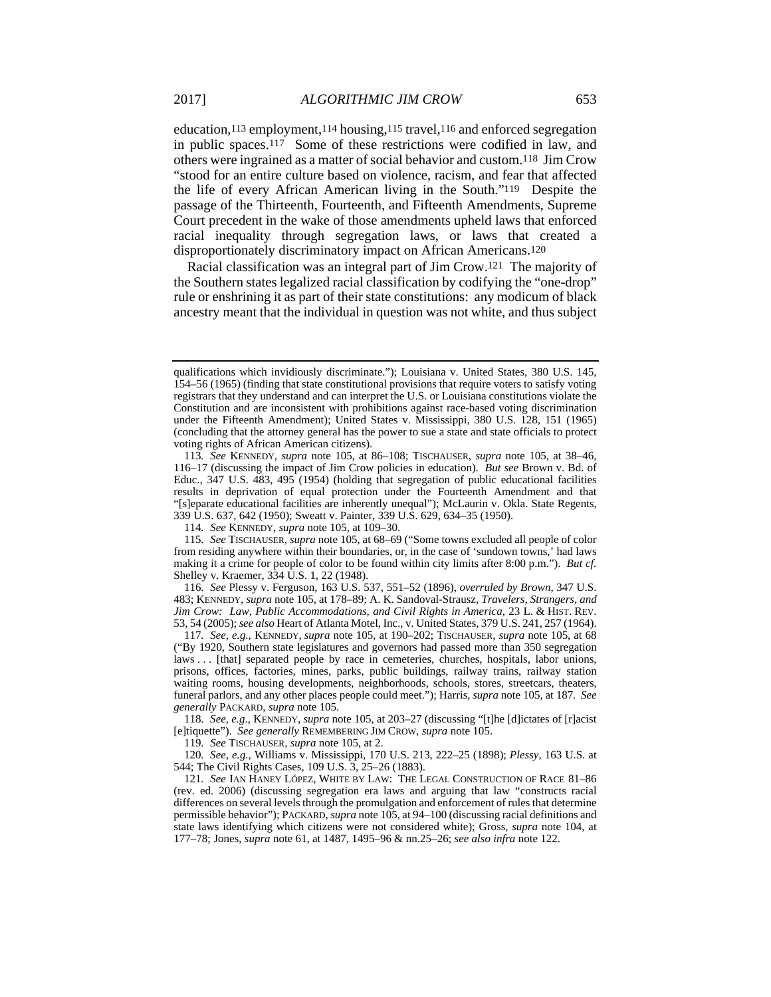education,113 employment,114 housing,115 travel,116 and enforced segregation in public spaces.117 Some of these restrictions were codified in law, and others were ingrained as a matter of social behavior and custom.118 Jim Crow "stood for an entire culture based on violence, racism, and fear that affected the life of every African American living in the South."119 Despite the passage of the Thirteenth, Fourteenth, and Fifteenth Amendments, Supreme Court precedent in the wake of those amendments upheld laws that enforced racial inequality through segregation laws, or laws that created a disproportionately discriminatory impact on African Americans.120

Racial classification was an integral part of Jim Crow.121 The majority of the Southern states legalized racial classification by codifying the "one-drop" rule or enshrining it as part of their state constitutions: any modicum of black ancestry meant that the individual in question was not white, and thus subject

114*. See* KENNEDY, *supra* note 105, at 109–30.

115*. See* TISCHAUSER, *supra* note 105, at 68–69 ("Some towns excluded all people of color from residing anywhere within their boundaries, or, in the case of 'sundown towns,' had laws making it a crime for people of color to be found within city limits after 8:00 p.m."). *But cf.* Shelley v. Kraemer, 334 U.S. 1, 22 (1948).

116*. See* Plessy v. Ferguson, 163 U.S. 537, 551–52 (1896), *overruled by Brown*, 347 U.S. 483; KENNEDY, *supra* note 105, at 178–89; A. K. Sandoval-Strausz, *Travelers, Strangers, and Jim Crow: Law, Public Accommodations, and Civil Rights in America*, 23 L. & HIST. REV. 53, 54 (2005); *see also* Heart of Atlanta Motel, Inc., v. United States, 379 U.S. 241, 257 (1964).

117*. See, e.g.*, KENNEDY, *supra* note 105, at 190–202; TISCHAUSER, *supra* note 105, at 68 ("By 1920, Southern state legislatures and governors had passed more than 350 segregation laws . . . [that] separated people by race in cemeteries, churches, hospitals, labor unions, prisons, offices, factories, mines, parks, public buildings, railway trains, railway station waiting rooms, housing developments, neighborhoods, schools, stores, streetcars, theaters, funeral parlors, and any other places people could meet."); Harris, *supra* note 105, at 187*. See generally* PACKARD, *supra* note 105.

118*. See, e.g.*, KENNEDY, *supra* note 105, at 203–27 (discussing "[t]he [d]ictates of [r]acist [e]tiquette"). *See generally* REMEMBERING JIM CROW, *supra* note 105.

119*. See* TISCHAUSER, *supra* note 105, at 2.

120*. See, e.g.*, Williams v. Mississippi, 170 U.S. 213, 222–25 (1898); *Plessy*, 163 U.S. at 544; The Civil Rights Cases, 109 U.S. 3, 25–26 (1883).

121*. See* IAN HANEY LÓPEZ, WHITE BY LAW: THE LEGAL CONSTRUCTION OF RACE 81–86 (rev. ed. 2006) (discussing segregation era laws and arguing that law "constructs racial differences on several levels through the promulgation and enforcement of rules that determine permissible behavior"); PACKARD, *supra* note 105, at 94–100 (discussing racial definitions and state laws identifying which citizens were not considered white); Gross, *supra* note 104, at 177–78; Jones, *supra* note 61, at 1487, 1495–96 & nn.25–26; *see also infra* note 122.

qualifications which invidiously discriminate."); Louisiana v. United States, 380 U.S. 145, 154–56 (1965) (finding that state constitutional provisions that require voters to satisfy voting registrars that they understand and can interpret the U.S. or Louisiana constitutions violate the Constitution and are inconsistent with prohibitions against race-based voting discrimination under the Fifteenth Amendment); United States v. Mississippi, 380 U.S. 128, 151 (1965) (concluding that the attorney general has the power to sue a state and state officials to protect voting rights of African American citizens).

<sup>113</sup>*. See* KENNEDY, *supra* note 105, at 86–108; TISCHAUSER, *supra* note 105, at 38–46, 116–17 (discussing the impact of Jim Crow policies in education). *But see* Brown v. Bd. of Educ., 347 U.S. 483, 495 (1954) (holding that segregation of public educational facilities results in deprivation of equal protection under the Fourteenth Amendment and that "[s]eparate educational facilities are inherently unequal"); McLaurin v. Okla. State Regents, 339 U.S. 637, 642 (1950); Sweatt v. Painter, 339 U.S. 629, 634–35 (1950).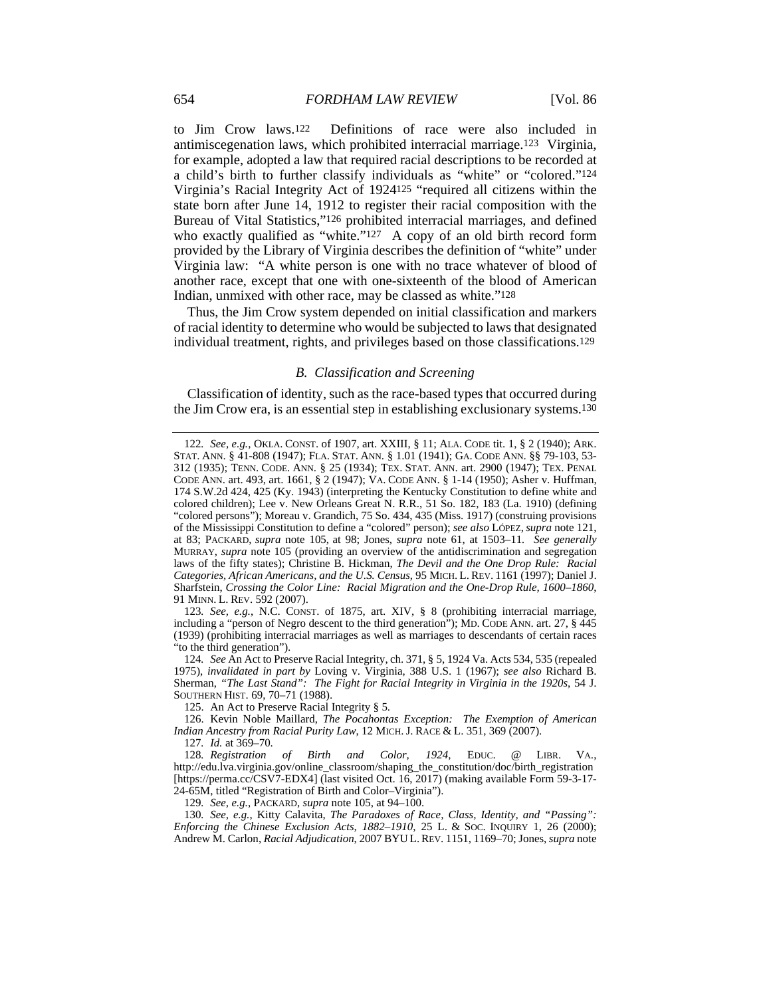to Jim Crow laws.122 Definitions of race were also included in antimiscegenation laws, which prohibited interracial marriage.123 Virginia, for example, adopted a law that required racial descriptions to be recorded at a child's birth to further classify individuals as "white" or "colored."124 Virginia's Racial Integrity Act of 1924125 "required all citizens within the state born after June 14, 1912 to register their racial composition with the Bureau of Vital Statistics,"126 prohibited interracial marriages, and defined who exactly qualified as "white."<sup>127</sup> A copy of an old birth record form provided by the Library of Virginia describes the definition of "white" under Virginia law: "A white person is one with no trace whatever of blood of another race, except that one with one-sixteenth of the blood of American Indian, unmixed with other race, may be classed as white."128

Thus, the Jim Crow system depended on initial classification and markers of racial identity to determine who would be subjected to laws that designated individual treatment, rights, and privileges based on those classifications.129

#### *B. Classification and Screening*

Classification of identity, such as the race-based types that occurred during the Jim Crow era, is an essential step in establishing exclusionary systems.130

127*. Id.* at 369–70.

129*. See, e.g.*, PACKARD, *supra* note 105, at 94–100.

130*. See, e.g.*, Kitty Calavita, *The Paradoxes of Race, Class, Identity, and "Passing": Enforcing the Chinese Exclusion Acts, 1882–1910*, 25 L. & SOC. INQUIRY 1, 26 (2000); Andrew M. Carlon, *Racial Adjudication*, 2007 BYU L.REV. 1151, 1169–70; Jones, *supra* note

<sup>122</sup>*. See, e.g.*, OKLA. CONST. of 1907, art. XXIII, § 11; ALA. CODE tit. 1, § 2 (1940); ARK. STAT. ANN. § 41-808 (1947); FLA. STAT. ANN. § 1.01 (1941); GA. CODE ANN. §§ 79-103, 53- 312 (1935); TENN. CODE. ANN. § 25 (1934); TEX. STAT. ANN. art. 2900 (1947); TEX. PENAL CODE ANN. art. 493, art. 1661, § 2 (1947); VA. CODE ANN. § 1-14 (1950); Asher v. Huffman, 174 S.W.2d 424, 425 (Ky. 1943) (interpreting the Kentucky Constitution to define white and colored children); Lee v. New Orleans Great N. R.R., 51 So. 182, 183 (La. 1910) (defining "colored persons"); Moreau v. Grandich, 75 So. 434, 435 (Miss. 1917) (construing provisions of the Mississippi Constitution to define a "colored" person); *see also* LÓPEZ, *supra* note 121, at 83; PACKARD, *supra* note 105, at 98; Jones, *supra* note 61, at 1503–11*. See generally* MURRAY, *supra* note 105 (providing an overview of the antidiscrimination and segregation laws of the fifty states); Christine B. Hickman, *The Devil and the One Drop Rule: Racial Categories, African Americans, and the U.S. Census*, 95 MICH. L. REV. 1161 (1997); Daniel J. Sharfstein, *Crossing the Color Line: Racial Migration and the One-Drop Rule, 1600–1860*, 91 MINN. L. REV. 592 (2007).

<sup>123</sup>*. See, e.g.*, N.C. CONST. of 1875, art. XIV, § 8 (prohibiting interracial marriage, including a "person of Negro descent to the third generation"); MD. CODE ANN. art. 27, § 445 (1939) (prohibiting interracial marriages as well as marriages to descendants of certain races "to the third generation").

<sup>124</sup>*. See* An Act to Preserve Racial Integrity, ch. 371, § 5, 1924 Va. Acts 534, 535 (repealed 1975), *invalidated in part by* Loving v. Virginia, 388 U.S. 1 (1967); *see also* Richard B. Sherman, *"The Last Stand": The Fight for Racial Integrity in Virginia in the 1920s*, 54 J. SOUTHERN HIST. 69, 70–71 (1988).

 <sup>125.</sup> An Act to Preserve Racial Integrity § 5.

 <sup>126.</sup> Kevin Noble Maillard, *The Pocahontas Exception: The Exemption of American Indian Ancestry from Racial Purity Law*, 12 MICH. J. RACE & L. 351, 369 (2007).

<sup>128</sup>*. Registration of Birth and Color, 1924*, EDUC. @ LIBR. VA., http://edu.lva.virginia.gov/online\_classroom/shaping\_the\_constitution/doc/birth\_registration [https://perma.cc/CSV7-EDX4] (last visited Oct. 16, 2017) (making available Form 59-3-17- 24-65M, titled "Registration of Birth and Color–Virginia").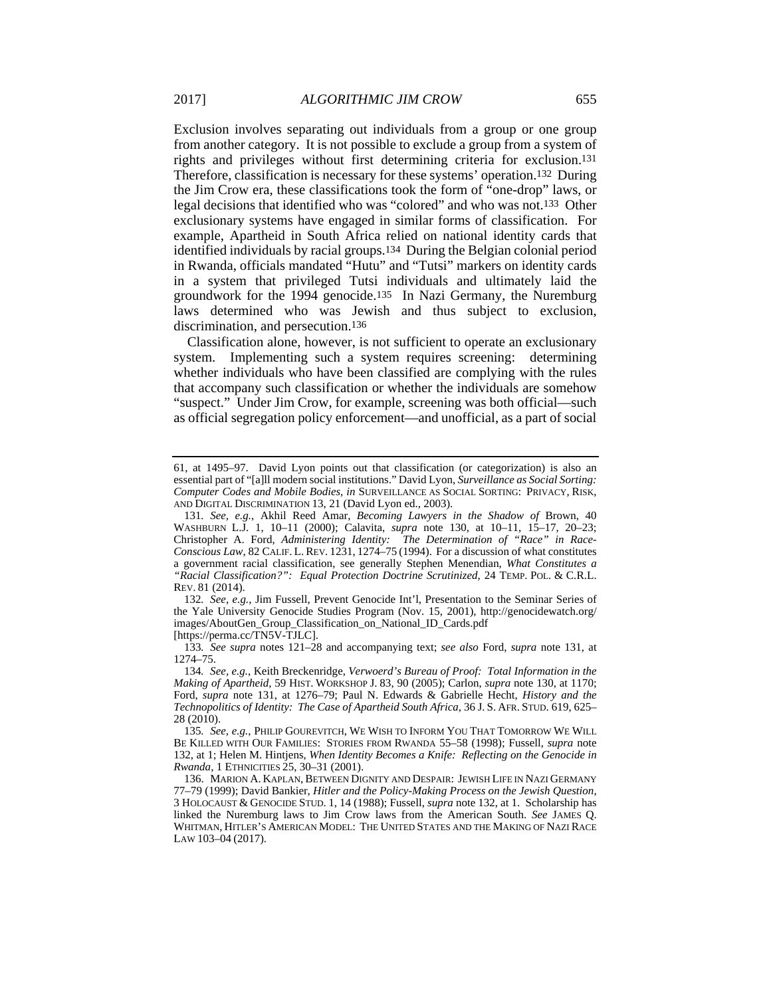Exclusion involves separating out individuals from a group or one group from another category. It is not possible to exclude a group from a system of rights and privileges without first determining criteria for exclusion.131 Therefore, classification is necessary for these systems' operation.132 During the Jim Crow era, these classifications took the form of "one-drop" laws, or legal decisions that identified who was "colored" and who was not.133 Other exclusionary systems have engaged in similar forms of classification. For example, Apartheid in South Africa relied on national identity cards that identified individuals by racial groups.134 During the Belgian colonial period in Rwanda, officials mandated "Hutu" and "Tutsi" markers on identity cards in a system that privileged Tutsi individuals and ultimately laid the groundwork for the 1994 genocide.135 In Nazi Germany, the Nuremburg laws determined who was Jewish and thus subject to exclusion, discrimination, and persecution.136

Classification alone, however, is not sufficient to operate an exclusionary system. Implementing such a system requires screening: determining whether individuals who have been classified are complying with the rules that accompany such classification or whether the individuals are somehow "suspect." Under Jim Crow, for example, screening was both official—such as official segregation policy enforcement—and unofficial, as a part of social

132*. See, e.g.*, Jim Fussell, Prevent Genocide Int'l, Presentation to the Seminar Series of the Yale University Genocide Studies Program (Nov. 15, 2001), http://genocidewatch.org/ images/AboutGen\_Group\_Classification\_on\_National\_ID\_Cards.pdf

[https://perma.cc/TN5V-TJLC].

133*. See supra* notes 121–28 and accompanying text; *see also* Ford, *supra* note 131, at 1274–75.

<sup>61,</sup> at 1495–97. David Lyon points out that classification (or categorization) is also an essential part of "[a]ll modern social institutions." David Lyon, *Surveillance as Social Sorting: Computer Codes and Mobile Bodies*, *in* SURVEILLANCE AS SOCIAL SORTING: PRIVACY, RISK, AND DIGITAL DISCRIMINATION 13, 21 (David Lyon ed., 2003).

<sup>131</sup>*. See, e.g.*, Akhil Reed Amar, *Becoming Lawyers in the Shadow of* Brown, 40 WASHBURN L.J. 1, 10–11 (2000); Calavita, *supra* note 130, at 10–11, 15–17, 20–23; Christopher A. Ford, *Administering Identity: The Determination of "Race" in Race-Conscious Law*, 82 CALIF. L. REV. 1231, 1274–75 (1994). For a discussion of what constitutes a government racial classification, see generally Stephen Menendian, *What Constitutes a "Racial Classification?": Equal Protection Doctrine Scrutinized*, 24 TEMP. POL. & C.R.L. REV. 81 (2014).

<sup>134</sup>*. See, e.g.*, Keith Breckenridge, *Verwoerd's Bureau of Proof: Total Information in the Making of Apartheid*, 59 HIST. WORKSHOP J. 83, 90 (2005); Carlon, *supra* note 130, at 1170; Ford, *supra* note 131, at 1276–79; Paul N. Edwards & Gabrielle Hecht, *History and the Technopolitics of Identity: The Case of Apartheid South Africa*, 36 J. S. AFR. STUD. 619, 625– 28 (2010).

<sup>135</sup>*. See, e.g.*, PHILIP GOUREVITCH, WE WISH TO INFORM YOU THAT TOMORROW WE WILL BE KILLED WITH OUR FAMILIES: STORIES FROM RWANDA 55–58 (1998); Fussell, *supra* note 132, at 1; Helen M. Hintjens, *When Identity Becomes a Knife: Reflecting on the Genocide in Rwanda*, 1 ETHNICITIES 25, 30–31 (2001).

 <sup>136.</sup> MARION A. KAPLAN, BETWEEN DIGNITY AND DESPAIR: JEWISH LIFE IN NAZI GERMANY 77–79 (1999); David Bankier, *Hitler and the Policy-Making Process on the Jewish Question*, 3 HOLOCAUST & GENOCIDE STUD. 1, 14 (1988); Fussell, *supra* note 132, at 1. Scholarship has linked the Nuremburg laws to Jim Crow laws from the American South. *See* JAMES Q. WHITMAN, HITLER'S AMERICAN MODEL: THE UNITED STATES AND THE MAKING OF NAZI RACE LAW 103–04 (2017).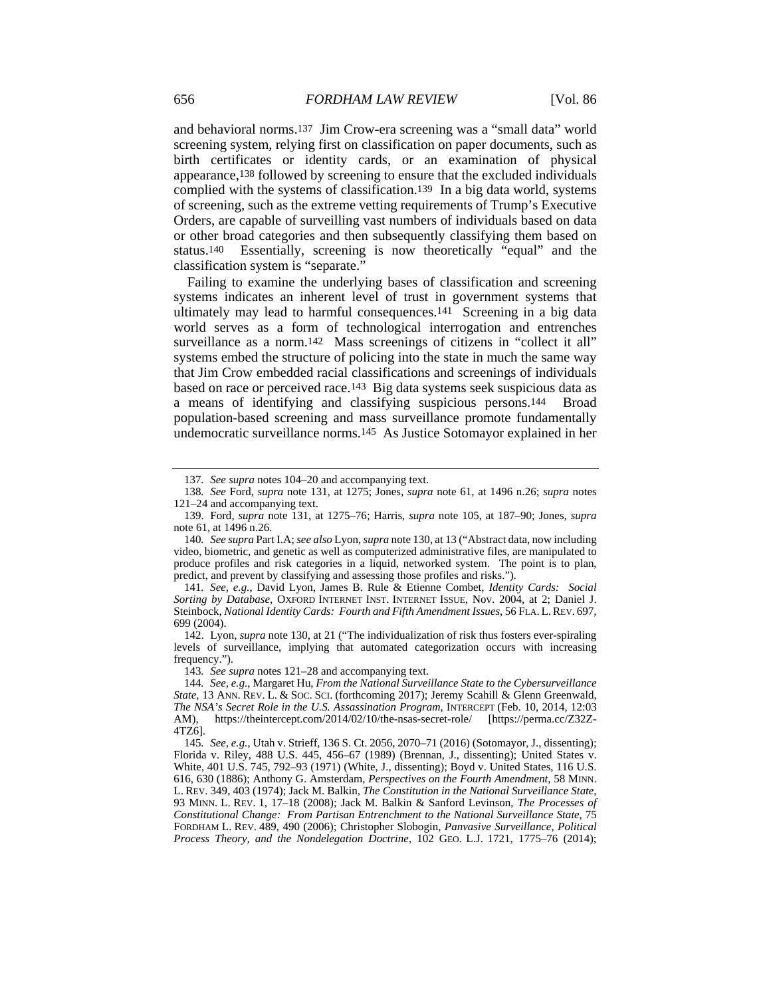and behavioral norms.137 Jim Crow-era screening was a "small data" world screening system, relying first on classification on paper documents, such as birth certificates or identity cards, or an examination of physical appearance,138 followed by screening to ensure that the excluded individuals complied with the systems of classification.139 In a big data world, systems of screening, such as the extreme vetting requirements of Trump's Executive Orders, are capable of surveilling vast numbers of individuals based on data or other broad categories and then subsequently classifying them based on status.140 Essentially, screening is now theoretically "equal" and the classification system is "separate."

Failing to examine the underlying bases of classification and screening systems indicates an inherent level of trust in government systems that ultimately may lead to harmful consequences.141 Screening in a big data world serves as a form of technological interrogation and entrenches surveillance as a norm.142 Mass screenings of citizens in "collect it all" systems embed the structure of policing into the state in much the same way that Jim Crow embedded racial classifications and screenings of individuals based on race or perceived race.143 Big data systems seek suspicious data as a means of identifying and classifying suspicious persons.144 Broad population-based screening and mass surveillance promote fundamentally undemocratic surveillance norms.145 As Justice Sotomayor explained in her

143*. See supra* notes 121–28 and accompanying text.

<sup>137</sup>*. See supra* notes 104–20 and accompanying text.

<sup>138</sup>*. See* Ford, *supra* note 131, at 1275; Jones, *supra* note 61, at 1496 n.26; *supra* notes 121–24 and accompanying text.

 <sup>139.</sup> Ford, *supra* note 131, at 1275–76; Harris, *supra* note 105, at 187–90; Jones, *supra* note 61, at 1496 n.26.

<sup>140</sup>*. See supra* Part I.A; *see also* Lyon, *supra* note 130, at 13 ("Abstract data, now including video, biometric, and genetic as well as computerized administrative files, are manipulated to produce profiles and risk categories in a liquid, networked system. The point is to plan, predict, and prevent by classifying and assessing those profiles and risks.").

<sup>141</sup>*. See, e.g.*, David Lyon, James B. Rule & Etienne Combet, *Identity Cards: Social Sorting by Database*, OXFORD INTERNET INST. INTERNET ISSUE, Nov. 2004, at 2; Daniel J. Steinbock, *National Identity Cards: Fourth and Fifth Amendment Issues*, 56 FLA. L.REV. 697, 699 (2004).

 <sup>142.</sup> Lyon, *supra* note 130, at 21 ("The individualization of risk thus fosters ever-spiraling levels of surveillance, implying that automated categorization occurs with increasing frequency.").

<sup>144</sup>*. See, e.g.*, Margaret Hu, *From the National Surveillance State to the Cybersurveillance State*, 13 ANN. REV. L. & SOC. SCI. (forthcoming 2017); Jeremy Scahill & Glenn Greenwald, *The NSA's Secret Role in the U.S. Assassination Program*, INTERCEPT (Feb. 10, 2014, 12:03 AM), https://theintercept.com/2014/02/10/the-nsas-secret-role/ [https://perma.cc/Z32Z-4TZ6].

<sup>145</sup>*. See, e.g.*, Utah v. Strieff, 136 S. Ct. 2056, 2070–71 (2016) (Sotomayor, J., dissenting); Florida v. Riley, 488 U.S. 445, 456–67 (1989) (Brennan, J., dissenting); United States v. White, 401 U.S. 745, 792–93 (1971) (White, J., dissenting); Boyd v. United States, 116 U.S. 616, 630 (1886); Anthony G. Amsterdam, *Perspectives on the Fourth Amendment*, 58 MINN. L. REV. 349, 403 (1974); Jack M. Balkin, *The Constitution in the National Surveillance State*, 93 MINN. L. REV. 1, 17–18 (2008); Jack M. Balkin & Sanford Levinson, *The Processes of Constitutional Change: From Partisan Entrenchment to the National Surveillance State*, 75 FORDHAM L. REV. 489, 490 (2006); Christopher Slobogin, *Panvasive Surveillance, Political Process Theory, and the Nondelegation Doctrine*, 102 GEO. L.J. 1721, 1775–76 (2014);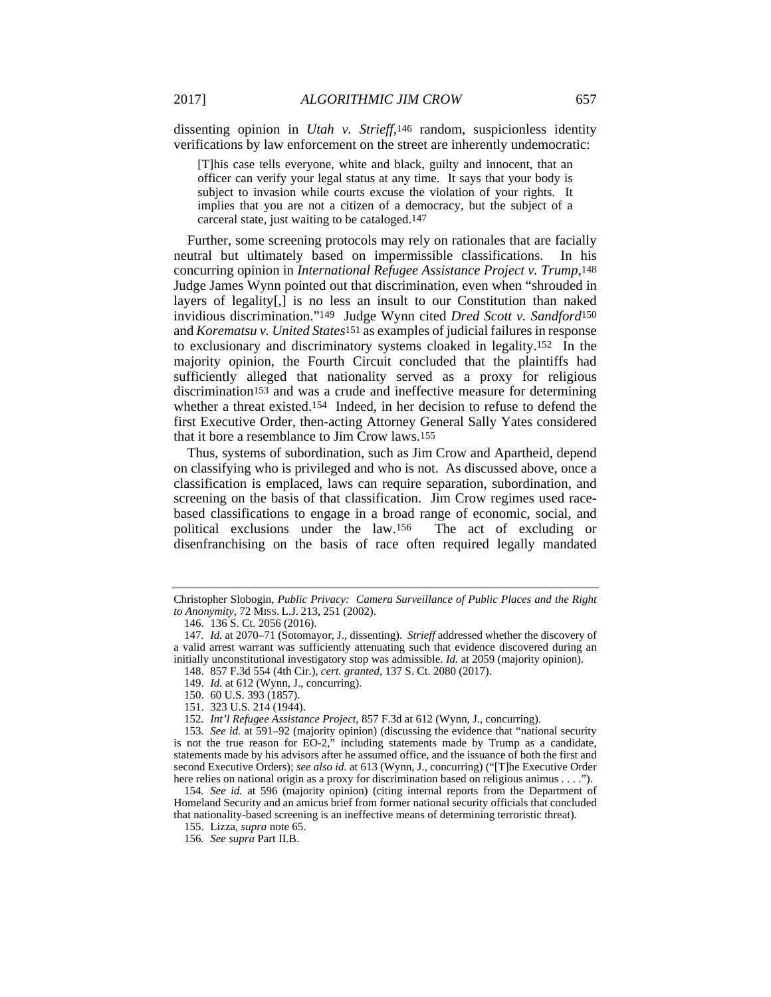dissenting opinion in *Utah v. Strieff*,146 random, suspicionless identity verifications by law enforcement on the street are inherently undemocratic:

[T]his case tells everyone, white and black, guilty and innocent, that an officer can verify your legal status at any time. It says that your body is subject to invasion while courts excuse the violation of your rights. It implies that you are not a citizen of a democracy, but the subject of a carceral state, just waiting to be cataloged.147

Further, some screening protocols may rely on rationales that are facially neutral but ultimately based on impermissible classifications. In his concurring opinion in *International Refugee Assistance Project v. Trump*,148 Judge James Wynn pointed out that discrimination, even when "shrouded in layers of legality[,] is no less an insult to our Constitution than naked invidious discrimination."149 Judge Wynn cited *Dred Scott v. Sandford*150 and *Korematsu v. United States*151 as examples of judicial failures in response to exclusionary and discriminatory systems cloaked in legality.152 In the majority opinion, the Fourth Circuit concluded that the plaintiffs had sufficiently alleged that nationality served as a proxy for religious discrimination153 and was a crude and ineffective measure for determining whether a threat existed.154 Indeed, in her decision to refuse to defend the first Executive Order, then-acting Attorney General Sally Yates considered that it bore a resemblance to Jim Crow laws.155

Thus, systems of subordination, such as Jim Crow and Apartheid, depend on classifying who is privileged and who is not. As discussed above, once a classification is emplaced, laws can require separation, subordination, and screening on the basis of that classification. Jim Crow regimes used racebased classifications to engage in a broad range of economic, social, and political exclusions under the law.156 The act of excluding or disenfranchising on the basis of race often required legally mandated

Christopher Slobogin, *Public Privacy: Camera Surveillance of Public Places and the Right to Anonymity*, 72 MISS. L.J. 213, 251 (2002).

 <sup>146. 136</sup> S. Ct. 2056 (2016).

<sup>147</sup>*. Id.* at 2070–71 (Sotomayor, J., dissenting). *Strieff* addressed whether the discovery of a valid arrest warrant was sufficiently attenuating such that evidence discovered during an initially unconstitutional investigatory stop was admissible. *Id.* at 2059 (majority opinion).

 <sup>148. 857</sup> F.3d 554 (4th Cir.), *cert. granted*, 137 S. Ct. 2080 (2017).

 <sup>149.</sup> *Id.* at 612 (Wynn, J., concurring).

 <sup>150. 60</sup> U.S. 393 (1857).

 <sup>151. 323</sup> U.S. 214 (1944).

<sup>152</sup>*. Int'l Refugee Assistance Project*, 857 F.3d at 612 (Wynn, J., concurring).

<sup>153</sup>*. See id.* at 591–92 (majority opinion) (discussing the evidence that "national security is not the true reason for EO-2," including statements made by Trump as a candidate, statements made by his advisors after he assumed office, and the issuance of both the first and second Executive Orders); *see also id.* at 613 (Wynn, J., concurring) ("[T]he Executive Order here relies on national origin as a proxy for discrimination based on religious animus . . . .").

<sup>154</sup>*. See id.* at 596 (majority opinion) (citing internal reports from the Department of Homeland Security and an amicus brief from former national security officials that concluded that nationality-based screening is an ineffective means of determining terroristic threat).

 <sup>155.</sup> Lizza, *supra* note 65.

<sup>156</sup>*. See supra* Part II.B.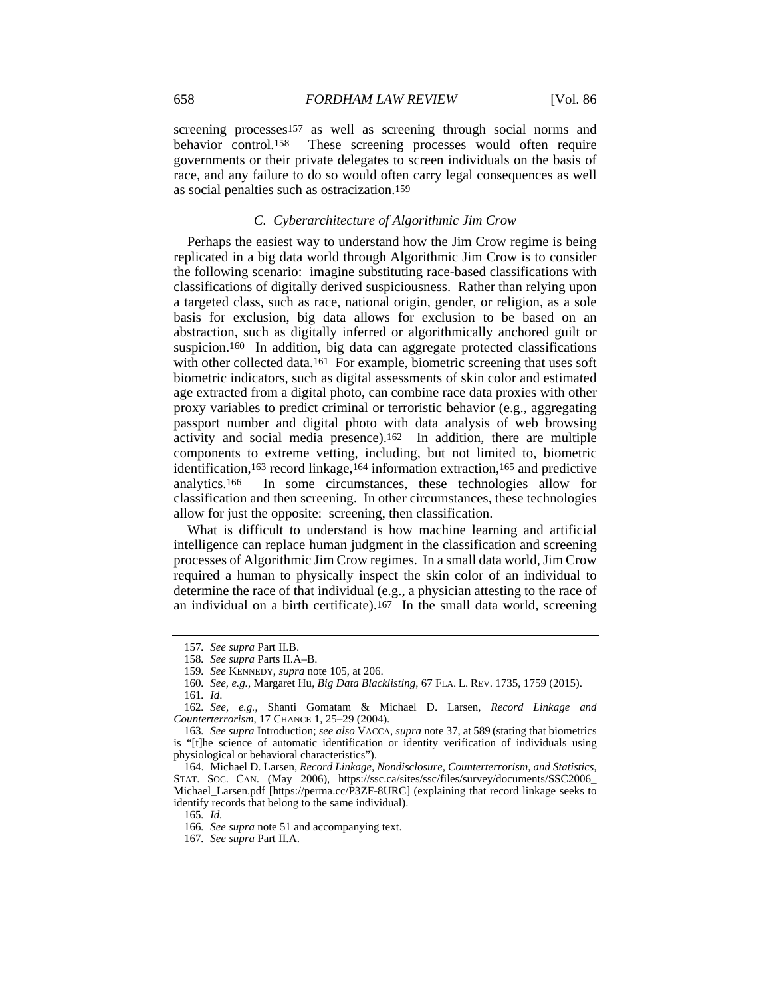screening processes<sup>157</sup> as well as screening through social norms and behavior control.158 These screening processes would often require governments or their private delegates to screen individuals on the basis of race, and any failure to do so would often carry legal consequences as well as social penalties such as ostracization.159

### *C. Cyberarchitecture of Algorithmic Jim Crow*

Perhaps the easiest way to understand how the Jim Crow regime is being replicated in a big data world through Algorithmic Jim Crow is to consider the following scenario: imagine substituting race-based classifications with classifications of digitally derived suspiciousness. Rather than relying upon a targeted class, such as race, national origin, gender, or religion, as a sole basis for exclusion, big data allows for exclusion to be based on an abstraction, such as digitally inferred or algorithmically anchored guilt or suspicion.<sup>160</sup> In addition, big data can aggregate protected classifications with other collected data.<sup>161</sup> For example, biometric screening that uses soft biometric indicators, such as digital assessments of skin color and estimated age extracted from a digital photo, can combine race data proxies with other proxy variables to predict criminal or terroristic behavior (e.g., aggregating passport number and digital photo with data analysis of web browsing activity and social media presence).162 In addition, there are multiple components to extreme vetting, including, but not limited to, biometric identification,163 record linkage,164 information extraction,165 and predictive analytics.166 In some circumstances, these technologies allow for classification and then screening. In other circumstances, these technologies allow for just the opposite: screening, then classification.

What is difficult to understand is how machine learning and artificial intelligence can replace human judgment in the classification and screening processes of Algorithmic Jim Crow regimes. In a small data world, Jim Crow required a human to physically inspect the skin color of an individual to determine the race of that individual (e.g., a physician attesting to the race of an individual on a birth certificate).167 In the small data world, screening

<sup>157</sup>*. See supra* Part II.B.

<sup>158</sup>*. See supra* Parts II.A–B.

<sup>159</sup>*. See* KENNEDY, *supra* note 105, at 206.

<sup>160</sup>*. See, e.g.*, Margaret Hu, *Big Data Blacklisting*, 67 FLA. L. REV. 1735, 1759 (2015).

<sup>161</sup>*. Id*.

<sup>162</sup>*. See, e.g.*, Shanti Gomatam & Michael D. Larsen, *Record Linkage and Counterterrorism*, 17 CHANCE 1, 25–29 (2004).

<sup>163</sup>*. See supra* Introduction; *see also* VACCA, *supra* note 37, at 589 (stating that biometrics is "[t]he science of automatic identification or identity verification of individuals using physiological or behavioral characteristics").

 <sup>164.</sup> Michael D. Larsen, *Record Linkage, Nondisclosure, Counterterrorism, and Statistics*, STAT. SOC. CAN. (May 2006), https://ssc.ca/sites/ssc/files/survey/documents/SSC2006\_ Michael\_Larsen.pdf [https://perma.cc/P3ZF-8URC] (explaining that record linkage seeks to identify records that belong to the same individual).

<sup>165</sup>*. Id.*

<sup>166</sup>*. See supra* note 51 and accompanying text.

<sup>167</sup>*. See supra* Part II.A.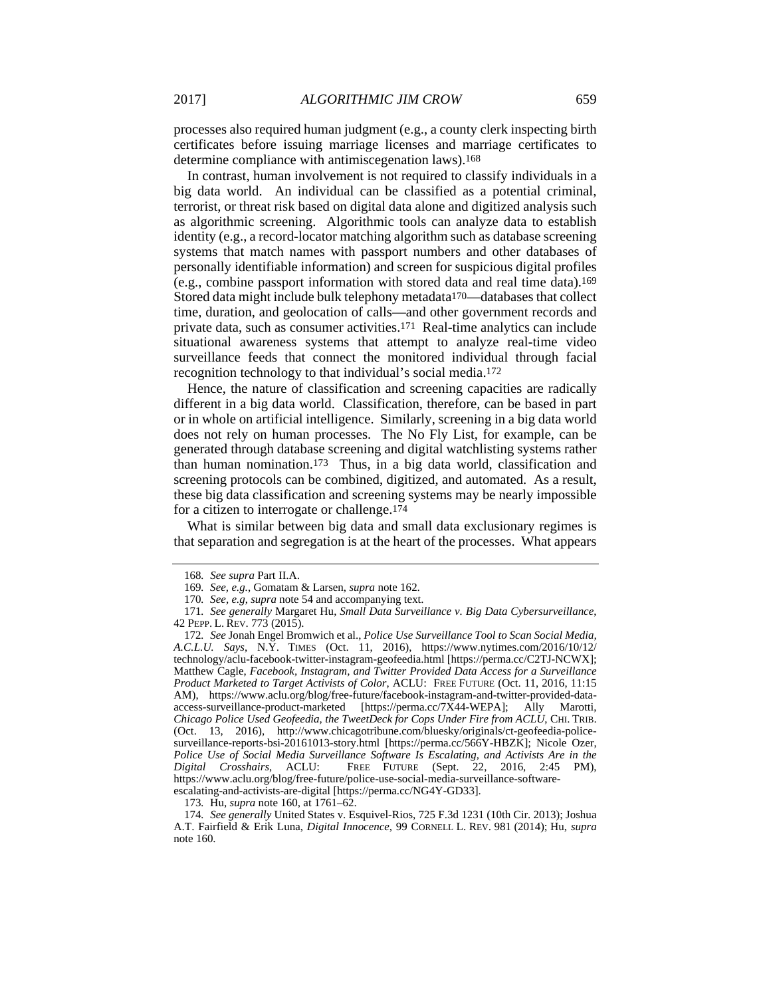processes also required human judgment (e.g., a county clerk inspecting birth certificates before issuing marriage licenses and marriage certificates to determine compliance with antimiscegenation laws).168

In contrast, human involvement is not required to classify individuals in a big data world. An individual can be classified as a potential criminal, terrorist, or threat risk based on digital data alone and digitized analysis such as algorithmic screening. Algorithmic tools can analyze data to establish identity (e.g., a record-locator matching algorithm such as database screening systems that match names with passport numbers and other databases of personally identifiable information) and screen for suspicious digital profiles (e.g., combine passport information with stored data and real time data).169 Stored data might include bulk telephony metadata170—databases that collect time, duration, and geolocation of calls—and other government records and private data, such as consumer activities.171 Real-time analytics can include situational awareness systems that attempt to analyze real-time video surveillance feeds that connect the monitored individual through facial recognition technology to that individual's social media.172

Hence, the nature of classification and screening capacities are radically different in a big data world. Classification, therefore, can be based in part or in whole on artificial intelligence. Similarly, screening in a big data world does not rely on human processes. The No Fly List, for example, can be generated through database screening and digital watchlisting systems rather than human nomination.173 Thus, in a big data world, classification and screening protocols can be combined, digitized, and automated. As a result, these big data classification and screening systems may be nearly impossible for a citizen to interrogate or challenge.174

What is similar between big data and small data exclusionary regimes is that separation and segregation is at the heart of the processes. What appears

<sup>168</sup>*. See supra* Part II.A.

<sup>169</sup>*. See, e.g.*, Gomatam & Larsen, *supra* note 162.

<sup>170</sup>*. See, e.g*, *supra* note 54 and accompanying text.

<sup>171</sup>*. See generally* Margaret Hu, *Small Data Surveillance v. Big Data Cybersurveillance*, 42 PEPP. L. REV. 773 (2015).

<sup>172</sup>*. See* Jonah Engel Bromwich et al., *Police Use Surveillance Tool to Scan Social Media, A.C.L.U. Says*, N.Y. TIMES (Oct. 11, 2016), https://www.nytimes.com/2016/10/12/ technology/aclu-facebook-twitter-instagram-geofeedia.html [https://perma.cc/C2TJ-NCWX]; Matthew Cagle, *Facebook, Instagram, and Twitter Provided Data Access for a Surveillance Product Marketed to Target Activists of Color*, ACLU: FREE FUTURE (Oct. 11, 2016, 11:15 AM), https://www.aclu.org/blog/free-future/facebook-instagram-and-twitter-provided-dataaccess-surveillance-product-marketed [https://perma.cc/7X44-WEPA]; Ally Marotti, *Chicago Police Used Geofeedia, the TweetDeck for Cops Under Fire from ACLU*, CHI. TRIB. (Oct. 13, 2016), http://www.chicagotribune.com/bluesky/originals/ct-geofeedia-policesurveillance-reports-bsi-20161013-story.html [https://perma.cc/566Y-HBZK]; Nicole Ozer, *Police Use of Social Media Surveillance Software Is Escalating, and Activists Are in the Digital Crosshairs*, ACLU: FREE FUTURE (Sept. 22, 2016, 2:45 PM), https://www.aclu.org/blog/free-future/police-use-social-media-surveillance-softwareescalating-and-activists-are-digital [https://perma.cc/NG4Y-GD33].

<sup>173</sup>*.* Hu, *supra* note 160, at 1761–62.

<sup>174</sup>*. See generally* United States v. Esquivel-Rios, 725 F.3d 1231 (10th Cir. 2013); Joshua A.T. Fairfield & Erik Luna, *Digital Innocence*, 99 CORNELL L. REV. 981 (2014); Hu, *supra* note 160.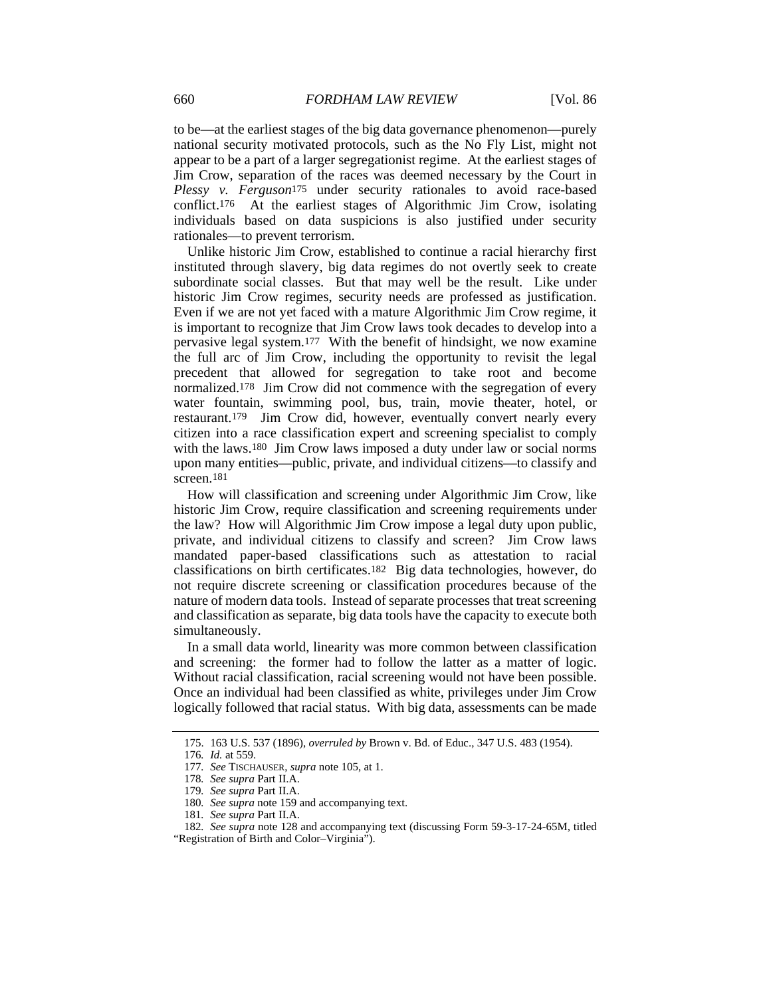to be—at the earliest stages of the big data governance phenomenon—purely national security motivated protocols, such as the No Fly List, might not appear to be a part of a larger segregationist regime. At the earliest stages of Jim Crow, separation of the races was deemed necessary by the Court in *Plessy v. Ferguson*175 under security rationales to avoid race-based conflict.176 At the earliest stages of Algorithmic Jim Crow, isolating individuals based on data suspicions is also justified under security rationales—to prevent terrorism.

Unlike historic Jim Crow, established to continue a racial hierarchy first instituted through slavery, big data regimes do not overtly seek to create subordinate social classes. But that may well be the result. Like under historic Jim Crow regimes, security needs are professed as justification. Even if we are not yet faced with a mature Algorithmic Jim Crow regime, it is important to recognize that Jim Crow laws took decades to develop into a pervasive legal system.177 With the benefit of hindsight, we now examine the full arc of Jim Crow, including the opportunity to revisit the legal precedent that allowed for segregation to take root and become normalized.178 Jim Crow did not commence with the segregation of every water fountain, swimming pool, bus, train, movie theater, hotel, or restaurant.179 Jim Crow did, however, eventually convert nearly every citizen into a race classification expert and screening specialist to comply with the laws.<sup>180</sup> Jim Crow laws imposed a duty under law or social norms upon many entities—public, private, and individual citizens—to classify and screen.181

How will classification and screening under Algorithmic Jim Crow, like historic Jim Crow, require classification and screening requirements under the law? How will Algorithmic Jim Crow impose a legal duty upon public, private, and individual citizens to classify and screen? Jim Crow laws mandated paper-based classifications such as attestation to racial classifications on birth certificates.182 Big data technologies, however, do not require discrete screening or classification procedures because of the nature of modern data tools. Instead of separate processes that treat screening and classification as separate, big data tools have the capacity to execute both simultaneously.

In a small data world, linearity was more common between classification and screening: the former had to follow the latter as a matter of logic. Without racial classification, racial screening would not have been possible. Once an individual had been classified as white, privileges under Jim Crow logically followed that racial status. With big data, assessments can be made

 <sup>175. 163</sup> U.S. 537 (1896), *overruled by* Brown v. Bd. of Educ., 347 U.S. 483 (1954).

<sup>176</sup>*. Id.* at 559.

<sup>177</sup>*. See* TISCHAUSER, *supra* note 105, at 1.

<sup>178</sup>*. See supra* Part II.A.

<sup>179</sup>*. See supra* Part II.A.

<sup>180</sup>*. See supra* note 159 and accompanying text.

<sup>181</sup>*. See supra* Part II.A.

<sup>182</sup>*. See supra* note 128 and accompanying text (discussing Form 59-3-17-24-65M, titled "Registration of Birth and Color–Virginia").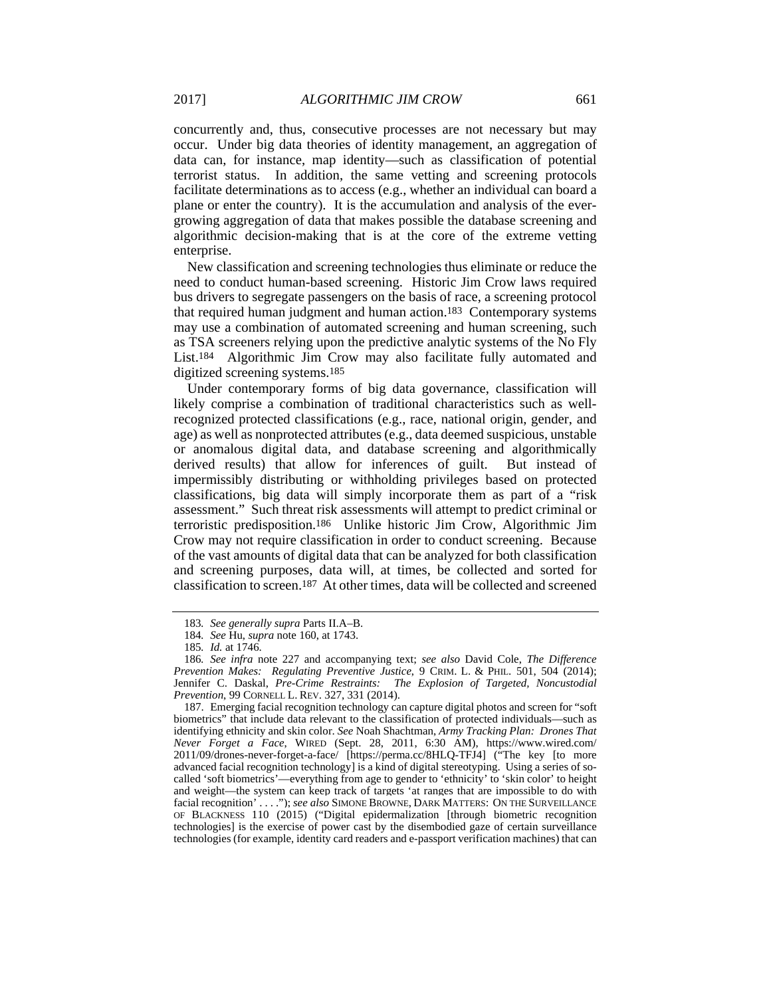concurrently and, thus, consecutive processes are not necessary but may occur. Under big data theories of identity management, an aggregation of data can, for instance, map identity—such as classification of potential terrorist status. In addition, the same vetting and screening protocols facilitate determinations as to access (e.g., whether an individual can board a plane or enter the country). It is the accumulation and analysis of the evergrowing aggregation of data that makes possible the database screening and algorithmic decision-making that is at the core of the extreme vetting enterprise.

New classification and screening technologies thus eliminate or reduce the need to conduct human-based screening. Historic Jim Crow laws required bus drivers to segregate passengers on the basis of race, a screening protocol that required human judgment and human action.183 Contemporary systems may use a combination of automated screening and human screening, such as TSA screeners relying upon the predictive analytic systems of the No Fly List.184 Algorithmic Jim Crow may also facilitate fully automated and digitized screening systems.185

Under contemporary forms of big data governance, classification will likely comprise a combination of traditional characteristics such as wellrecognized protected classifications (e.g., race, national origin, gender, and age) as well as nonprotected attributes (e.g., data deemed suspicious, unstable or anomalous digital data, and database screening and algorithmically derived results) that allow for inferences of guilt. But instead of impermissibly distributing or withholding privileges based on protected classifications, big data will simply incorporate them as part of a "risk assessment." Such threat risk assessments will attempt to predict criminal or terroristic predisposition.186 Unlike historic Jim Crow, Algorithmic Jim Crow may not require classification in order to conduct screening. Because of the vast amounts of digital data that can be analyzed for both classification and screening purposes, data will, at times, be collected and sorted for classification to screen.187 At other times, data will be collected and screened

<sup>183</sup>*. See generally supra* Parts II.A–B.

<sup>184</sup>*. See* Hu, *supra* note 160, at 1743.

<sup>185</sup>*. Id.* at 1746.

<sup>186</sup>*. See infra* note 227 and accompanying text; *see also* David Cole, *The Difference Prevention Makes: Regulating Preventive Justice*, 9 CRIM. L. & PHIL. 501, 504 (2014); Jennifer C. Daskal, *Pre-Crime Restraints: The Explosion of Targeted, Noncustodial Prevention*, 99 CORNELL L. REV. 327, 331 (2014).

 <sup>187.</sup> Emerging facial recognition technology can capture digital photos and screen for "soft biometrics" that include data relevant to the classification of protected individuals—such as identifying ethnicity and skin color. *See* Noah Shachtman, *Army Tracking Plan: Drones That Never Forget a Face*, WIRED (Sept. 28, 2011, 6:30 AM), https://www.wired.com/ 2011/09/drones-never-forget-a-face/ [https://perma.cc/8HLQ-TFJ4] ("The key [to more advanced facial recognition technology] is a kind of digital stereotyping. Using a series of socalled 'soft biometrics'—everything from age to gender to 'ethnicity' to 'skin color' to height and weight—the system can keep track of targets 'at ranges that are impossible to do with facial recognition' . . . ."); *see also* SIMONE BROWNE, DARK MATTERS: ON THE SURVEILLANCE OF BLACKNESS 110 (2015) ("Digital epidermalization [through biometric recognition technologies] is the exercise of power cast by the disembodied gaze of certain surveillance technologies (for example, identity card readers and e-passport verification machines) that can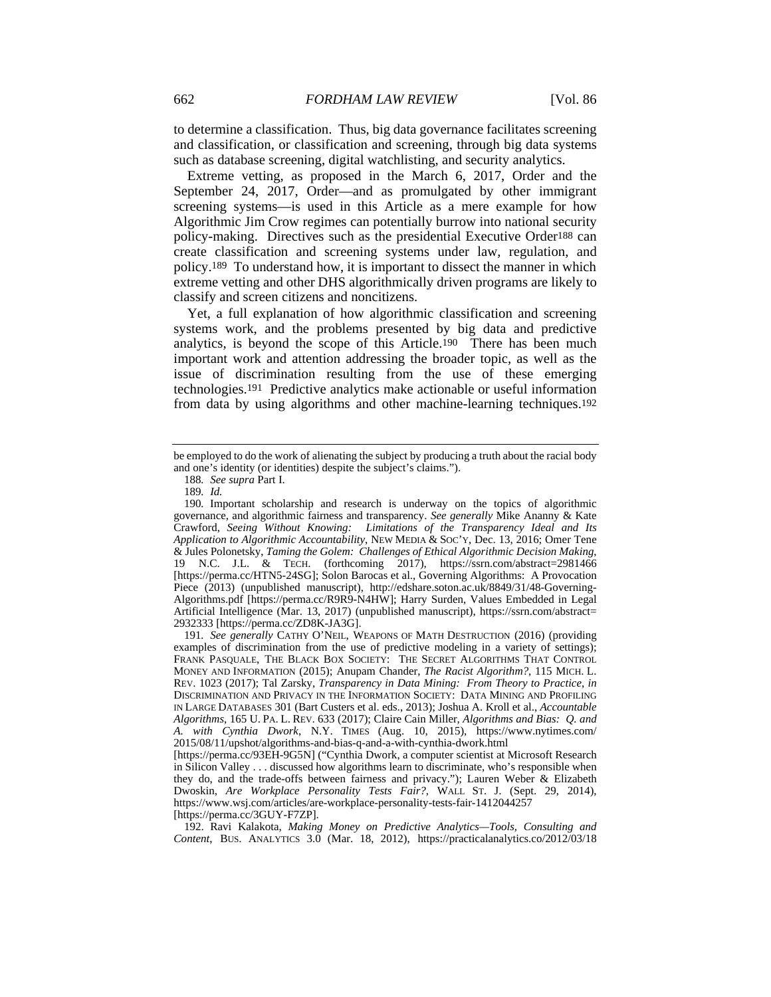to determine a classification. Thus, big data governance facilitates screening and classification, or classification and screening, through big data systems such as database screening, digital watchlisting, and security analytics.

Extreme vetting, as proposed in the March 6, 2017, Order and the September 24, 2017, Order—and as promulgated by other immigrant screening systems—is used in this Article as a mere example for how Algorithmic Jim Crow regimes can potentially burrow into national security policy-making. Directives such as the presidential Executive Order188 can create classification and screening systems under law, regulation, and policy.189 To understand how, it is important to dissect the manner in which extreme vetting and other DHS algorithmically driven programs are likely to classify and screen citizens and noncitizens.

Yet, a full explanation of how algorithmic classification and screening systems work, and the problems presented by big data and predictive analytics, is beyond the scope of this Article.190 There has been much important work and attention addressing the broader topic, as well as the issue of discrimination resulting from the use of these emerging technologies.191 Predictive analytics make actionable or useful information from data by using algorithms and other machine-learning techniques.192

 192. Ravi Kalakota, *Making Money on Predictive Analytics—Tools, Consulting and Content*, BUS. ANALYTICS 3.0 (Mar. 18, 2012), https://practicalanalytics.co/2012/03/18

be employed to do the work of alienating the subject by producing a truth about the racial body and one's identity (or identities) despite the subject's claims.").

<sup>188</sup>*. See supra* Part I.

<sup>189</sup>*. Id.*

<sup>190</sup>*.* Important scholarship and research is underway on the topics of algorithmic governance, and algorithmic fairness and transparency. *See generally* Mike Ananny & Kate Crawford, *Seeing Without Knowing: Limitations of the Transparency Ideal and Its Application to Algorithmic Accountability*, NEW MEDIA & SOC'Y, Dec. 13, 2016; Omer Tene & Jules Polonetsky, *Taming the Golem: Challenges of Ethical Algorithmic Decision Making*, 19 N.C. J.L. & TECH. (forthcoming 2017), https://ssrn.com/abstract=2981466 [https://perma.cc/HTN5-24SG]; Solon Barocas et al., Governing Algorithms: A Provocation Piece (2013) (unpublished manuscript), http://edshare.soton.ac.uk/8849/31/48-Governing-Algorithms.pdf [https://perma.cc/R9R9-N4HW]; Harry Surden, Values Embedded in Legal Artificial Intelligence (Mar. 13, 2017) (unpublished manuscript), https://ssrn.com/abstract= 2932333 [https://perma.cc/ZD8K-JA3G].

<sup>191</sup>*. See generally* CATHY O'NEIL, WEAPONS OF MATH DESTRUCTION (2016) (providing examples of discrimination from the use of predictive modeling in a variety of settings); FRANK PASQUALE, THE BLACK BOX SOCIETY: THE SECRET ALGORITHMS THAT CONTROL MONEY AND INFORMATION (2015); Anupam Chander, *The Racist Algorithm?*, 115 MICH. L. REV. 1023 (2017); Tal Zarsky, *Transparency in Data Mining: From Theory to Practice*, *in* DISCRIMINATION AND PRIVACY IN THE INFORMATION SOCIETY: DATA MINING AND PROFILING IN LARGE DATABASES 301 (Bart Custers et al. eds., 2013); Joshua A. Kroll et al., *Accountable Algorithms*, 165 U. PA. L. REV. 633 (2017); Claire Cain Miller, *Algorithms and Bias: Q. and A. with Cynthia Dwork*, N.Y. TIMES (Aug. 10, 2015), https://www.nytimes.com/ 2015/08/11/upshot/algorithms-and-bias-q-and-a-with-cynthia-dwork.html

<sup>[</sup>https://perma.cc/93EH-9G5N] ("Cynthia Dwork, a computer scientist at Microsoft Research in Silicon Valley . . . discussed how algorithms learn to discriminate, who's responsible when they do, and the trade-offs between fairness and privacy."); Lauren Weber & Elizabeth Dwoskin, *Are Workplace Personality Tests Fair?*, WALL ST. J. (Sept. 29, 2014), https://www.wsj.com/articles/are-workplace-personality-tests-fair-1412044257 [https://perma.cc/3GUY-F7ZP].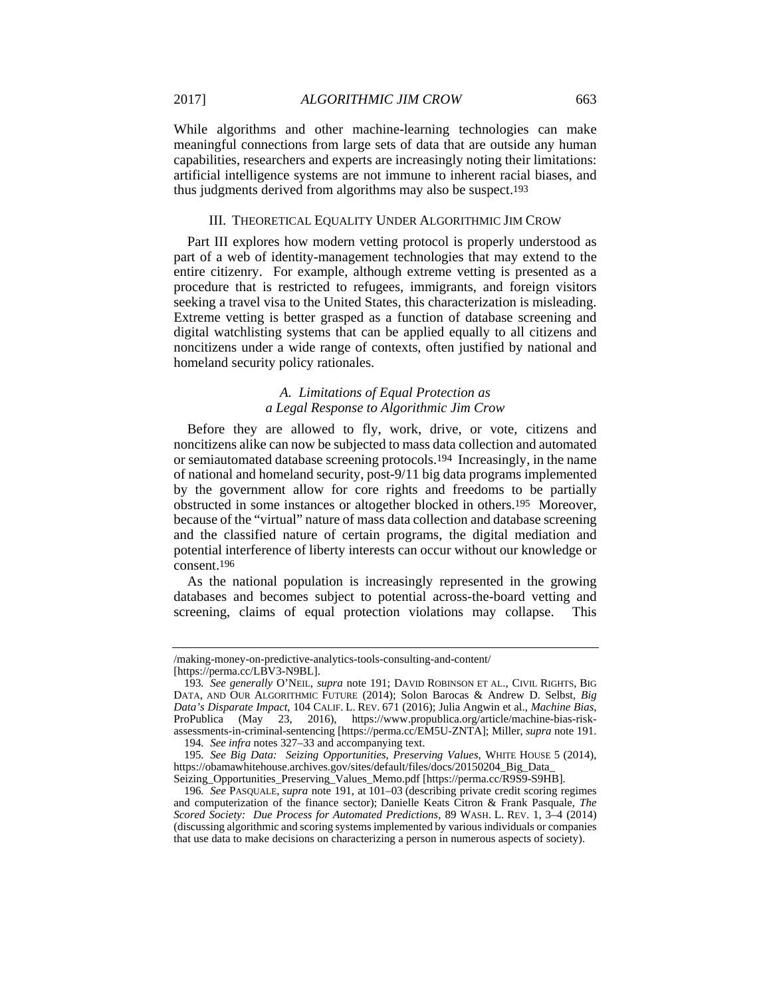While algorithms and other machine-learning technologies can make meaningful connections from large sets of data that are outside any human capabilities, researchers and experts are increasingly noting their limitations: artificial intelligence systems are not immune to inherent racial biases, and thus judgments derived from algorithms may also be suspect.193

#### III. THEORETICAL EQUALITY UNDER ALGORITHMIC JIM CROW

Part III explores how modern vetting protocol is properly understood as part of a web of identity-management technologies that may extend to the entire citizenry. For example, although extreme vetting is presented as a procedure that is restricted to refugees, immigrants, and foreign visitors seeking a travel visa to the United States, this characterization is misleading. Extreme vetting is better grasped as a function of database screening and digital watchlisting systems that can be applied equally to all citizens and noncitizens under a wide range of contexts, often justified by national and homeland security policy rationales.

# *A. Limitations of Equal Protection as a Legal Response to Algorithmic Jim Crow*

Before they are allowed to fly, work, drive, or vote, citizens and noncitizens alike can now be subjected to mass data collection and automated or semiautomated database screening protocols.194 Increasingly, in the name of national and homeland security, post-9/11 big data programs implemented by the government allow for core rights and freedoms to be partially obstructed in some instances or altogether blocked in others.195 Moreover, because of the "virtual" nature of mass data collection and database screening and the classified nature of certain programs, the digital mediation and potential interference of liberty interests can occur without our knowledge or consent.196

As the national population is increasingly represented in the growing databases and becomes subject to potential across-the-board vetting and screening, claims of equal protection violations may collapse. This

<sup>/</sup>making-money-on-predictive-analytics-tools-consulting-and-content/

<sup>[</sup>https://perma.cc/LBV3-N9BL].

<sup>193</sup>*. See generally* O'NEIL, *supra* note 191; DAVID ROBINSON ET AL., CIVIL RIGHTS, BIG DATA, AND OUR ALGORITHMIC FUTURE (2014); Solon Barocas & Andrew D. Selbst, *Big Data's Disparate Impact*, 104 CALIF. L. REV. 671 (2016); Julia Angwin et al., *Machine Bias*, ProPublica (May 23, 2016), https://www.propublica.org/article/machine-bias-riskassessments-in-criminal-sentencing [https://perma.cc/EM5U-ZNTA]; Miller, *supra* note 191. 194*. See infra* notes 327–33 and accompanying text.

<sup>195</sup>*. See Big Data: Seizing Opportunities, Preserving Values*, WHITE HOUSE 5 (2014), https://obamawhitehouse.archives.gov/sites/default/files/docs/20150204\_Big\_Data\_ Seizing\_Opportunities\_Preserving\_Values\_Memo.pdf [https://perma.cc/R9S9-S9HB].

<sup>196</sup>*. See* PASQUALE, *supra* note 191, at 101–03 (describing private credit scoring regimes and computerization of the finance sector); Danielle Keats Citron & Frank Pasquale, *The Scored Society: Due Process for Automated Predictions*, 89 WASH. L. REV. 1, 3–4 (2014) (discussing algorithmic and scoring systems implemented by various individuals or companies that use data to make decisions on characterizing a person in numerous aspects of society).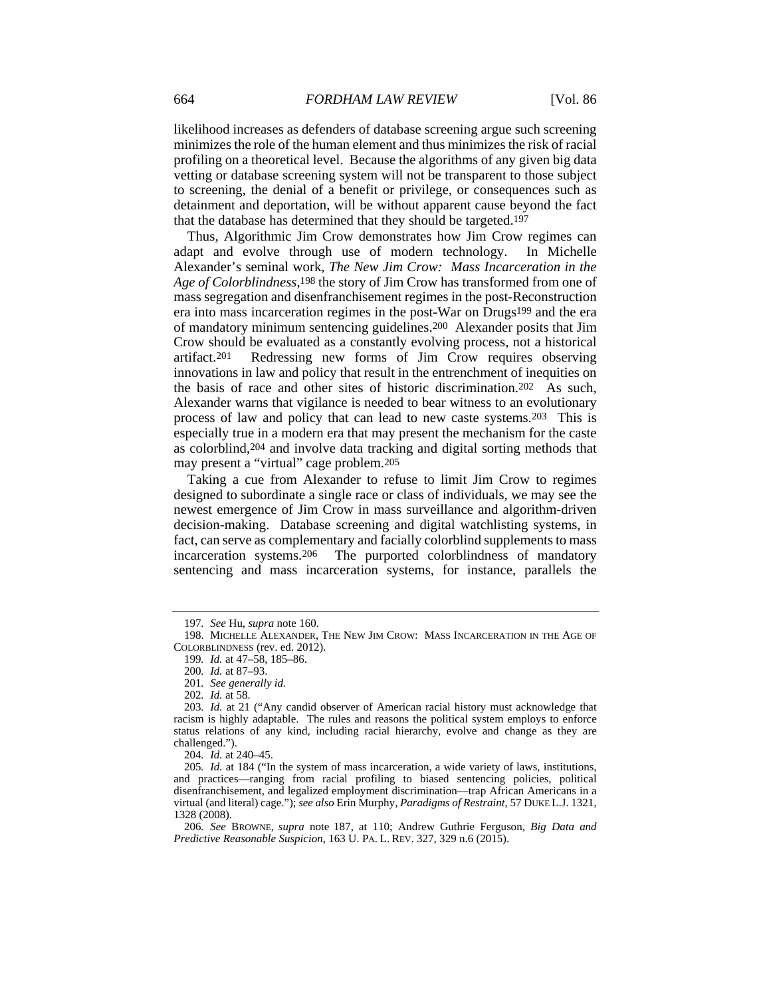likelihood increases as defenders of database screening argue such screening minimizes the role of the human element and thus minimizes the risk of racial profiling on a theoretical level. Because the algorithms of any given big data vetting or database screening system will not be transparent to those subject to screening, the denial of a benefit or privilege, or consequences such as detainment and deportation, will be without apparent cause beyond the fact that the database has determined that they should be targeted.197

Thus, Algorithmic Jim Crow demonstrates how Jim Crow regimes can adapt and evolve through use of modern technology. In Michelle Alexander's seminal work, *The New Jim Crow: Mass Incarceration in the Age of Colorblindness*,198 the story of Jim Crow has transformed from one of mass segregation and disenfranchisement regimes in the post-Reconstruction era into mass incarceration regimes in the post-War on Drugs199 and the era of mandatory minimum sentencing guidelines.200 Alexander posits that Jim Crow should be evaluated as a constantly evolving process, not a historical artifact.201 Redressing new forms of Jim Crow requires observing innovations in law and policy that result in the entrenchment of inequities on the basis of race and other sites of historic discrimination.202 As such, Alexander warns that vigilance is needed to bear witness to an evolutionary process of law and policy that can lead to new caste systems.203 This is especially true in a modern era that may present the mechanism for the caste as colorblind,204 and involve data tracking and digital sorting methods that may present a "virtual" cage problem.205

Taking a cue from Alexander to refuse to limit Jim Crow to regimes designed to subordinate a single race or class of individuals, we may see the newest emergence of Jim Crow in mass surveillance and algorithm-driven decision-making. Database screening and digital watchlisting systems, in fact, can serve as complementary and facially colorblind supplements to mass incarceration systems.206 The purported colorblindness of mandatory sentencing and mass incarceration systems, for instance, parallels the

<sup>197</sup>*. See* Hu, *supra* note 160.

 <sup>198.</sup> MICHELLE ALEXANDER, THE NEW JIM CROW: MASS INCARCERATION IN THE AGE OF COLORBLINDNESS (rev. ed. 2012).

<sup>199</sup>*. Id.* at 47–58, 185–86.

<sup>200</sup>*. Id.* at 87–93.

<sup>201</sup>*. See generally id.*

<sup>202</sup>*. Id.* at 58.

<sup>203</sup>*. Id.* at 21 ("Any candid observer of American racial history must acknowledge that racism is highly adaptable. The rules and reasons the political system employs to enforce status relations of any kind, including racial hierarchy, evolve and change as they are challenged.").

<sup>204</sup>*. Id.* at 240–45.

<sup>205</sup>*. Id.* at 184 ("In the system of mass incarceration, a wide variety of laws, institutions, and practices—ranging from racial profiling to biased sentencing policies, political disenfranchisement, and legalized employment discrimination—trap African Americans in a virtual (and literal) cage."); *see also* Erin Murphy, *Paradigms of Restraint*, 57 DUKE L.J. 1321, 1328 (2008).

<sup>206</sup>*. See* BROWNE, *supra* note 187, at 110; Andrew Guthrie Ferguson, *Big Data and Predictive Reasonable Suspicion*, 163 U. PA. L. REV. 327, 329 n.6 (2015).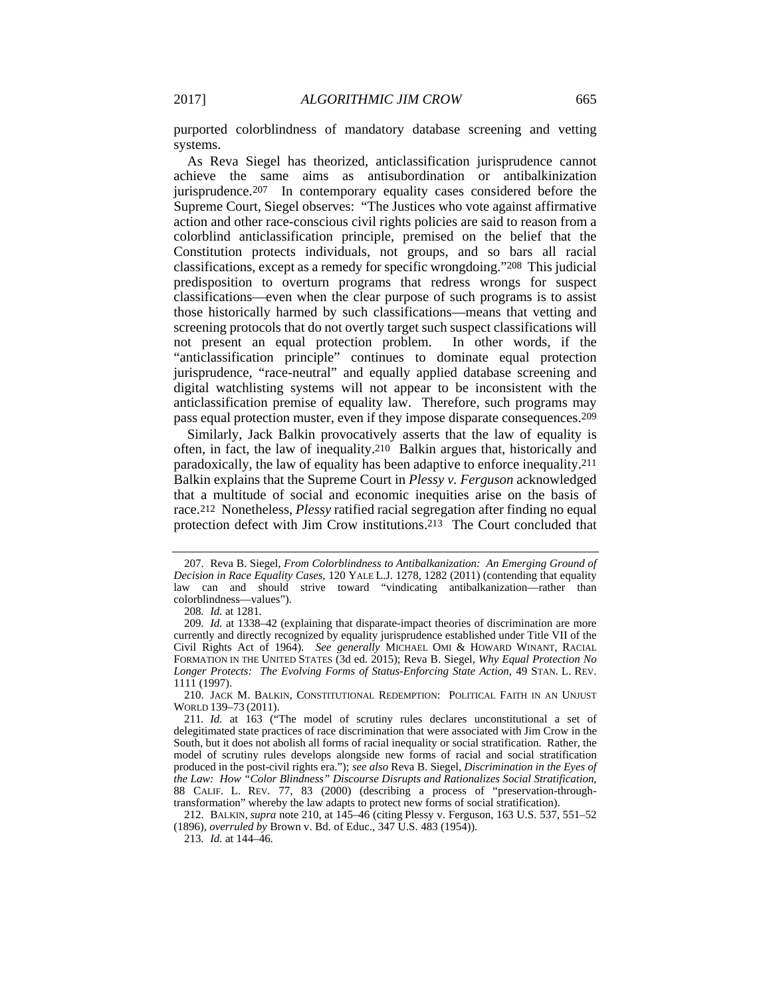purported colorblindness of mandatory database screening and vetting systems.

As Reva Siegel has theorized, anticlassification jurisprudence cannot achieve the same aims as antisubordination or antibalkinization jurisprudence.207 In contemporary equality cases considered before the Supreme Court, Siegel observes: "The Justices who vote against affirmative action and other race-conscious civil rights policies are said to reason from a colorblind anticlassification principle, premised on the belief that the Constitution protects individuals, not groups, and so bars all racial classifications, except as a remedy for specific wrongdoing."208 This judicial predisposition to overturn programs that redress wrongs for suspect classifications—even when the clear purpose of such programs is to assist those historically harmed by such classifications—means that vetting and screening protocols that do not overtly target such suspect classifications will not present an equal protection problem. In other words, if the "anticlassification principle" continues to dominate equal protection jurisprudence, "race-neutral" and equally applied database screening and digital watchlisting systems will not appear to be inconsistent with the anticlassification premise of equality law. Therefore, such programs may pass equal protection muster, even if they impose disparate consequences.209

Similarly, Jack Balkin provocatively asserts that the law of equality is often, in fact, the law of inequality.210 Balkin argues that, historically and paradoxically, the law of equality has been adaptive to enforce inequality.211 Balkin explains that the Supreme Court in *Plessy v. Ferguson* acknowledged that a multitude of social and economic inequities arise on the basis of race.212 Nonetheless, *Plessy* ratified racial segregation after finding no equal protection defect with Jim Crow institutions.213 The Court concluded that

 <sup>207.</sup> Reva B. Siegel, *From Colorblindness to Antibalkanization: An Emerging Ground of Decision in Race Equality Cases*, 120 YALE L.J. 1278, 1282 (2011) (contending that equality law can and should strive toward "vindicating antibalkanization—rather than colorblindness—values").

<sup>208</sup>*. Id.* at 1281.

<sup>209</sup>*. Id.* at 1338–42 (explaining that disparate-impact theories of discrimination are more currently and directly recognized by equality jurisprudence established under Title VII of the Civil Rights Act of 1964). *See generally* MICHAEL OMI & HOWARD WINANT, RACIAL FORMATION IN THE UNITED STATES (3d ed. 2015); Reva B. Siegel, *Why Equal Protection No Longer Protects: The Evolving Forms of Status-Enforcing State Action*, 49 STAN. L. REV. 1111 (1997).

 <sup>210.</sup> JACK M. BALKIN, CONSTITUTIONAL REDEMPTION: POLITICAL FAITH IN AN UNJUST WORLD 139–73 (2011).

<sup>211</sup>*. Id.* at 163 ("The model of scrutiny rules declares unconstitutional a set of delegitimated state practices of race discrimination that were associated with Jim Crow in the South, but it does not abolish all forms of racial inequality or social stratification. Rather, the model of scrutiny rules develops alongside new forms of racial and social stratification produced in the post-civil rights era."); *see also* Reva B. Siegel, *Discrimination in the Eyes of the Law: How "Color Blindness" Discourse Disrupts and Rationalizes Social Stratification*, 88 CALIF. L. REV. 77, 83 (2000) (describing a process of "preservation-throughtransformation" whereby the law adapts to protect new forms of social stratification).

 <sup>212.</sup> BALKIN, *supra* note 210, at 145–46 (citing Plessy v. Ferguson, 163 U.S. 537, 551–52 (1896), *overruled by* Brown v. Bd. of Educ., 347 U.S. 483 (1954)).

<sup>213</sup>*. Id.* at 144–46.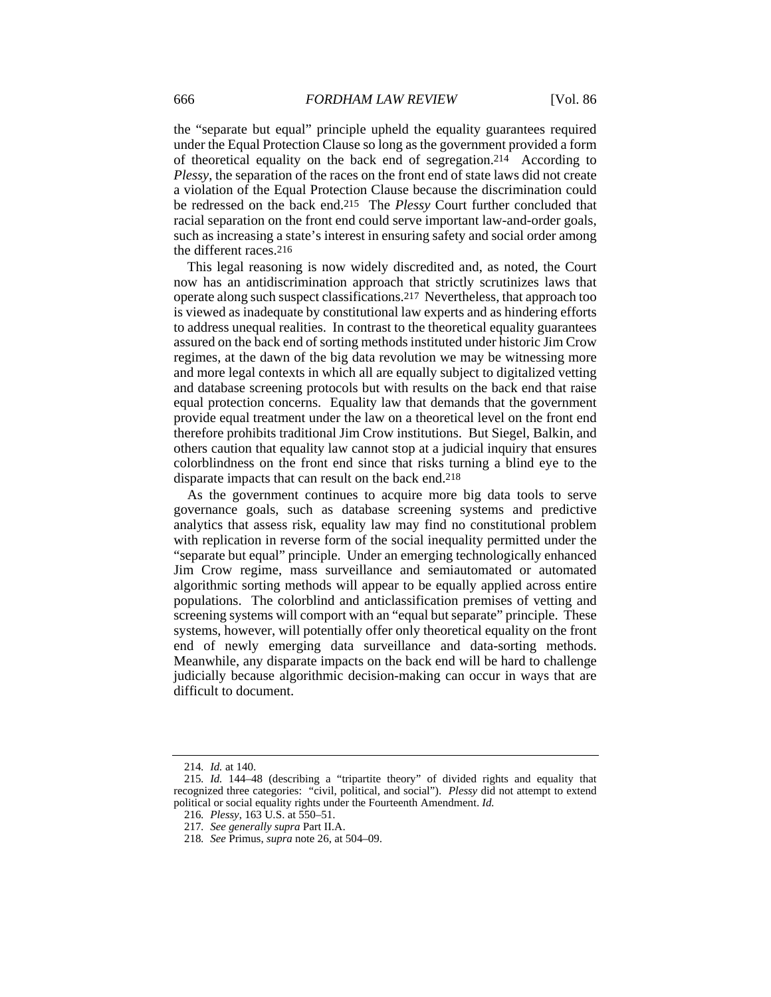the "separate but equal" principle upheld the equality guarantees required under the Equal Protection Clause so long as the government provided a form of theoretical equality on the back end of segregation.214 According to *Plessy*, the separation of the races on the front end of state laws did not create a violation of the Equal Protection Clause because the discrimination could be redressed on the back end.215 The *Plessy* Court further concluded that racial separation on the front end could serve important law-and-order goals, such as increasing a state's interest in ensuring safety and social order among the different races.216

This legal reasoning is now widely discredited and, as noted, the Court now has an antidiscrimination approach that strictly scrutinizes laws that operate along such suspect classifications.217 Nevertheless, that approach too is viewed as inadequate by constitutional law experts and as hindering efforts to address unequal realities. In contrast to the theoretical equality guarantees assured on the back end of sorting methods instituted under historic Jim Crow regimes, at the dawn of the big data revolution we may be witnessing more and more legal contexts in which all are equally subject to digitalized vetting and database screening protocols but with results on the back end that raise equal protection concerns. Equality law that demands that the government provide equal treatment under the law on a theoretical level on the front end therefore prohibits traditional Jim Crow institutions. But Siegel, Balkin, and others caution that equality law cannot stop at a judicial inquiry that ensures colorblindness on the front end since that risks turning a blind eye to the disparate impacts that can result on the back end.218

As the government continues to acquire more big data tools to serve governance goals, such as database screening systems and predictive analytics that assess risk, equality law may find no constitutional problem with replication in reverse form of the social inequality permitted under the "separate but equal" principle. Under an emerging technologically enhanced Jim Crow regime, mass surveillance and semiautomated or automated algorithmic sorting methods will appear to be equally applied across entire populations. The colorblind and anticlassification premises of vetting and screening systems will comport with an "equal but separate" principle. These systems, however, will potentially offer only theoretical equality on the front end of newly emerging data surveillance and data-sorting methods. Meanwhile, any disparate impacts on the back end will be hard to challenge judicially because algorithmic decision-making can occur in ways that are difficult to document.

<sup>214</sup>*. Id.* at 140.

<sup>215</sup>*. Id.* 144–48 (describing a "tripartite theory" of divided rights and equality that recognized three categories: "civil, political, and social"). *Plessy* did not attempt to extend political or social equality rights under the Fourteenth Amendment. *Id.* 

<sup>216</sup>*. Plessy*, 163 U.S. at 550–51.

<sup>217</sup>*. See generally supra* Part II.A.

<sup>218</sup>*. See* Primus, *supra* note 26, at 504–09.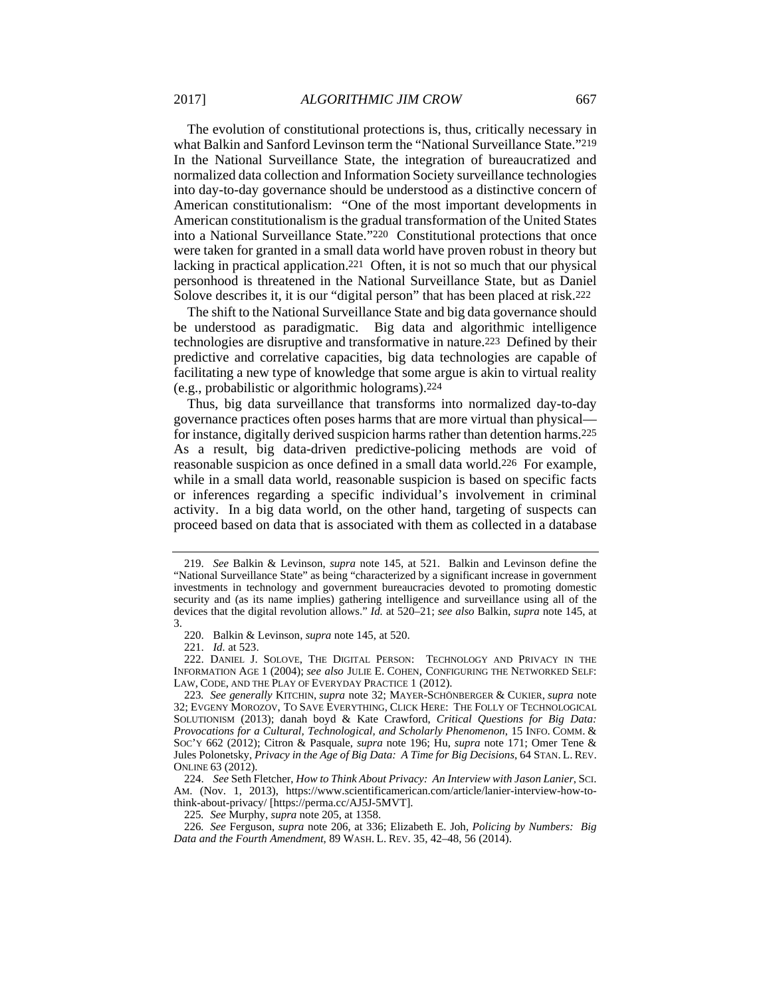The evolution of constitutional protections is, thus, critically necessary in what Balkin and Sanford Levinson term the "National Surveillance State."219 In the National Surveillance State, the integration of bureaucratized and normalized data collection and Information Society surveillance technologies into day-to-day governance should be understood as a distinctive concern of American constitutionalism: "One of the most important developments in American constitutionalism is the gradual transformation of the United States into a National Surveillance State."220 Constitutional protections that once were taken for granted in a small data world have proven robust in theory but lacking in practical application.221 Often, it is not so much that our physical personhood is threatened in the National Surveillance State, but as Daniel Solove describes it, it is our "digital person" that has been placed at risk.222

The shift to the National Surveillance State and big data governance should be understood as paradigmatic. Big data and algorithmic intelligence technologies are disruptive and transformative in nature.223 Defined by their predictive and correlative capacities, big data technologies are capable of facilitating a new type of knowledge that some argue is akin to virtual reality (e.g., probabilistic or algorithmic holograms).224

Thus, big data surveillance that transforms into normalized day-to-day governance practices often poses harms that are more virtual than physical for instance, digitally derived suspicion harms rather than detention harms.225 As a result, big data-driven predictive-policing methods are void of reasonable suspicion as once defined in a small data world.226 For example, while in a small data world, reasonable suspicion is based on specific facts or inferences regarding a specific individual's involvement in criminal activity. In a big data world, on the other hand, targeting of suspects can proceed based on data that is associated with them as collected in a database

225*. See* Murphy, *supra* note 205, at 1358.

 <sup>219.</sup> *See* Balkin & Levinson, *supra* note 145, at 521. Balkin and Levinson define the "National Surveillance State" as being "characterized by a significant increase in government investments in technology and government bureaucracies devoted to promoting domestic security and (as its name implies) gathering intelligence and surveillance using all of the devices that the digital revolution allows." *Id.* at 520–21; *see also* Balkin, *supra* note 145, at 3.

 <sup>220.</sup> Balkin & Levinson, *supra* note 145, at 520.

 <sup>221.</sup> *Id.* at 523.

 <sup>222.</sup> DANIEL J. SOLOVE, THE DIGITAL PERSON: TECHNOLOGY AND PRIVACY IN THE INFORMATION AGE 1 (2004); *see also* JULIE E. COHEN, CONFIGURING THE NETWORKED SELF: LAW, CODE, AND THE PLAY OF EVERYDAY PRACTICE 1 (2012).

<sup>223</sup>*. See generally* KITCHIN, *supra* note 32; MAYER-SCHÖNBERGER & CUKIER, *supra* note 32; EVGENY MOROZOV, TO SAVE EVERYTHING, CLICK HERE: THE FOLLY OF TECHNOLOGICAL SOLUTIONISM (2013); danah boyd & Kate Crawford, *Critical Questions for Big Data: Provocations for a Cultural, Technological, and Scholarly Phenomenon*, 15 INFO. COMM. & SOC'Y 662 (2012); Citron & Pasquale, *supra* note 196; Hu, *supra* note 171; Omer Tene & Jules Polonetsky, *Privacy in the Age of Big Data: A Time for Big Decisions*, 64 STAN. L. REV. ONLINE 63 (2012).

 <sup>224.</sup> *See* Seth Fletcher, *How to Think About Privacy: An Interview with Jason Lanier*, SCI. AM. (Nov. 1, 2013), https://www.scientificamerican.com/article/lanier-interview-how-tothink-about-privacy/ [https://perma.cc/AJ5J-5MVT].

<sup>226</sup>*. See* Ferguson, *supra* note 206, at 336; Elizabeth E. Joh, *Policing by Numbers: Big Data and the Fourth Amendment*, 89 WASH. L. REV. 35, 42–48, 56 (2014).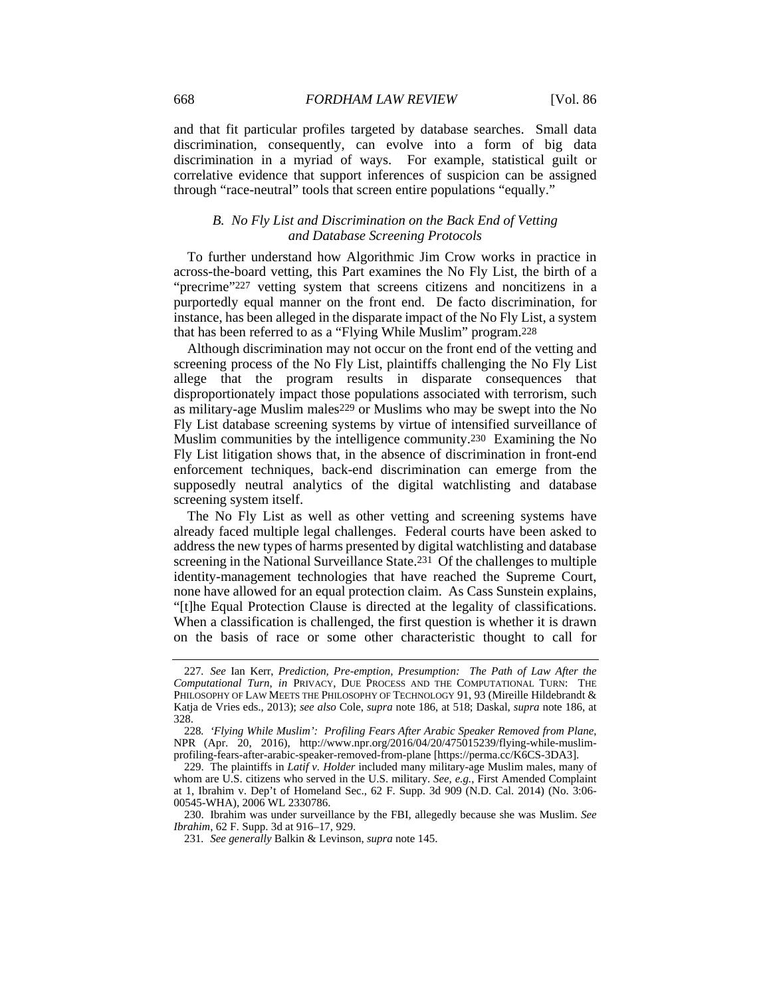and that fit particular profiles targeted by database searches. Small data discrimination, consequently, can evolve into a form of big data discrimination in a myriad of ways. For example, statistical guilt or correlative evidence that support inferences of suspicion can be assigned through "race-neutral" tools that screen entire populations "equally."

## *B. No Fly List and Discrimination on the Back End of Vetting and Database Screening Protocols*

To further understand how Algorithmic Jim Crow works in practice in across-the-board vetting, this Part examines the No Fly List, the birth of a "precrime"227 vetting system that screens citizens and noncitizens in a purportedly equal manner on the front end. De facto discrimination, for instance, has been alleged in the disparate impact of the No Fly List, a system that has been referred to as a "Flying While Muslim" program.228

Although discrimination may not occur on the front end of the vetting and screening process of the No Fly List, plaintiffs challenging the No Fly List allege that the program results in disparate consequences that disproportionately impact those populations associated with terrorism, such as military-age Muslim males229 or Muslims who may be swept into the No Fly List database screening systems by virtue of intensified surveillance of Muslim communities by the intelligence community.230 Examining the No Fly List litigation shows that, in the absence of discrimination in front-end enforcement techniques, back-end discrimination can emerge from the supposedly neutral analytics of the digital watchlisting and database screening system itself.

The No Fly List as well as other vetting and screening systems have already faced multiple legal challenges. Federal courts have been asked to address the new types of harms presented by digital watchlisting and database screening in the National Surveillance State.231 Of the challenges to multiple identity-management technologies that have reached the Supreme Court, none have allowed for an equal protection claim. As Cass Sunstein explains, "[t]he Equal Protection Clause is directed at the legality of classifications. When a classification is challenged, the first question is whether it is drawn on the basis of race or some other characteristic thought to call for

<sup>227</sup>*. See* Ian Kerr, *Prediction, Pre-emption, Presumption: The Path of Law After the Computational Turn*, *in* PRIVACY, DUE PROCESS AND THE COMPUTATIONAL TURN: THE PHILOSOPHY OF LAW MEETS THE PHILOSOPHY OF TECHNOLOGY 91, 93 (Mireille Hildebrandt & Katja de Vries eds., 2013); *see also* Cole, *supra* note 186, at 518; Daskal, *supra* note 186, at 328.

<sup>228</sup>*. 'Flying While Muslim': Profiling Fears After Arabic Speaker Removed from Plane*, NPR (Apr. 20, 2016), http://www.npr.org/2016/04/20/475015239/flying-while-muslimprofiling-fears-after-arabic-speaker-removed-from-plane [https://perma.cc/K6CS-3DA3].

 <sup>229.</sup> The plaintiffs in *Latif v. Holder* included many military-age Muslim males, many of whom are U.S. citizens who served in the U.S. military. *See, e.g.*, First Amended Complaint at 1, Ibrahim v. Dep't of Homeland Sec., 62 F. Supp. 3d 909 (N.D. Cal. 2014) (No. 3:06- 00545-WHA), 2006 WL 2330786.

 <sup>230.</sup> Ibrahim was under surveillance by the FBI, allegedly because she was Muslim. *See Ibrahim*, 62 F. Supp. 3d at 916–17, 929.

<sup>231</sup>*. See generally* Balkin & Levinson, *supra* note 145.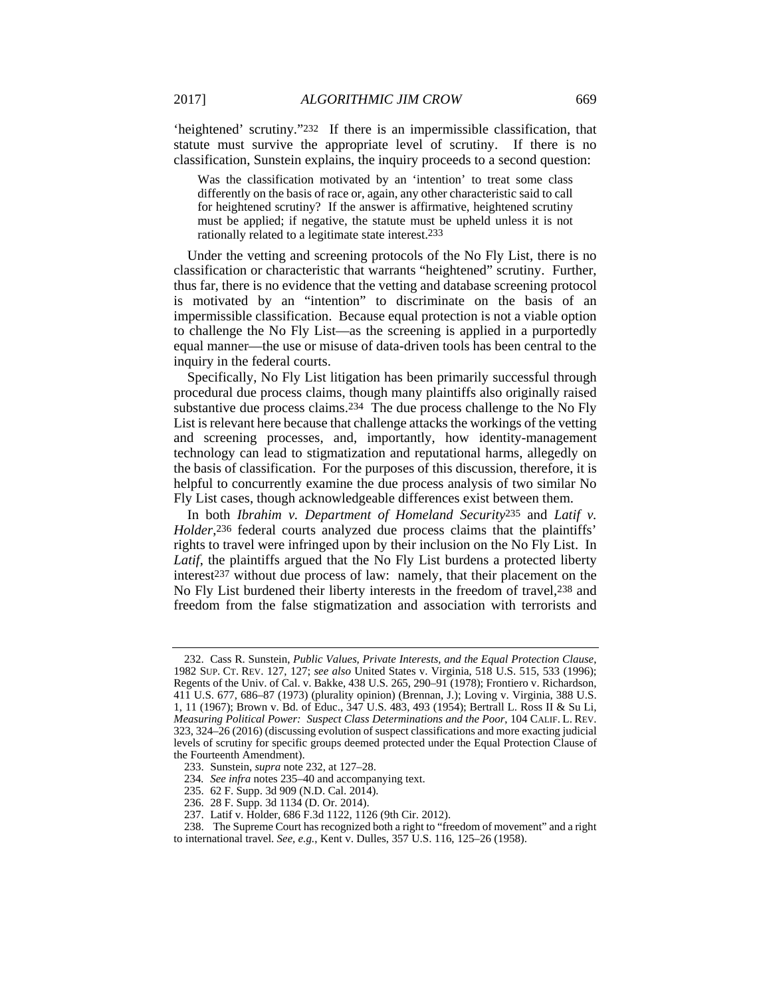'heightened' scrutiny."232 If there is an impermissible classification, that statute must survive the appropriate level of scrutiny. If there is no classification, Sunstein explains, the inquiry proceeds to a second question:

Was the classification motivated by an 'intention' to treat some class differently on the basis of race or, again, any other characteristic said to call for heightened scrutiny? If the answer is affirmative, heightened scrutiny must be applied; if negative, the statute must be upheld unless it is not rationally related to a legitimate state interest.233

Under the vetting and screening protocols of the No Fly List, there is no classification or characteristic that warrants "heightened" scrutiny. Further, thus far, there is no evidence that the vetting and database screening protocol is motivated by an "intention" to discriminate on the basis of an impermissible classification. Because equal protection is not a viable option to challenge the No Fly List—as the screening is applied in a purportedly equal manner—the use or misuse of data-driven tools has been central to the inquiry in the federal courts.

Specifically, No Fly List litigation has been primarily successful through procedural due process claims, though many plaintiffs also originally raised substantive due process claims.234 The due process challenge to the No Fly List is relevant here because that challenge attacks the workings of the vetting and screening processes, and, importantly, how identity-management technology can lead to stigmatization and reputational harms, allegedly on the basis of classification. For the purposes of this discussion, therefore, it is helpful to concurrently examine the due process analysis of two similar No Fly List cases, though acknowledgeable differences exist between them.

In both *Ibrahim v. Department of Homeland Security*235 and *Latif v. Holder*,<sup>236</sup> federal courts analyzed due process claims that the plaintiffs' rights to travel were infringed upon by their inclusion on the No Fly List. In *Latif*, the plaintiffs argued that the No Fly List burdens a protected liberty interest237 without due process of law: namely, that their placement on the No Fly List burdened their liberty interests in the freedom of travel,238 and freedom from the false stigmatization and association with terrorists and

 <sup>232.</sup> Cass R. Sunstein, *Public Values, Private Interests, and the Equal Protection Clause*, 1982 SUP. CT. REV. 127, 127; *see also* United States v. Virginia, 518 U.S. 515, 533 (1996); Regents of the Univ. of Cal. v. Bakke, 438 U.S. 265, 290–91 (1978); Frontiero v. Richardson, 411 U.S. 677, 686–87 (1973) (plurality opinion) (Brennan, J.); Loving v. Virginia, 388 U.S. 1, 11 (1967); Brown v. Bd. of Educ., 347 U.S. 483, 493 (1954); Bertrall L. Ross II & Su Li, *Measuring Political Power: Suspect Class Determinations and the Poor*, 104 CALIF. L. REV. 323, 324–26 (2016) (discussing evolution of suspect classifications and more exacting judicial levels of scrutiny for specific groups deemed protected under the Equal Protection Clause of the Fourteenth Amendment).

 <sup>233.</sup> Sunstein, *supra* note 232, at 127–28.

<sup>234</sup>*. See infra* notes 235–40 and accompanying text.

 <sup>235. 62</sup> F. Supp. 3d 909 (N.D. Cal. 2014).

 <sup>236. 28</sup> F. Supp. 3d 1134 (D. Or. 2014).

 <sup>237.</sup> Latif v. Holder, 686 F.3d 1122, 1126 (9th Cir. 2012).

 <sup>238.</sup> The Supreme Court has recognized both a right to "freedom of movement" and a right to international travel. *See, e.g.*, Kent v. Dulles, 357 U.S. 116, 125–26 (1958).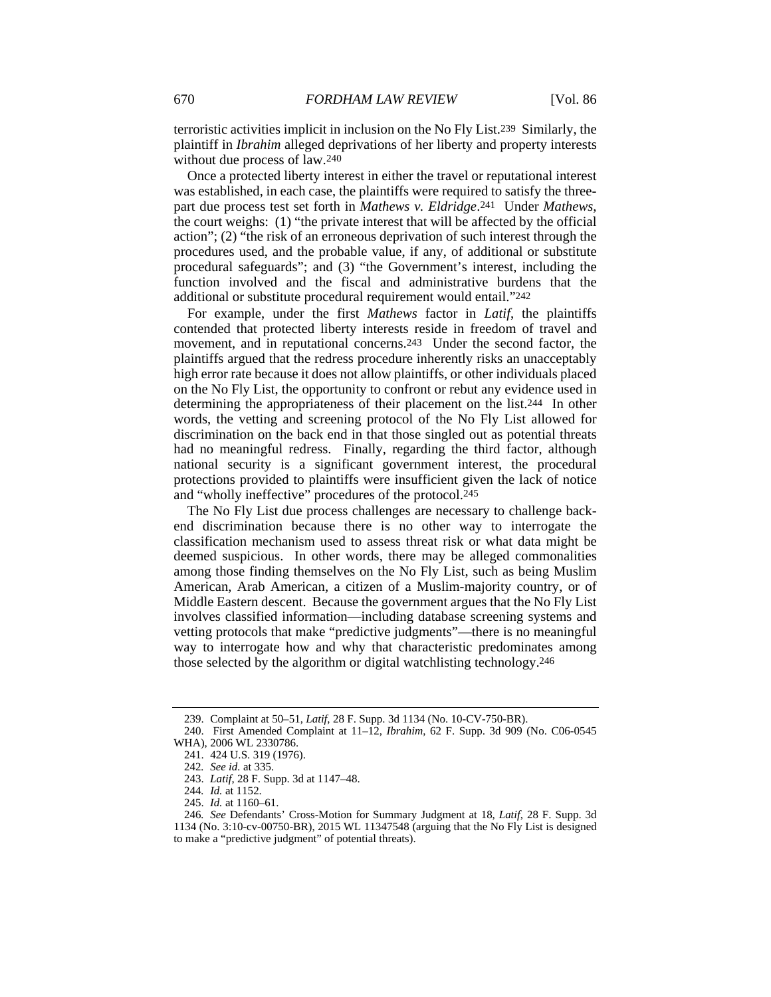terroristic activities implicit in inclusion on the No Fly List.239 Similarly, the plaintiff in *Ibrahim* alleged deprivations of her liberty and property interests without due process of law.240

Once a protected liberty interest in either the travel or reputational interest was established, in each case, the plaintiffs were required to satisfy the threepart due process test set forth in *Mathews v. Eldridge*.241 Under *Mathews*, the court weighs: (1) "the private interest that will be affected by the official action"; (2) "the risk of an erroneous deprivation of such interest through the procedures used, and the probable value, if any, of additional or substitute procedural safeguards"; and (3) "the Government's interest, including the function involved and the fiscal and administrative burdens that the additional or substitute procedural requirement would entail."242

For example, under the first *Mathews* factor in *Latif*, the plaintiffs contended that protected liberty interests reside in freedom of travel and movement, and in reputational concerns.243 Under the second factor, the plaintiffs argued that the redress procedure inherently risks an unacceptably high error rate because it does not allow plaintiffs, or other individuals placed on the No Fly List, the opportunity to confront or rebut any evidence used in determining the appropriateness of their placement on the list.244 In other words, the vetting and screening protocol of the No Fly List allowed for discrimination on the back end in that those singled out as potential threats had no meaningful redress. Finally, regarding the third factor, although national security is a significant government interest, the procedural protections provided to plaintiffs were insufficient given the lack of notice and "wholly ineffective" procedures of the protocol.245

The No Fly List due process challenges are necessary to challenge backend discrimination because there is no other way to interrogate the classification mechanism used to assess threat risk or what data might be deemed suspicious. In other words, there may be alleged commonalities among those finding themselves on the No Fly List, such as being Muslim American, Arab American, a citizen of a Muslim-majority country, or of Middle Eastern descent. Because the government argues that the No Fly List involves classified information—including database screening systems and vetting protocols that make "predictive judgments"—there is no meaningful way to interrogate how and why that characteristic predominates among those selected by the algorithm or digital watchlisting technology.246

 <sup>239.</sup> Complaint at 50–51, *Latif*, 28 F. Supp. 3d 1134 (No. 10-CV-750-BR).

 <sup>240.</sup> First Amended Complaint at 11–12, *Ibrahim*, 62 F. Supp. 3d 909 (No. C06-0545 WHA), 2006 WL 2330786.

 <sup>241. 424</sup> U.S. 319 (1976).

<sup>242</sup>*. See id.* at 335.

 <sup>243.</sup> *Latif*, 28 F. Supp. 3d at 1147–48.

<sup>244</sup>*. Id.* at 1152.

 <sup>245.</sup> *Id.* at 1160–61.

<sup>246</sup>*. See* Defendants' Cross-Motion for Summary Judgment at 18, *Latif*, 28 F. Supp. 3d 1134 (No. 3:10-cv-00750-BR), 2015 WL 11347548 (arguing that the No Fly List is designed to make a "predictive judgment" of potential threats).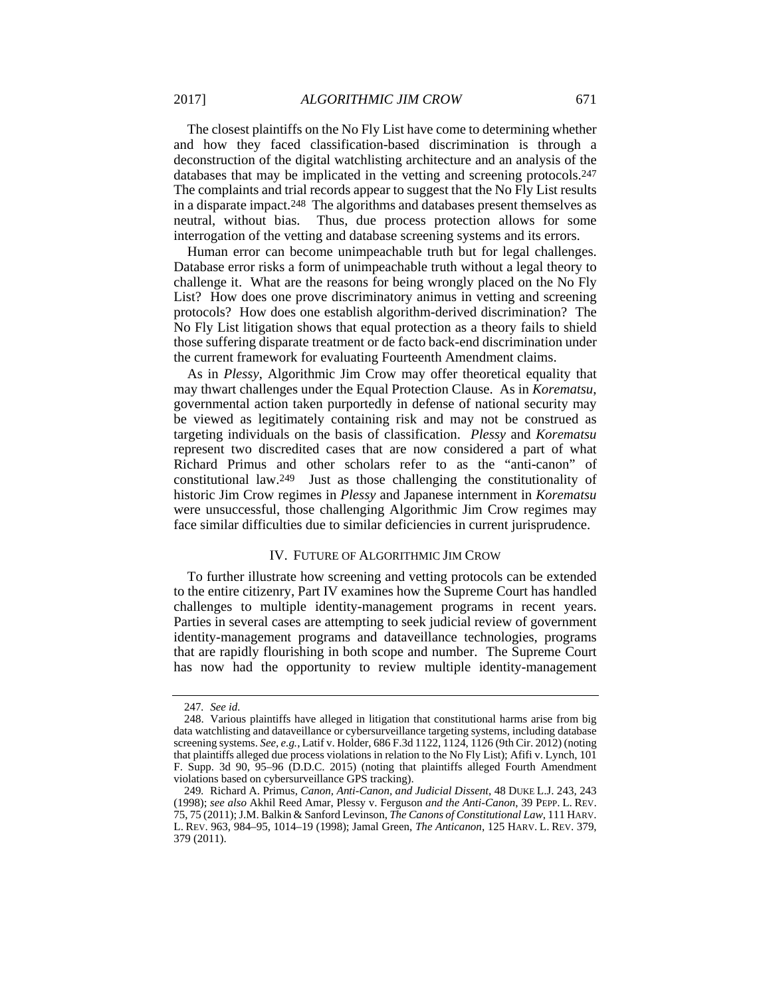The closest plaintiffs on the No Fly List have come to determining whether and how they faced classification-based discrimination is through a deconstruction of the digital watchlisting architecture and an analysis of the databases that may be implicated in the vetting and screening protocols.247 The complaints and trial records appear to suggest that the No Fly List results in a disparate impact.248 The algorithms and databases present themselves as neutral, without bias. Thus, due process protection allows for some interrogation of the vetting and database screening systems and its errors.

Human error can become unimpeachable truth but for legal challenges. Database error risks a form of unimpeachable truth without a legal theory to challenge it. What are the reasons for being wrongly placed on the No Fly List? How does one prove discriminatory animus in vetting and screening protocols? How does one establish algorithm-derived discrimination? The No Fly List litigation shows that equal protection as a theory fails to shield those suffering disparate treatment or de facto back-end discrimination under the current framework for evaluating Fourteenth Amendment claims.

As in *Plessy*, Algorithmic Jim Crow may offer theoretical equality that may thwart challenges under the Equal Protection Clause. As in *Korematsu*, governmental action taken purportedly in defense of national security may be viewed as legitimately containing risk and may not be construed as targeting individuals on the basis of classification. *Plessy* and *Korematsu* represent two discredited cases that are now considered a part of what Richard Primus and other scholars refer to as the "anti-canon" of constitutional law.249 Just as those challenging the constitutionality of historic Jim Crow regimes in *Plessy* and Japanese internment in *Korematsu* were unsuccessful, those challenging Algorithmic Jim Crow regimes may face similar difficulties due to similar deficiencies in current jurisprudence.

### IV. FUTURE OF ALGORITHMIC JIM CROW

To further illustrate how screening and vetting protocols can be extended to the entire citizenry, Part IV examines how the Supreme Court has handled challenges to multiple identity-management programs in recent years. Parties in several cases are attempting to seek judicial review of government identity-management programs and dataveillance technologies, programs that are rapidly flourishing in both scope and number. The Supreme Court has now had the opportunity to review multiple identity-management

<sup>247</sup>*. See id.*

 <sup>248.</sup> Various plaintiffs have alleged in litigation that constitutional harms arise from big data watchlisting and dataveillance or cybersurveillance targeting systems, including database screening systems. *See, e.g.*, Latif v. Holder, 686 F.3d 1122, 1124, 1126 (9th Cir. 2012) (noting that plaintiffs alleged due process violations in relation to the No Fly List); Afifi v. Lynch, 101 F. Supp. 3d 90, 95–96 (D.D.C. 2015) (noting that plaintiffs alleged Fourth Amendment violations based on cybersurveillance GPS tracking).

<sup>249</sup>*.* Richard A. Primus, *Canon, Anti-Canon, and Judicial Dissent*, 48 DUKE L.J. 243, 243 (1998); *see also* Akhil Reed Amar, Plessy v. Ferguson *and the Anti-Canon*, 39 PEPP. L. REV. 75, 75 (2011); J.M. Balkin & Sanford Levinson, *The Canons of Constitutional Law*, 111 HARV. L. REV. 963, 984–95, 1014–19 (1998); Jamal Green, *The Anticanon*, 125 HARV. L. REV. 379, 379 (2011).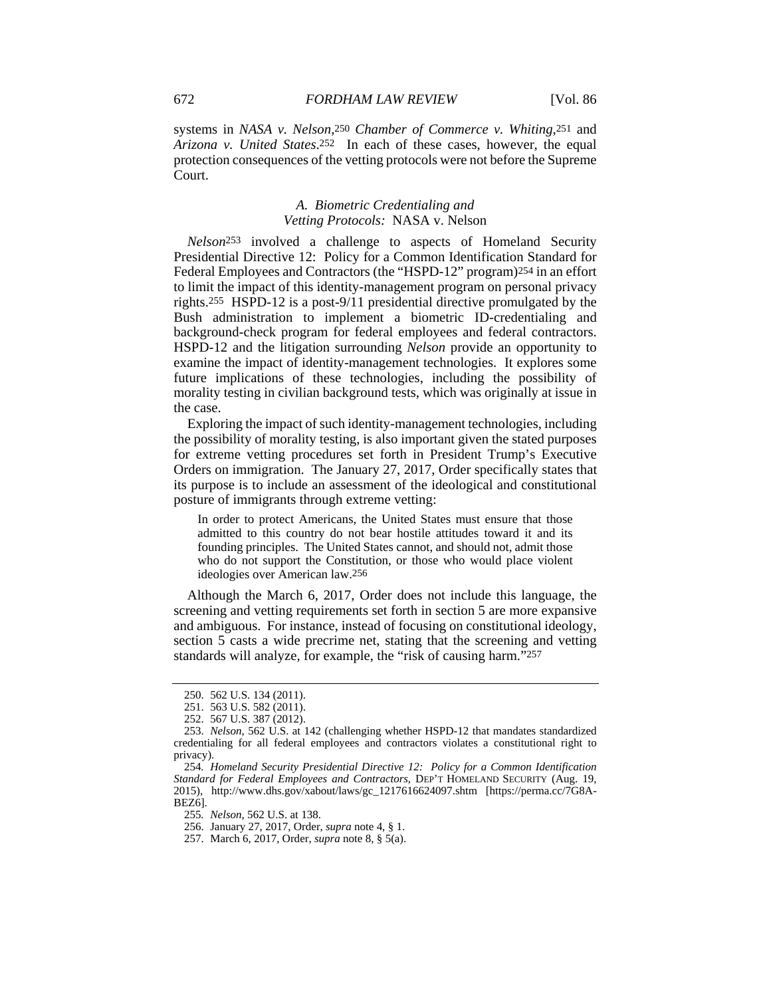systems in *NASA v. Nelson*,250 *Chamber of Commerce v. Whiting*,251 and *Arizona v. United States*.252 In each of these cases, however, the equal protection consequences of the vetting protocols were not before the Supreme Court.

#### *A. Biometric Credentialing and Vetting Protocols:* NASA v. Nelson

*Nelson*253 involved a challenge to aspects of Homeland Security Presidential Directive 12: Policy for a Common Identification Standard for Federal Employees and Contractors (the "HSPD-12" program)254 in an effort to limit the impact of this identity-management program on personal privacy rights.255 HSPD-12 is a post-9/11 presidential directive promulgated by the Bush administration to implement a biometric ID-credentialing and background-check program for federal employees and federal contractors. HSPD-12 and the litigation surrounding *Nelson* provide an opportunity to examine the impact of identity-management technologies. It explores some future implications of these technologies, including the possibility of morality testing in civilian background tests, which was originally at issue in the case.

Exploring the impact of such identity-management technologies, including the possibility of morality testing, is also important given the stated purposes for extreme vetting procedures set forth in President Trump's Executive Orders on immigration. The January 27, 2017, Order specifically states that its purpose is to include an assessment of the ideological and constitutional posture of immigrants through extreme vetting:

In order to protect Americans, the United States must ensure that those admitted to this country do not bear hostile attitudes toward it and its founding principles. The United States cannot, and should not, admit those who do not support the Constitution, or those who would place violent ideologies over American law.256

Although the March 6, 2017, Order does not include this language, the screening and vetting requirements set forth in section 5 are more expansive and ambiguous. For instance, instead of focusing on constitutional ideology, section 5 casts a wide precrime net, stating that the screening and vetting standards will analyze, for example, the "risk of causing harm."257

255*. Nelson*, 562 U.S. at 138.

256. January 27, 2017, Order, *supra* note 4, § 1.

257. March 6, 2017, Order, *supra* note 8, § 5(a).

 <sup>250. 562</sup> U.S. 134 (2011).

 <sup>251. 563</sup> U.S. 582 (2011).

 <sup>252. 567</sup> U.S. 387 (2012).

 <sup>253.</sup> *Nelson*, 562 U.S. at 142 (challenging whether HSPD-12 that mandates standardized credentialing for all federal employees and contractors violates a constitutional right to privacy).

<sup>254</sup>*. Homeland Security Presidential Directive 12: Policy for a Common Identification Standard for Federal Employees and Contractors*, DEP'T HOMELAND SECURITY (Aug. 19, 2015), http://www.dhs.gov/xabout/laws/gc\_1217616624097.shtm [https://perma.cc/7G8A-BEZ6].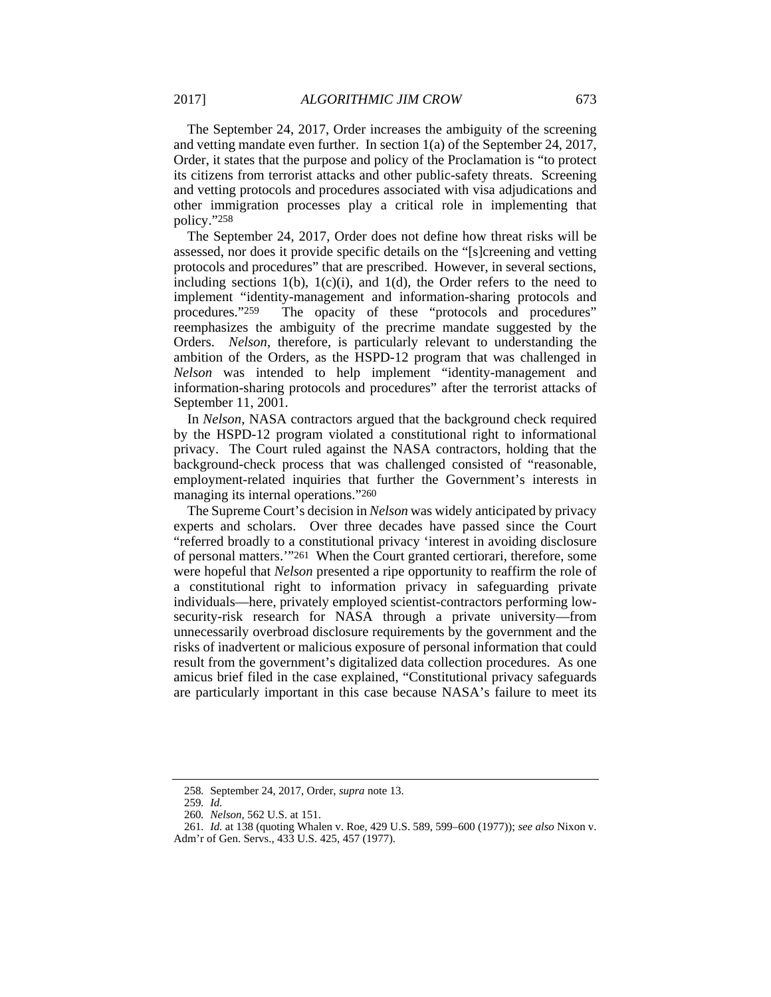The September 24, 2017, Order increases the ambiguity of the screening and vetting mandate even further. In section 1(a) of the September 24, 2017, Order, it states that the purpose and policy of the Proclamation is "to protect its citizens from terrorist attacks and other public-safety threats. Screening and vetting protocols and procedures associated with visa adjudications and other immigration processes play a critical role in implementing that policy."258

The September 24, 2017, Order does not define how threat risks will be assessed, nor does it provide specific details on the "[s]creening and vetting protocols and procedures" that are prescribed. However, in several sections, including sections  $1(b)$ ,  $1(c)(i)$ , and  $1(d)$ , the Order refers to the need to implement "identity-management and information-sharing protocols and procedures."259 The opacity of these "protocols and procedures" reemphasizes the ambiguity of the precrime mandate suggested by the Orders. *Nelson*, therefore, is particularly relevant to understanding the ambition of the Orders, as the HSPD-12 program that was challenged in *Nelson* was intended to help implement "identity-management and information-sharing protocols and procedures" after the terrorist attacks of September 11, 2001.

In *Nelson*, NASA contractors argued that the background check required by the HSPD-12 program violated a constitutional right to informational privacy. The Court ruled against the NASA contractors, holding that the background-check process that was challenged consisted of "reasonable, employment-related inquiries that further the Government's interests in managing its internal operations."260

The Supreme Court's decision in *Nelson* was widely anticipated by privacy experts and scholars. Over three decades have passed since the Court "referred broadly to a constitutional privacy 'interest in avoiding disclosure of personal matters.'"261 When the Court granted certiorari, therefore, some were hopeful that *Nelson* presented a ripe opportunity to reaffirm the role of a constitutional right to information privacy in safeguarding private individuals—here, privately employed scientist-contractors performing lowsecurity-risk research for NASA through a private university—from unnecessarily overbroad disclosure requirements by the government and the risks of inadvertent or malicious exposure of personal information that could result from the government's digitalized data collection procedures. As one amicus brief filed in the case explained, "Constitutional privacy safeguards are particularly important in this case because NASA's failure to meet its

<sup>258</sup>*.* September 24, 2017, Order, *supra* note 13.

<sup>259</sup>*. Id.*

<sup>260</sup>*. Nelson*, 562 U.S. at 151.

<sup>261</sup>*. Id.* at 138 (quoting Whalen v. Roe, 429 U.S. 589, 599–600 (1977)); *see also* Nixon v. Adm'r of Gen. Servs., 433 U.S. 425, 457 (1977).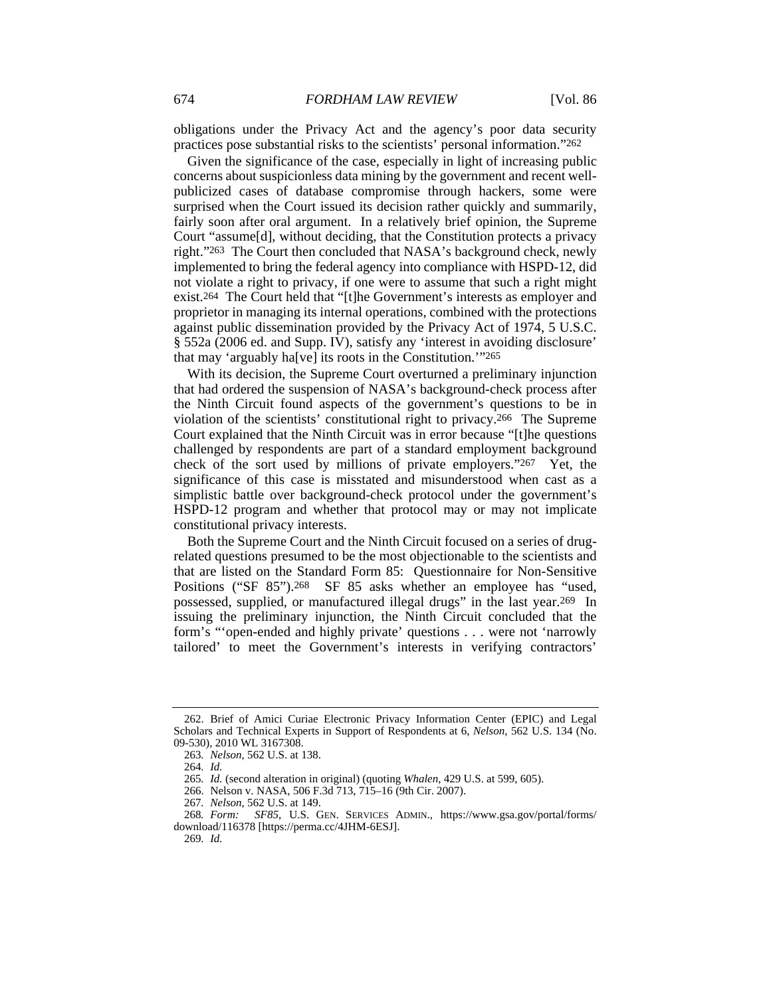obligations under the Privacy Act and the agency's poor data security practices pose substantial risks to the scientists' personal information."262

Given the significance of the case, especially in light of increasing public concerns about suspicionless data mining by the government and recent wellpublicized cases of database compromise through hackers, some were surprised when the Court issued its decision rather quickly and summarily, fairly soon after oral argument. In a relatively brief opinion, the Supreme Court "assume[d], without deciding, that the Constitution protects a privacy right."263 The Court then concluded that NASA's background check, newly implemented to bring the federal agency into compliance with HSPD-12, did not violate a right to privacy, if one were to assume that such a right might exist.264 The Court held that "[t]he Government's interests as employer and proprietor in managing its internal operations, combined with the protections against public dissemination provided by the Privacy Act of 1974, 5 U.S.C. § 552a (2006 ed. and Supp. IV), satisfy any 'interest in avoiding disclosure' that may 'arguably ha[ve] its roots in the Constitution.'"265

With its decision, the Supreme Court overturned a preliminary injunction that had ordered the suspension of NASA's background-check process after the Ninth Circuit found aspects of the government's questions to be in violation of the scientists' constitutional right to privacy.266 The Supreme Court explained that the Ninth Circuit was in error because "[t]he questions challenged by respondents are part of a standard employment background check of the sort used by millions of private employers."267 Yet, the significance of this case is misstated and misunderstood when cast as a simplistic battle over background-check protocol under the government's HSPD-12 program and whether that protocol may or may not implicate constitutional privacy interests.

Both the Supreme Court and the Ninth Circuit focused on a series of drugrelated questions presumed to be the most objectionable to the scientists and that are listed on the Standard Form 85: Questionnaire for Non-Sensitive Positions ("SF 85").<sup>268</sup> SF 85 asks whether an employee has "used, possessed, supplied, or manufactured illegal drugs" in the last year.269 In issuing the preliminary injunction, the Ninth Circuit concluded that the form's "'open-ended and highly private' questions . . . were not 'narrowly tailored' to meet the Government's interests in verifying contractors'

269*. Id.*

 <sup>262.</sup> Brief of Amici Curiae Electronic Privacy Information Center (EPIC) and Legal Scholars and Technical Experts in Support of Respondents at 6, *Nelson*, 562 U.S. 134 (No. 09-530), 2010 WL 3167308.

<sup>263</sup>*. Nelson*, 562 U.S. at 138.

<sup>264</sup>*. Id.*

<sup>265</sup>*. Id.* (second alteration in original) (quoting *Whalen*, 429 U.S. at 599, 605).

 <sup>266.</sup> Nelson v. NASA, 506 F.3d 713, 715–16 (9th Cir. 2007).

<sup>267</sup>*. Nelson*, 562 U.S. at 149.

<sup>268</sup>*. Form: SF85*, U.S. GEN. SERVICES ADMIN., https://www.gsa.gov/portal/forms/ download/116378 [https://perma.cc/4JHM-6ESJ].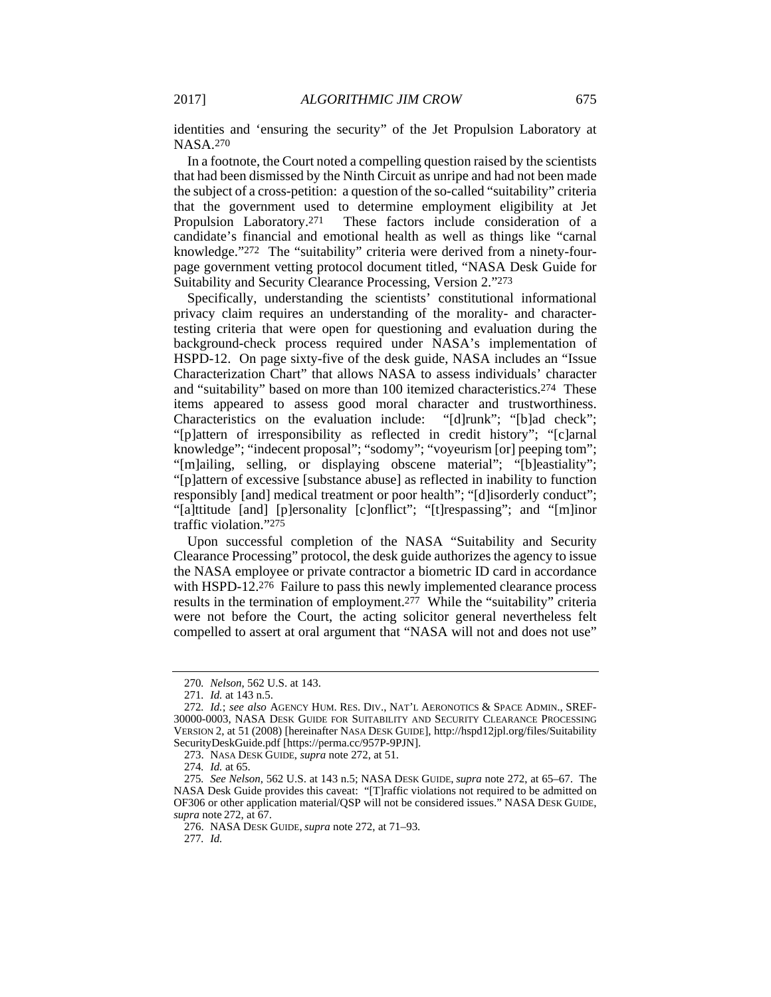identities and 'ensuring the security" of the Jet Propulsion Laboratory at NASA.270

In a footnote, the Court noted a compelling question raised by the scientists that had been dismissed by the Ninth Circuit as unripe and had not been made the subject of a cross-petition: a question of the so-called "suitability" criteria that the government used to determine employment eligibility at Jet<br>Propulsion Laboratory.<sup>271</sup> These factors include consideration of a These factors include consideration of a candidate's financial and emotional health as well as things like "carnal knowledge."272 The "suitability" criteria were derived from a ninety-fourpage government vetting protocol document titled, "NASA Desk Guide for Suitability and Security Clearance Processing, Version 2."273

Specifically, understanding the scientists' constitutional informational privacy claim requires an understanding of the morality- and charactertesting criteria that were open for questioning and evaluation during the background-check process required under NASA's implementation of HSPD-12. On page sixty-five of the desk guide, NASA includes an "Issue Characterization Chart" that allows NASA to assess individuals' character and "suitability" based on more than 100 itemized characteristics.274 These items appeared to assess good moral character and trustworthiness. Characteristics on the evaluation include: "[d]runk"; "[b]ad check"; "[p]attern of irresponsibility as reflected in credit history"; "[c]arnal knowledge"; "indecent proposal"; "sodomy"; "voyeurism [or] peeping tom"; "[m]ailing, selling, or displaying obscene material"; "[b]eastiality"; "[p]attern of excessive [substance abuse] as reflected in inability to function responsibly [and] medical treatment or poor health"; "[d]isorderly conduct"; "[a]ttitude [and] [p]ersonality [c]onflict"; "[t]respassing"; and "[m]inor traffic violation."275

Upon successful completion of the NASA "Suitability and Security Clearance Processing" protocol, the desk guide authorizes the agency to issue the NASA employee or private contractor a biometric ID card in accordance with HSPD-12.<sup>276</sup> Failure to pass this newly implemented clearance process results in the termination of employment.277 While the "suitability" criteria were not before the Court, the acting solicitor general nevertheless felt compelled to assert at oral argument that "NASA will not and does not use"

<sup>270</sup>*. Nelson*, 562 U.S. at 143.

<sup>271</sup>*. Id.* at 143 n.5.

<sup>272</sup>*. Id.*; *see also* AGENCY HUM. RES. DIV., NAT'L AERONOTICS & SPACE ADMIN., SREF-30000-0003, NASA DESK GUIDE FOR SUITABILITY AND SECURITY CLEARANCE PROCESSING VERSION 2, at 51 (2008) [hereinafter NASA DESK GUIDE], http://hspd12jpl.org/files/Suitability SecurityDeskGuide.pdf [https://perma.cc/957P-9PJN].

 <sup>273.</sup> NASA DESK GUIDE, *supra* note 272, at 51.

<sup>274</sup>*. Id.* at 65.

<sup>275</sup>*. See Nelson*, 562 U.S. at 143 n.5; NASA DESK GUIDE, *supra* note 272, at 65–67. The NASA Desk Guide provides this caveat: "[T]raffic violations not required to be admitted on OF306 or other application material/QSP will not be considered issues." NASA DESK GUIDE, *supra* note 272, at 67.

 <sup>276.</sup> NASA DESK GUIDE, *supra* note 272, at 71–93.

<sup>277</sup>*. Id.*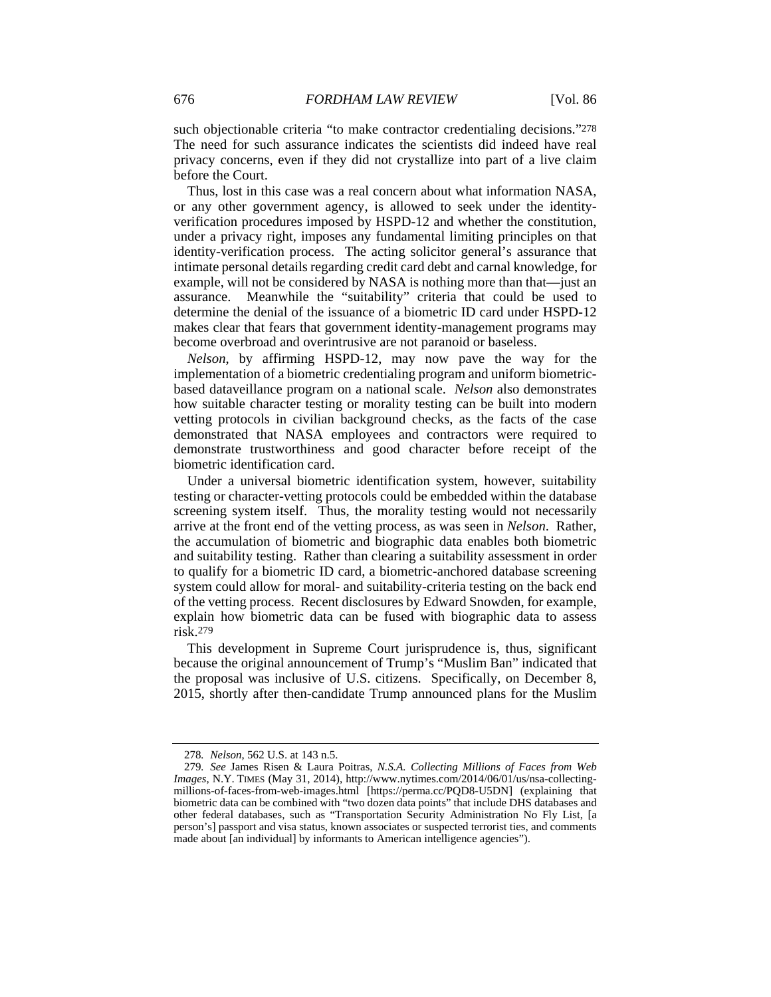such objectionable criteria "to make contractor credentialing decisions."278 The need for such assurance indicates the scientists did indeed have real privacy concerns, even if they did not crystallize into part of a live claim before the Court.

Thus, lost in this case was a real concern about what information NASA, or any other government agency, is allowed to seek under the identityverification procedures imposed by HSPD-12 and whether the constitution, under a privacy right, imposes any fundamental limiting principles on that identity-verification process. The acting solicitor general's assurance that intimate personal details regarding credit card debt and carnal knowledge, for example, will not be considered by NASA is nothing more than that—just an assurance. Meanwhile the "suitability" criteria that could be used to determine the denial of the issuance of a biometric ID card under HSPD-12 makes clear that fears that government identity-management programs may become overbroad and overintrusive are not paranoid or baseless.

*Nelson*, by affirming HSPD-12, may now pave the way for the implementation of a biometric credentialing program and uniform biometricbased dataveillance program on a national scale. *Nelson* also demonstrates how suitable character testing or morality testing can be built into modern vetting protocols in civilian background checks, as the facts of the case demonstrated that NASA employees and contractors were required to demonstrate trustworthiness and good character before receipt of the biometric identification card.

Under a universal biometric identification system, however, suitability testing or character-vetting protocols could be embedded within the database screening system itself. Thus, the morality testing would not necessarily arrive at the front end of the vetting process, as was seen in *Nelson*. Rather, the accumulation of biometric and biographic data enables both biometric and suitability testing. Rather than clearing a suitability assessment in order to qualify for a biometric ID card, a biometric-anchored database screening system could allow for moral- and suitability-criteria testing on the back end of the vetting process. Recent disclosures by Edward Snowden, for example, explain how biometric data can be fused with biographic data to assess risk.279

This development in Supreme Court jurisprudence is, thus, significant because the original announcement of Trump's "Muslim Ban" indicated that the proposal was inclusive of U.S. citizens. Specifically, on December 8, 2015, shortly after then-candidate Trump announced plans for the Muslim

<sup>278</sup>*. Nelson*, 562 U.S. at 143 n.5.

<sup>279</sup>*. See* James Risen & Laura Poitras, *N.S.A. Collecting Millions of Faces from Web Images*, N.Y. TIMES (May 31, 2014), http://www.nytimes.com/2014/06/01/us/nsa-collectingmillions-of-faces-from-web-images.html [https://perma.cc/PQD8-U5DN] (explaining that biometric data can be combined with "two dozen data points" that include DHS databases and other federal databases, such as "Transportation Security Administration No Fly List, [a person's] passport and visa status, known associates or suspected terrorist ties, and comments made about [an individual] by informants to American intelligence agencies").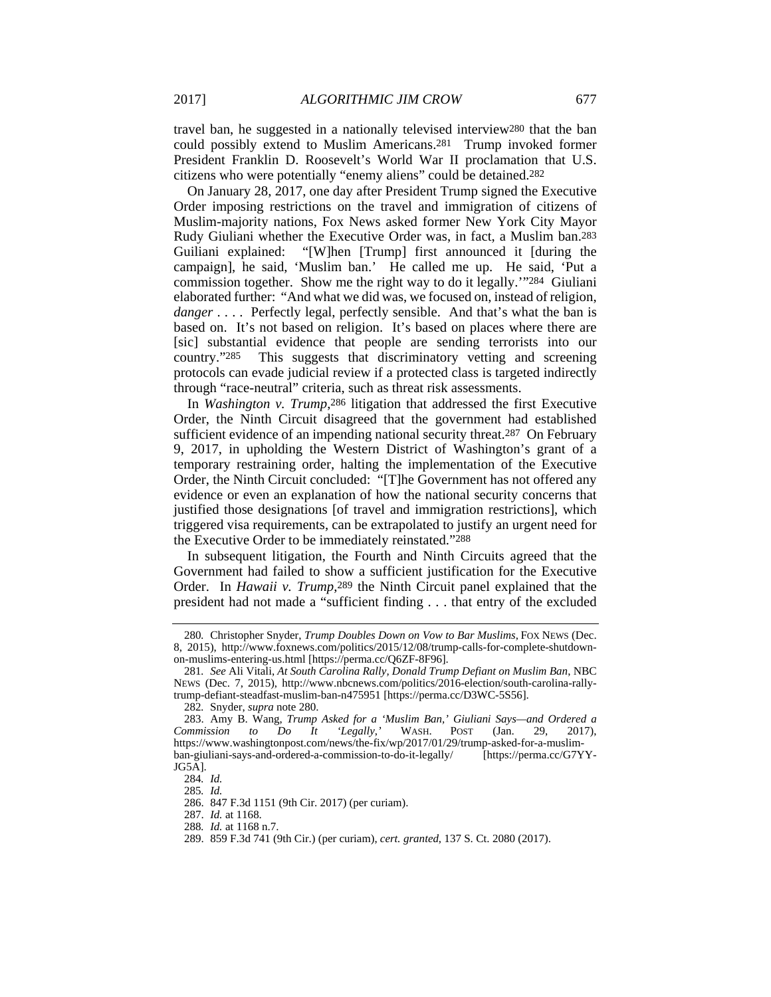travel ban, he suggested in a nationally televised interview280 that the ban could possibly extend to Muslim Americans.281 Trump invoked former President Franklin D. Roosevelt's World War II proclamation that U.S. citizens who were potentially "enemy aliens" could be detained.282

On January 28, 2017, one day after President Trump signed the Executive Order imposing restrictions on the travel and immigration of citizens of Muslim-majority nations, Fox News asked former New York City Mayor Rudy Giuliani whether the Executive Order was, in fact, a Muslim ban.283 Guiliani explained: "[W]hen [Trump] first announced it [during the campaign], he said, 'Muslim ban.' He called me up. He said, 'Put a commission together. Show me the right way to do it legally.'"284 Giuliani elaborated further: "And what we did was, we focused on, instead of religion, *danger* . . . . Perfectly legal, perfectly sensible. And that's what the ban is based on. It's not based on religion. It's based on places where there are [sic] substantial evidence that people are sending terrorists into our country."285 This suggests that discriminatory vetting and screening protocols can evade judicial review if a protected class is targeted indirectly through "race-neutral" criteria, such as threat risk assessments.

In *Washington v. Trump*,286 litigation that addressed the first Executive Order, the Ninth Circuit disagreed that the government had established sufficient evidence of an impending national security threat.<sup>287</sup> On February 9, 2017, in upholding the Western District of Washington's grant of a temporary restraining order, halting the implementation of the Executive Order, the Ninth Circuit concluded: "[T]he Government has not offered any evidence or even an explanation of how the national security concerns that justified those designations [of travel and immigration restrictions], which triggered visa requirements, can be extrapolated to justify an urgent need for the Executive Order to be immediately reinstated."288

In subsequent litigation, the Fourth and Ninth Circuits agreed that the Government had failed to show a sufficient justification for the Executive Order. In *Hawaii v. Trump*,289 the Ninth Circuit panel explained that the president had not made a "sufficient finding . . . that entry of the excluded

<sup>280</sup>*.* Christopher Snyder, *Trump Doubles Down on Vow to Bar Muslims*, FOX NEWS (Dec. 8, 2015), http://www.foxnews.com/politics/2015/12/08/trump-calls-for-complete-shutdownon-muslims-entering-us.html [https://perma.cc/Q6ZF-8F96].

<sup>281</sup>*. See* Ali Vitali, *At South Carolina Rally, Donald Trump Defiant on Muslim Ban*, NBC NEWS (Dec. 7, 2015), http://www.nbcnews.com/politics/2016-election/south-carolina-rallytrump-defiant-steadfast-muslim-ban-n475951 [https://perma.cc/D3WC-5S56].

<sup>282</sup>*.* Snyder, *supra* note 280.

 <sup>283.</sup> Amy B. Wang, *Trump Asked for a 'Muslim Ban,' Giuliani Says—and Ordered a Commission to Do It 'Legally*,*'* WASH. POST (Jan. 29, 2017), https://www.washingtonpost.com/news/the-fix/wp/2017/01/29/trump-asked-for-a-muslimban-giuliani-says-and-ordered-a-commission-to-do-it-legally/ [https://perma.cc/G7YY-JG5A].

<sup>284</sup>*. Id.*

<sup>285</sup>*. Id.*

 <sup>286. 847</sup> F.3d 1151 (9th Cir. 2017) (per curiam).

 <sup>287.</sup> *Id.* at 1168.

<sup>288</sup>*. Id.* at 1168 n.7.

 <sup>289. 859</sup> F.3d 741 (9th Cir.) (per curiam), *cert. granted*, 137 S. Ct. 2080 (2017).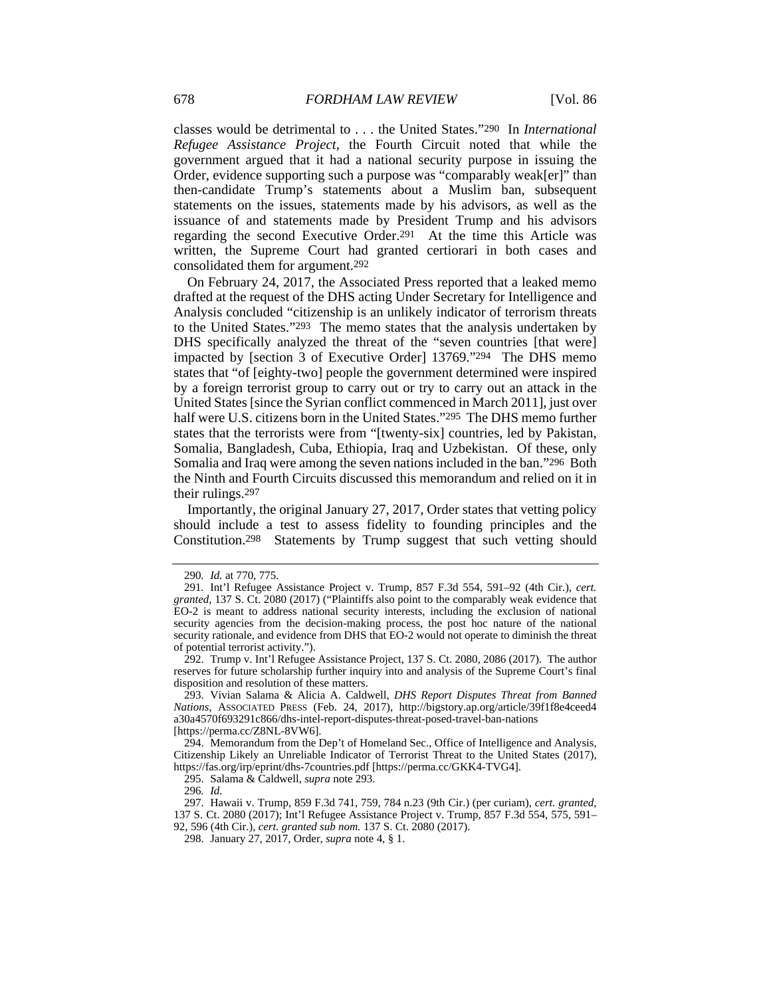classes would be detrimental to . . . the United States."290 In *International Refugee Assistance Project*, the Fourth Circuit noted that while the government argued that it had a national security purpose in issuing the Order, evidence supporting such a purpose was "comparably weak[er]" than then-candidate Trump's statements about a Muslim ban, subsequent statements on the issues, statements made by his advisors, as well as the issuance of and statements made by President Trump and his advisors regarding the second Executive Order.291 At the time this Article was written, the Supreme Court had granted certiorari in both cases and consolidated them for argument.292

On February 24, 2017, the Associated Press reported that a leaked memo drafted at the request of the DHS acting Under Secretary for Intelligence and Analysis concluded "citizenship is an unlikely indicator of terrorism threats to the United States."293 The memo states that the analysis undertaken by DHS specifically analyzed the threat of the "seven countries [that were] impacted by [section 3 of Executive Order] 13769."294 The DHS memo states that "of [eighty-two] people the government determined were inspired by a foreign terrorist group to carry out or try to carry out an attack in the United States [since the Syrian conflict commenced in March 2011], just over half were U.S. citizens born in the United States."295 The DHS memo further states that the terrorists were from "[twenty-six] countries, led by Pakistan, Somalia, Bangladesh, Cuba, Ethiopia, Iraq and Uzbekistan. Of these, only Somalia and Iraq were among the seven nations included in the ban."296 Both the Ninth and Fourth Circuits discussed this memorandum and relied on it in their rulings.297

Importantly, the original January 27, 2017, Order states that vetting policy should include a test to assess fidelity to founding principles and the Constitution.298 Statements by Trump suggest that such vetting should

<sup>290</sup>*. Id.* at 770, 775.

<sup>291</sup>*.* Int'l Refugee Assistance Project v. Trump, 857 F.3d 554, 591–92 (4th Cir.), *cert. granted*, 137 S. Ct. 2080 (2017) ("Plaintiffs also point to the comparably weak evidence that EO-2 is meant to address national security interests, including the exclusion of national security agencies from the decision-making process, the post hoc nature of the national security rationale, and evidence from DHS that EO-2 would not operate to diminish the threat of potential terrorist activity.").

 <sup>292.</sup> Trump v. Int'l Refugee Assistance Project, 137 S. Ct. 2080, 2086 (2017). The author reserves for future scholarship further inquiry into and analysis of the Supreme Court's final disposition and resolution of these matters.

 <sup>293.</sup> Vivian Salama & Alicia A. Caldwell, *DHS Report Disputes Threat from Banned Nations*, ASSOCIATED PRESS (Feb. 24, 2017), http://bigstory.ap.org/article/39f1f8e4ceed4 a30a4570f693291c866/dhs-intel-report-disputes-threat-posed-travel-ban-nations [https://perma.cc/Z8NL-8VW6].

 <sup>294.</sup> Memorandum from the Dep't of Homeland Sec., Office of Intelligence and Analysis, Citizenship Likely an Unreliable Indicator of Terrorist Threat to the United States (2017), https://fas.org/irp/eprint/dhs-7countries.pdf [https://perma.cc/GKK4-TVG4].

 <sup>295.</sup> Salama & Caldwell, *supra* note 293.

<sup>296</sup>*. Id.*

 <sup>297.</sup> Hawaii v. Trump, 859 F.3d 741, 759, 784 n.23 (9th Cir.) (per curiam), *cert. granted*, 137 S. Ct. 2080 (2017); Int'l Refugee Assistance Project v. Trump, 857 F.3d 554, 575, 591– 92, 596 (4th Cir.), *cert. granted sub nom.* 137 S. Ct. 2080 (2017).

 <sup>298.</sup> January 27, 2017, Order, *supra* note 4, § 1.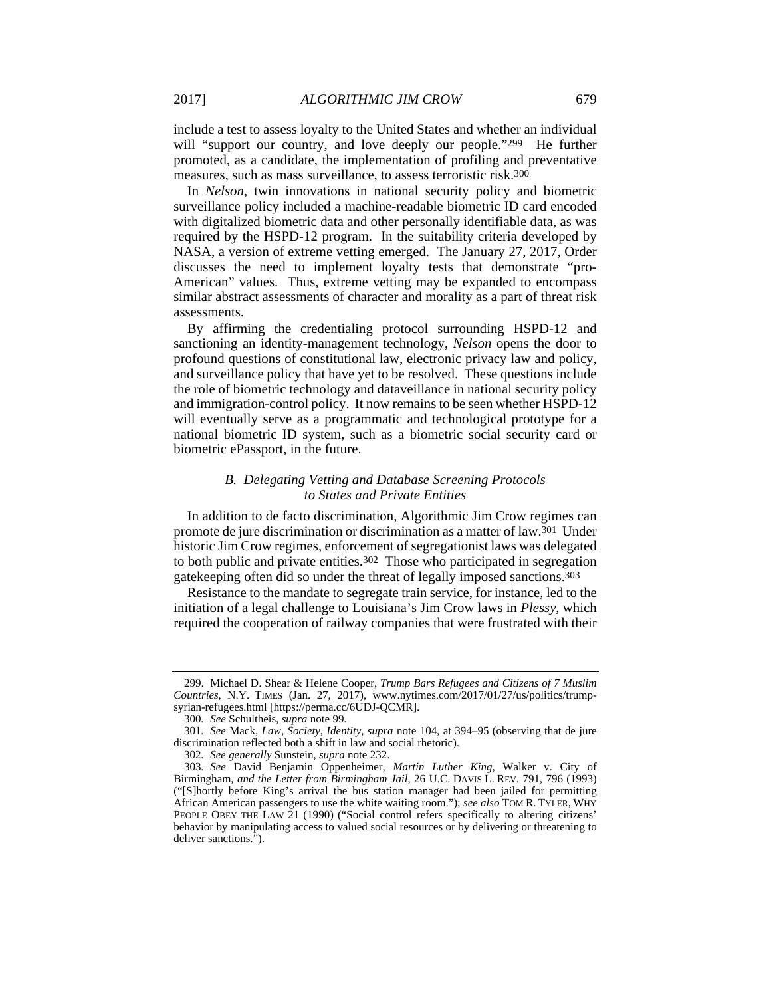include a test to assess loyalty to the United States and whether an individual will "support our country, and love deeply our people."299 He further promoted, as a candidate, the implementation of profiling and preventative measures, such as mass surveillance, to assess terroristic risk.300

In *Nelson*, twin innovations in national security policy and biometric surveillance policy included a machine-readable biometric ID card encoded with digitalized biometric data and other personally identifiable data, as was required by the HSPD-12 program. In the suitability criteria developed by NASA, a version of extreme vetting emerged. The January 27, 2017, Order discusses the need to implement loyalty tests that demonstrate "pro-American" values. Thus, extreme vetting may be expanded to encompass similar abstract assessments of character and morality as a part of threat risk assessments.

By affirming the credentialing protocol surrounding HSPD-12 and sanctioning an identity-management technology, *Nelson* opens the door to profound questions of constitutional law, electronic privacy law and policy, and surveillance policy that have yet to be resolved. These questions include the role of biometric technology and dataveillance in national security policy and immigration-control policy. It now remains to be seen whether HSPD-12 will eventually serve as a programmatic and technological prototype for a national biometric ID system, such as a biometric social security card or biometric ePassport, in the future.

# *B. Delegating Vetting and Database Screening Protocols to States and Private Entities*

In addition to de facto discrimination, Algorithmic Jim Crow regimes can promote de jure discrimination or discrimination as a matter of law.301 Under historic Jim Crow regimes, enforcement of segregationist laws was delegated to both public and private entities.302 Those who participated in segregation gatekeeping often did so under the threat of legally imposed sanctions.303

Resistance to the mandate to segregate train service, for instance, led to the initiation of a legal challenge to Louisiana's Jim Crow laws in *Plessy*, which required the cooperation of railway companies that were frustrated with their

 <sup>299.</sup> Michael D. Shear & Helene Cooper, *Trump Bars Refugees and Citizens of 7 Muslim Countries*, N.Y. TIMES (Jan. 27, 2017), www.nytimes.com/2017/01/27/us/politics/trumpsyrian-refugees.html [https://perma.cc/6UDJ-QCMR].

<sup>300</sup>*. See* Schultheis, *supra* note 99.

<sup>301</sup>*. See* Mack, *Law, Society, Identity*, *supra* note 104, at 394–95 (observing that de jure discrimination reflected both a shift in law and social rhetoric).

<sup>302</sup>*. See generally* Sunstein, *supra* note 232.

<sup>303</sup>*. See* David Benjamin Oppenheimer, *Martin Luther King,* Walker v. City of Birmingham*, and the Letter from Birmingham Jail*, 26 U.C. DAVIS L. REV. 791, 796 (1993) ("[S]hortly before King's arrival the bus station manager had been jailed for permitting African American passengers to use the white waiting room."); *see also* TOM R. TYLER, WHY PEOPLE OBEY THE LAW 21 (1990) ("Social control refers specifically to altering citizens' behavior by manipulating access to valued social resources or by delivering or threatening to deliver sanctions.").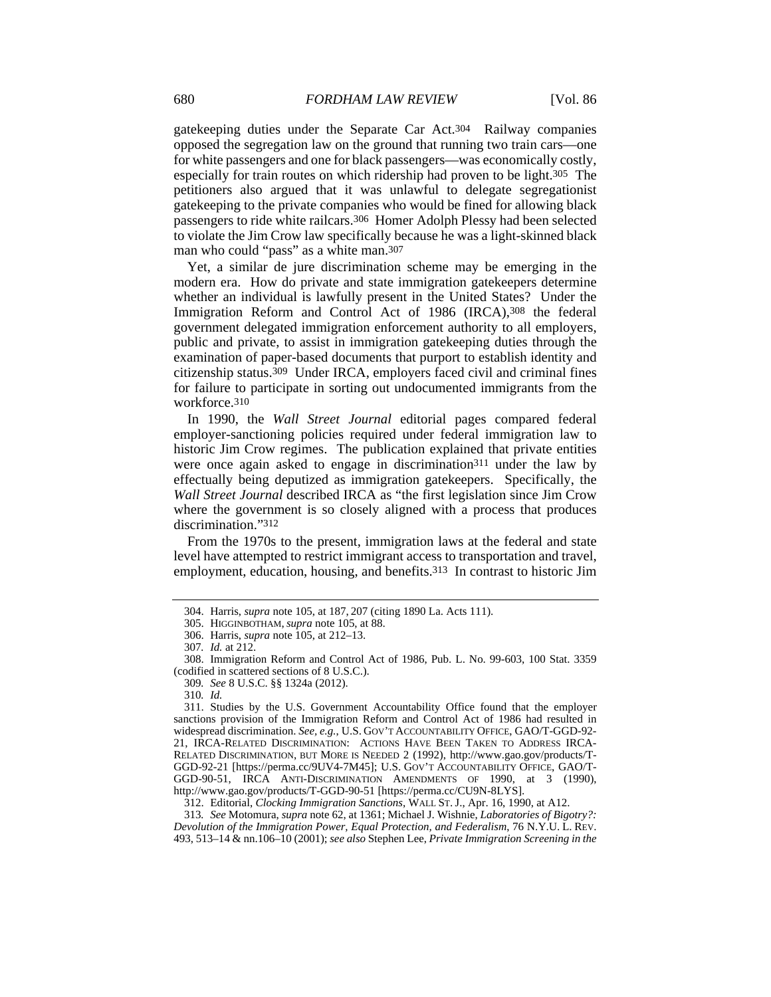gatekeeping duties under the Separate Car Act.304 Railway companies opposed the segregation law on the ground that running two train cars—one for white passengers and one for black passengers—was economically costly, especially for train routes on which ridership had proven to be light.305 The petitioners also argued that it was unlawful to delegate segregationist gatekeeping to the private companies who would be fined for allowing black passengers to ride white railcars.306 Homer Adolph Plessy had been selected to violate the Jim Crow law specifically because he was a light-skinned black man who could "pass" as a white man.307

Yet, a similar de jure discrimination scheme may be emerging in the modern era. How do private and state immigration gatekeepers determine whether an individual is lawfully present in the United States? Under the Immigration Reform and Control Act of 1986 (IRCA), 308 the federal government delegated immigration enforcement authority to all employers, public and private, to assist in immigration gatekeeping duties through the examination of paper-based documents that purport to establish identity and citizenship status.309 Under IRCA, employers faced civil and criminal fines for failure to participate in sorting out undocumented immigrants from the workforce.310

In 1990, the *Wall Street Journal* editorial pages compared federal employer-sanctioning policies required under federal immigration law to historic Jim Crow regimes. The publication explained that private entities were once again asked to engage in discrimination<sup>311</sup> under the law by effectually being deputized as immigration gatekeepers. Specifically, the *Wall Street Journal* described IRCA as "the first legislation since Jim Crow where the government is so closely aligned with a process that produces discrimination."312

From the 1970s to the present, immigration laws at the federal and state level have attempted to restrict immigrant access to transportation and travel, employment, education, housing, and benefits.313 In contrast to historic Jim

 <sup>304.</sup> Harris, *supra* note 105, at 187, 207 (citing 1890 La. Acts 111).

 <sup>305.</sup> HIGGINBOTHAM, *supra* note 105, at 88.

 <sup>306.</sup> Harris, *supra* note 105, at 212–13.

<sup>307</sup>*. Id.* at 212.

 <sup>308.</sup> Immigration Reform and Control Act of 1986, Pub. L. No. 99-603, 100 Stat. 3359 (codified in scattered sections of 8 U.S.C.).

<sup>309</sup>*. See* 8 U.S.C. §§ 1324a (2012).

<sup>310</sup>*. Id.*

 <sup>311.</sup> Studies by the U.S. Government Accountability Office found that the employer sanctions provision of the Immigration Reform and Control Act of 1986 had resulted in widespread discrimination. *See, e.g.*, U.S. GOV'T ACCOUNTABILITY OFFICE, GAO/T-GGD-92- 21, IRCA-RELATED DISCRIMINATION: ACTIONS HAVE BEEN TAKEN TO ADDRESS IRCA-RELATED DISCRIMINATION, BUT MORE IS NEEDED 2 (1992), http://www.gao.gov/products/T-GGD-92-21 [https://perma.cc/9UV4-7M45]; U.S. GOV'T ACCOUNTABILITY OFFICE, GAO/T-GGD-90-51, IRCA ANTI-DISCRIMINATION AMENDMENTS OF 1990, at 3 (1990), http://www.gao.gov/products/T-GGD-90-51 [https://perma.cc/CU9N-8LYS].

 <sup>312.</sup> Editorial, *Clocking Immigration Sanctions*, WALL ST. J., Apr. 16, 1990, at A12.

<sup>313</sup>*. See* Motomura, *supra* note 62, at 1361; Michael J. Wishnie, *Laboratories of Bigotry?: Devolution of the Immigration Power, Equal Protection, and Federalism*, 76 N.Y.U. L. REV. 493, 513–14 & nn.106–10 (2001); *see also* Stephen Lee, *Private Immigration Screening in the*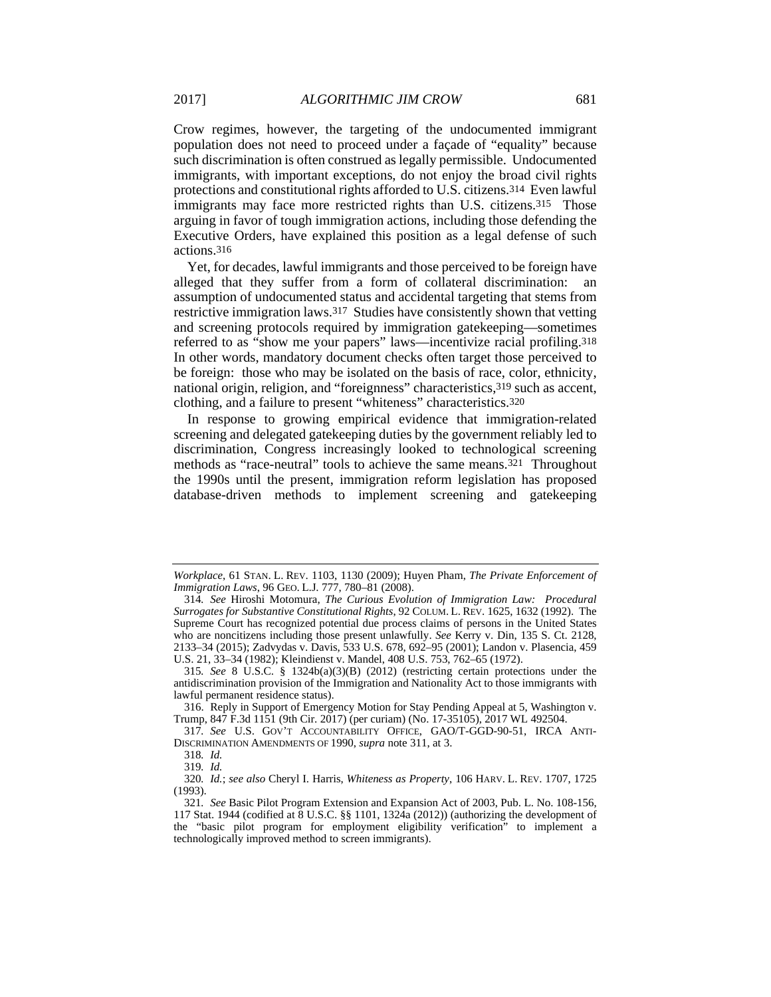Crow regimes, however, the targeting of the undocumented immigrant population does not need to proceed under a façade of "equality" because such discrimination is often construed as legally permissible. Undocumented immigrants, with important exceptions, do not enjoy the broad civil rights protections and constitutional rights afforded to U.S. citizens.314 Even lawful immigrants may face more restricted rights than U.S. citizens.315 Those arguing in favor of tough immigration actions, including those defending the Executive Orders, have explained this position as a legal defense of such actions.316

Yet, for decades, lawful immigrants and those perceived to be foreign have alleged that they suffer from a form of collateral discrimination: an assumption of undocumented status and accidental targeting that stems from restrictive immigration laws.317 Studies have consistently shown that vetting and screening protocols required by immigration gatekeeping—sometimes referred to as "show me your papers" laws—incentivize racial profiling.318 In other words, mandatory document checks often target those perceived to be foreign: those who may be isolated on the basis of race, color, ethnicity, national origin, religion, and "foreignness" characteristics,319 such as accent, clothing, and a failure to present "whiteness" characteristics.320

In response to growing empirical evidence that immigration-related screening and delegated gatekeeping duties by the government reliably led to discrimination, Congress increasingly looked to technological screening methods as "race-neutral" tools to achieve the same means.321 Throughout the 1990s until the present, immigration reform legislation has proposed database-driven methods to implement screening and gatekeeping

*Workplace*, 61 STAN. L. REV. 1103, 1130 (2009); Huyen Pham, *The Private Enforcement of Immigration Laws*, 96 GEO. L.J. 777, 780–81 (2008).

<sup>314</sup>*. See* Hiroshi Motomura, *The Curious Evolution of Immigration Law: Procedural Surrogates for Substantive Constitutional Rights*, 92 COLUM. L. REV. 1625, 1632 (1992). The Supreme Court has recognized potential due process claims of persons in the United States who are noncitizens including those present unlawfully. *See* Kerry v. Din, 135 S. Ct. 2128, 2133–34 (2015); Zadvydas v. Davis, 533 U.S. 678, 692–95 (2001); Landon v. Plasencia, 459 U.S. 21, 33–34 (1982); Kleindienst v. Mandel, 408 U.S. 753, 762–65 (1972).

<sup>315</sup>*. See* 8 U.S.C. § 1324b(a)(3)(B) (2012) (restricting certain protections under the antidiscrimination provision of the Immigration and Nationality Act to those immigrants with lawful permanent residence status).

 <sup>316.</sup> Reply in Support of Emergency Motion for Stay Pending Appeal at 5, Washington v. Trump, 847 F.3d 1151 (9th Cir. 2017) (per curiam) (No. 17-35105), 2017 WL 492504.

<sup>317</sup>*. See* U.S. GOV'T ACCOUNTABILITY OFFICE, GAO/T-GGD-90-51, IRCA ANTI-DISCRIMINATION AMENDMENTS OF 1990, *supra* note 311, at 3.

<sup>318</sup>*. Id.*

<sup>319</sup>*. Id.*

<sup>320</sup>*. Id.*; *see also* Cheryl I. Harris, *Whiteness as Property*, 106 HARV. L. REV. 1707, 1725 (1993).

<sup>321</sup>*. See* Basic Pilot Program Extension and Expansion Act of 2003, Pub. L. No. 108-156, 117 Stat. 1944 (codified at 8 U.S.C. §§ 1101, 1324a (2012)) (authorizing the development of the "basic pilot program for employment eligibility verification" to implement a technologically improved method to screen immigrants).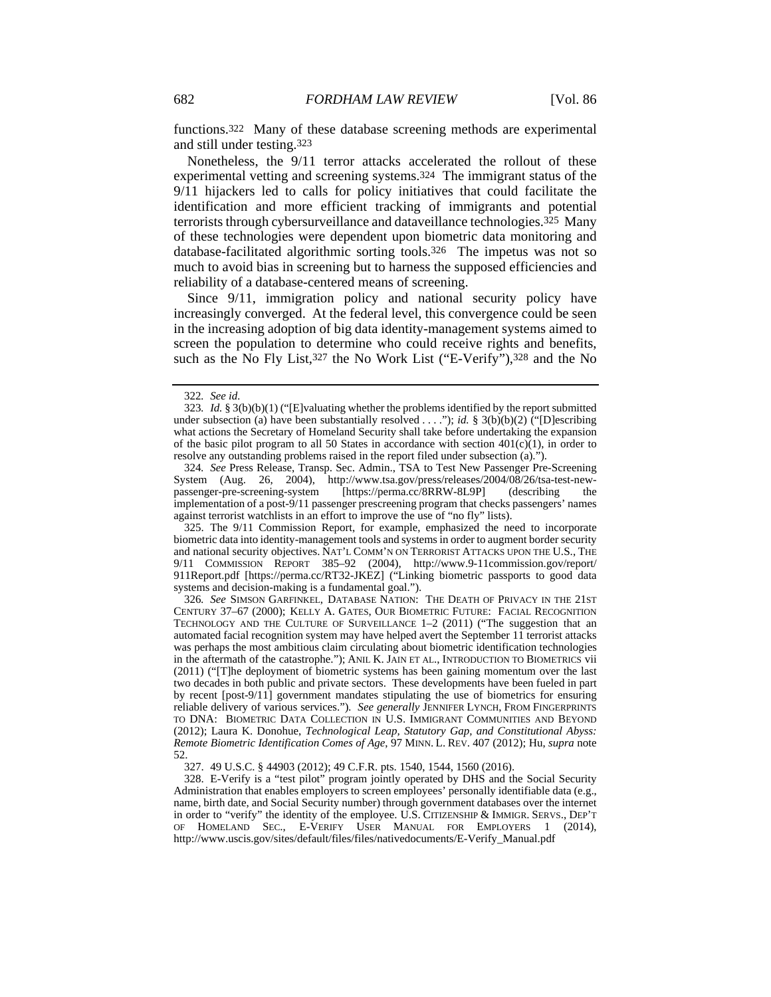functions.322 Many of these database screening methods are experimental and still under testing.323

Nonetheless, the 9/11 terror attacks accelerated the rollout of these experimental vetting and screening systems.324 The immigrant status of the 9/11 hijackers led to calls for policy initiatives that could facilitate the identification and more efficient tracking of immigrants and potential terrorists through cybersurveillance and dataveillance technologies.325 Many of these technologies were dependent upon biometric data monitoring and database-facilitated algorithmic sorting tools.326 The impetus was not so much to avoid bias in screening but to harness the supposed efficiencies and reliability of a database-centered means of screening.

Since 9/11, immigration policy and national security policy have increasingly converged. At the federal level, this convergence could be seen in the increasing adoption of big data identity-management systems aimed to screen the population to determine who could receive rights and benefits, such as the No Fly List, 327 the No Work List ("E-Verify"), 328 and the No

 325. The 9/11 Commission Report, for example, emphasized the need to incorporate biometric data into identity-management tools and systems in order to augment border security and national security objectives. NAT'L COMM'N ON TERRORIST ATTACKS UPON THE U.S., THE 9/11 COMMISSION REPORT 385–92 (2004), http://www.9-11commission.gov/report/ 911Report.pdf [https://perma.cc/RT32-JKEZ] ("Linking biometric passports to good data systems and decision-making is a fundamental goal.").

326*. See* SIMSON GARFINKEL, DATABASE NATION: THE DEATH OF PRIVACY IN THE 21ST CENTURY 37–67 (2000); KELLY A. GATES, OUR BIOMETRIC FUTURE: FACIAL RECOGNITION TECHNOLOGY AND THE CULTURE OF SURVEILLANCE 1–2 (2011) ("The suggestion that an automated facial recognition system may have helped avert the September 11 terrorist attacks was perhaps the most ambitious claim circulating about biometric identification technologies in the aftermath of the catastrophe."); ANIL K. JAIN ET AL., INTRODUCTION TO BIOMETRICS vii (2011) ("[T]he deployment of biometric systems has been gaining momentum over the last two decades in both public and private sectors. These developments have been fueled in part by recent [post-9/11] government mandates stipulating the use of biometrics for ensuring reliable delivery of various services.")*. See generally* JENNIFER LYNCH, FROM FINGERPRINTS TO DNA: BIOMETRIC DATA COLLECTION IN U.S. IMMIGRANT COMMUNITIES AND BEYOND (2012); Laura K. Donohue, *Technological Leap, Statutory Gap, and Constitutional Abyss: Remote Biometric Identification Comes of Age*, 97 MINN. L. REV. 407 (2012); Hu, *supra* note 52.

327. 49 U.S.C. § 44903 (2012); 49 C.F.R. pts. 1540, 1544, 1560 (2016).

 328. E-Verify is a "test pilot" program jointly operated by DHS and the Social Security Administration that enables employers to screen employees' personally identifiable data (e.g., name, birth date, and Social Security number) through government databases over the internet in order to "verify" the identity of the employee. U.S. CITIZENSHIP & IMMIGR. SERVS., DEP'T OF HOMELAND SEC., E-VERIFY USER MANUAL FOR EMPLOYERS 1 (2014), http://www.uscis.gov/sites/default/files/files/nativedocuments/E-Verify\_Manual.pdf

<sup>322</sup>*. See id.*

<sup>323</sup>*. Id.* § 3(b)(b)(1) ("[E]valuating whether the problems identified by the report submitted under subsection (a) have been substantially resolved . . . ."); *id.* § 3(b)(b)(2) ("[D]escribing what actions the Secretary of Homeland Security shall take before undertaking the expansion of the basic pilot program to all 50 States in accordance with section  $401(c)(1)$ , in order to resolve any outstanding problems raised in the report filed under subsection (a).").

<sup>324</sup>*. See* Press Release, Transp. Sec. Admin., TSA to Test New Passenger Pre-Screening System (Aug. 26, 2004), http://www.tsa.gov/press/releases/2004/08/26/tsa-test-newpassenger-pre-screening-system [https://perma.cc/8RRW-8L9P] (describing the implementation of a post-9/11 passenger prescreening program that checks passengers' names against terrorist watchlists in an effort to improve the use of "no fly" lists).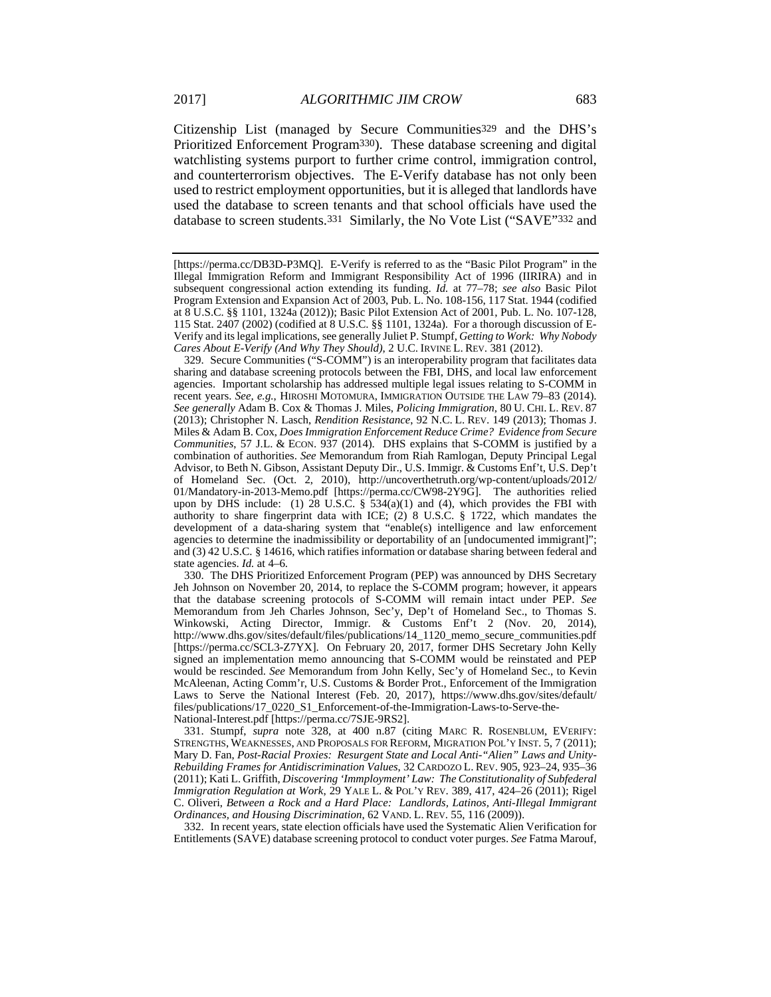Citizenship List (managed by Secure Communities329 and the DHS's Prioritized Enforcement Program330). These database screening and digital watchlisting systems purport to further crime control, immigration control, and counterterrorism objectives. The E-Verify database has not only been used to restrict employment opportunities, but it is alleged that landlords have used the database to screen tenants and that school officials have used the database to screen students.331 Similarly, the No Vote List ("SAVE"332 and

 329. Secure Communities ("S-COMM") is an interoperability program that facilitates data sharing and database screening protocols between the FBI, DHS, and local law enforcement agencies. Important scholarship has addressed multiple legal issues relating to S-COMM in recent years. *See, e.g.*, HIROSHI MOTOMURA, IMMIGRATION OUTSIDE THE LAW 79–83 (2014). *See generally* Adam B. Cox & Thomas J. Miles, *Policing Immigration*, 80 U. CHI. L. REV. 87 (2013); Christopher N. Lasch, *Rendition Resistance*, 92 N.C. L. REV. 149 (2013); Thomas J. Miles & Adam B. Cox, *Does Immigration Enforcement Reduce Crime? Evidence from Secure Communities*, 57 J.L. & ECON. 937 (2014). DHS explains that S-COMM is justified by a combination of authorities. *See* Memorandum from Riah Ramlogan, Deputy Principal Legal Advisor, to Beth N. Gibson, Assistant Deputy Dir., U.S. Immigr. & Customs Enf't, U.S. Dep't of Homeland Sec. (Oct. 2, 2010), http://uncoverthetruth.org/wp-content/uploads/2012/ 01/Mandatory-in-2013-Memo.pdf [https://perma.cc/CW98-2Y9G]. The authorities relied upon by DHS include: (1) 28 U.S.C.  $\S$  534(a)(1) and (4), which provides the FBI with authority to share fingerprint data with ICE; (2) 8 U.S.C. § 1722, which mandates the development of a data-sharing system that "enable(s) intelligence and law enforcement agencies to determine the inadmissibility or deportability of an [undocumented immigrant]"; and (3) 42 U.S.C. § 14616, which ratifies information or database sharing between federal and state agencies. *Id.* at 4–6.

 330. The DHS Prioritized Enforcement Program (PEP) was announced by DHS Secretary Jeh Johnson on November 20, 2014, to replace the S-COMM program; however, it appears that the database screening protocols of S-COMM will remain intact under PEP. *See*  Memorandum from Jeh Charles Johnson, Sec'y, Dep't of Homeland Sec., to Thomas S. Winkowski, Acting Director, Immigr. & Customs Enf't 2 (Nov. 20, 2014), http://www.dhs.gov/sites/default/files/publications/14\_1120\_memo\_secure\_communities.pdf [https://perma.cc/SCL3-Z7YX]. On February 20, 2017, former DHS Secretary John Kelly signed an implementation memo announcing that S-COMM would be reinstated and PEP would be rescinded. *See* Memorandum from John Kelly, Sec'y of Homeland Sec., to Kevin McAleenan, Acting Comm'r, U.S. Customs & Border Prot., Enforcement of the Immigration Laws to Serve the National Interest (Feb. 20, 2017), https://www.dhs.gov/sites/default/ files/publications/17\_0220\_S1\_Enforcement-of-the-Immigration-Laws-to-Serve-the-National-Interest.pdf [https://perma.cc/7SJE-9RS2].

 331. Stumpf, *supra* note 328, at 400 n.87 (citing MARC R. ROSENBLUM, EVERIFY: STRENGTHS, WEAKNESSES, AND PROPOSALS FOR REFORM, MIGRATION POL'Y INST. 5, 7 (2011); Mary D. Fan, *Post-Racial Proxies: Resurgent State and Local Anti-"Alien" Laws and Unity-Rebuilding Frames for Antidiscrimination Values*, 32 CARDOZO L. REV. 905, 923–24, 935–36 (2011); Kati L. Griffith, *Discovering 'Immployment' Law: The Constitutionality of Subfederal Immigration Regulation at Work*, 29 YALE L. & POL'Y REV. 389, 417, 424–26 (2011); Rigel C. Oliveri, *Between a Rock and a Hard Place: Landlords, Latinos, Anti-Illegal Immigrant Ordinances, and Housing Discrimination*, 62 VAND. L. REV. 55, 116 (2009)).

 332. In recent years, state election officials have used the Systematic Alien Verification for Entitlements (SAVE) database screening protocol to conduct voter purges. *See* Fatma Marouf,

<sup>[</sup>https://perma.cc/DB3D-P3MQ]. E-Verify is referred to as the "Basic Pilot Program" in the Illegal Immigration Reform and Immigrant Responsibility Act of 1996 (IIRIRA) and in subsequent congressional action extending its funding. *Id.* at 77–78; *see also* Basic Pilot Program Extension and Expansion Act of 2003, Pub. L. No. 108-156, 117 Stat. 1944 (codified at 8 U.S.C. §§ 1101, 1324a (2012)); Basic Pilot Extension Act of 2001, Pub. L. No. 107-128, 115 Stat. 2407 (2002) (codified at 8 U.S.C. §§ 1101, 1324a). For a thorough discussion of E-Verify and its legal implications, see generally Juliet P. Stumpf, *Getting to Work: Why Nobody Cares About E-Verify (And Why They Should)*, 2 U.C. IRVINE L. REV. 381 (2012).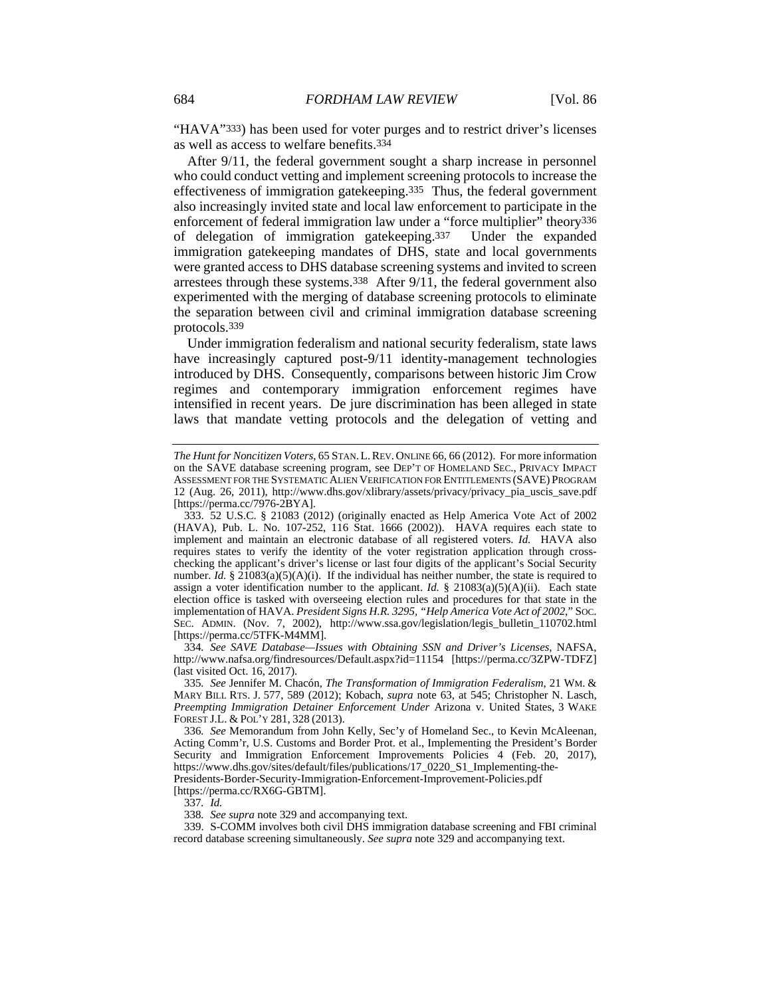"HAVA"333) has been used for voter purges and to restrict driver's licenses as well as access to welfare benefits.334

After 9/11, the federal government sought a sharp increase in personnel who could conduct vetting and implement screening protocols to increase the effectiveness of immigration gatekeeping.335 Thus, the federal government also increasingly invited state and local law enforcement to participate in the enforcement of federal immigration law under a "force multiplier" theory<sup>336</sup> of delegation of immigration gatekeeping.337 Under the expanded immigration gatekeeping mandates of DHS, state and local governments were granted access to DHS database screening systems and invited to screen arrestees through these systems.338 After 9/11, the federal government also experimented with the merging of database screening protocols to eliminate the separation between civil and criminal immigration database screening protocols.339

Under immigration federalism and national security federalism, state laws have increasingly captured post-9/11 identity-management technologies introduced by DHS. Consequently, comparisons between historic Jim Crow regimes and contemporary immigration enforcement regimes have intensified in recent years. De jure discrimination has been alleged in state laws that mandate vetting protocols and the delegation of vetting and

334*. See SAVE Database—Issues with Obtaining SSN and Driver's Licenses*, NAFSA, http://www.nafsa.org/findresources/Default.aspx?id=11154 [https://perma.cc/3ZPW-TDFZ] (last visited Oct. 16, 2017).

335*. See* Jennifer M. Chacón, *The Transformation of Immigration Federalism*, 21 WM. & MARY BILL RTS. J. 577, 589 (2012); Kobach, *supra* note 63, at 545; Christopher N. Lasch, *Preempting Immigration Detainer Enforcement Under* Arizona v. United States, 3 WAKE FOREST J.L. & POL'Y 281, 328 (2013).

336*. See* Memorandum from John Kelly, Sec'y of Homeland Sec., to Kevin McAleenan, Acting Comm'r, U.S. Customs and Border Prot. et al., Implementing the President's Border Security and Immigration Enforcement Improvements Policies 4 (Feb. 20, 2017), https://www.dhs.gov/sites/default/files/publications/17\_0220\_S1\_Implementing-the-Presidents-Border-Security-Immigration-Enforcement-Improvement-Policies.pdf [https://perma.cc/RX6G-GBTM].

337*. Id.*

338*. See supra* note 329 and accompanying text.

 339. S-COMM involves both civil DHS immigration database screening and FBI criminal record database screening simultaneously. *See supra* note 329 and accompanying text.

*The Hunt for Noncitizen Voters*, 65 STAN.L.REV. ONLINE 66, 66 (2012). For more information on the SAVE database screening program, see DEP'T OF HOMELAND SEC., PRIVACY IMPACT ASSESSMENT FOR THE SYSTEMATIC ALIEN VERIFICATION FOR ENTITLEMENTS (SAVE) PROGRAM 12 (Aug. 26, 2011), http://www.dhs.gov/xlibrary/assets/privacy/privacy\_pia\_uscis\_save.pdf [https://perma.cc/7976-2BYA].

 <sup>333. 52</sup> U.S.C. § 21083 (2012) (originally enacted as Help America Vote Act of 2002 (HAVA), Pub. L. No. 107-252, 116 Stat. 1666 (2002)). HAVA requires each state to implement and maintain an electronic database of all registered voters. *Id.* HAVA also requires states to verify the identity of the voter registration application through crosschecking the applicant's driver's license or last four digits of the applicant's Social Security number. *Id.* § 21083(a)(5)(A)(i). If the individual has neither number, the state is required to assign a voter identification number to the applicant. *Id.* § 21083(a)(5)(A)(ii). Each state election office is tasked with overseeing election rules and procedures for that state in the implementation of HAVA. *President Signs H.R. 3295, "Help America Vote Act of 2002*," SOC. SEC. ADMIN. (Nov. 7, 2002), http://www.ssa.gov/legislation/legis\_bulletin\_110702.html [https://perma.cc/5TFK-M4MM].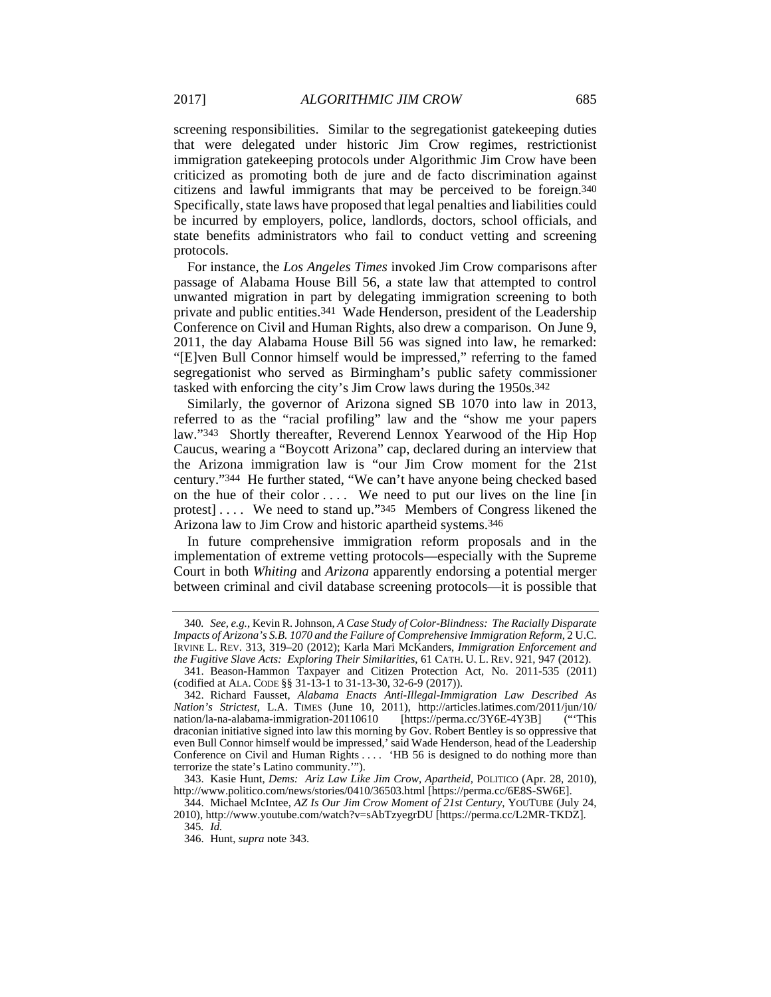screening responsibilities. Similar to the segregationist gatekeeping duties that were delegated under historic Jim Crow regimes, restrictionist immigration gatekeeping protocols under Algorithmic Jim Crow have been criticized as promoting both de jure and de facto discrimination against citizens and lawful immigrants that may be perceived to be foreign.340 Specifically, state laws have proposed that legal penalties and liabilities could be incurred by employers, police, landlords, doctors, school officials, and state benefits administrators who fail to conduct vetting and screening protocols.

For instance, the *Los Angeles Times* invoked Jim Crow comparisons after passage of Alabama House Bill 56, a state law that attempted to control unwanted migration in part by delegating immigration screening to both private and public entities.341 Wade Henderson, president of the Leadership Conference on Civil and Human Rights, also drew a comparison. On June 9, 2011, the day Alabama House Bill 56 was signed into law, he remarked: "[E]ven Bull Connor himself would be impressed," referring to the famed segregationist who served as Birmingham's public safety commissioner tasked with enforcing the city's Jim Crow laws during the 1950s.342

Similarly, the governor of Arizona signed SB 1070 into law in 2013, referred to as the "racial profiling" law and the "show me your papers law."343 Shortly thereafter, Reverend Lennox Yearwood of the Hip Hop Caucus, wearing a "Boycott Arizona" cap, declared during an interview that the Arizona immigration law is "our Jim Crow moment for the 21st century."344 He further stated, "We can't have anyone being checked based on the hue of their color .... We need to put our lives on the line [in] protest] . . . . We need to stand up."345 Members of Congress likened the Arizona law to Jim Crow and historic apartheid systems.346

In future comprehensive immigration reform proposals and in the implementation of extreme vetting protocols—especially with the Supreme Court in both *Whiting* and *Arizona* apparently endorsing a potential merger between criminal and civil database screening protocols—it is possible that

<sup>340</sup>*. See, e.g.*, Kevin R. Johnson, *A Case Study of Color-Blindness: The Racially Disparate Impacts of Arizona's S.B. 1070 and the Failure of Comprehensive Immigration Reform*, 2 U.C. IRVINE L. REV. 313, 319–20 (2012); Karla Mari McKanders, *Immigration Enforcement and the Fugitive Slave Acts: Exploring Their Similarities*, 61 CATH. U. L. REV. 921, 947 (2012).

 <sup>341.</sup> Beason-Hammon Taxpayer and Citizen Protection Act, No. 2011-535 (2011) (codified at ALA. CODE §§ 31-13-1 to 31-13-30, 32-6-9 (2017)).

 <sup>342.</sup> Richard Fausset, *Alabama Enacts Anti-Illegal-Immigration Law Described As Nation's Strictest*, L.A. TIMES (June 10, 2011), http://articles.latimes.com/2011/jun/10/ nation/la-na-alabama-immigration-20110610 [https://perma.cc/3Y6E-4Y3B] draconian initiative signed into law this morning by Gov. Robert Bentley is so oppressive that even Bull Connor himself would be impressed,' said Wade Henderson, head of the Leadership Conference on Civil and Human Rights . . . . 'HB 56 is designed to do nothing more than terrorize the state's Latino community.'").

 <sup>343.</sup> Kasie Hunt, *Dems: Ariz Law Like Jim Crow, Apartheid,* POLITICO (Apr. 28, 2010), http://www.politico.com/news/stories/0410/36503.html [https://perma.cc/6E8S-SW6E].

 <sup>344.</sup> Michael McIntee, *AZ Is Our Jim Crow Moment of 21st Century*, YOUTUBE (July 24, 2010), http://www.youtube.com/watch?v=sAbTzyegrDU [https://perma.cc/L2MR-TKDZ]. 345*. Id.*

 <sup>346.</sup> Hunt, *supra* note 343.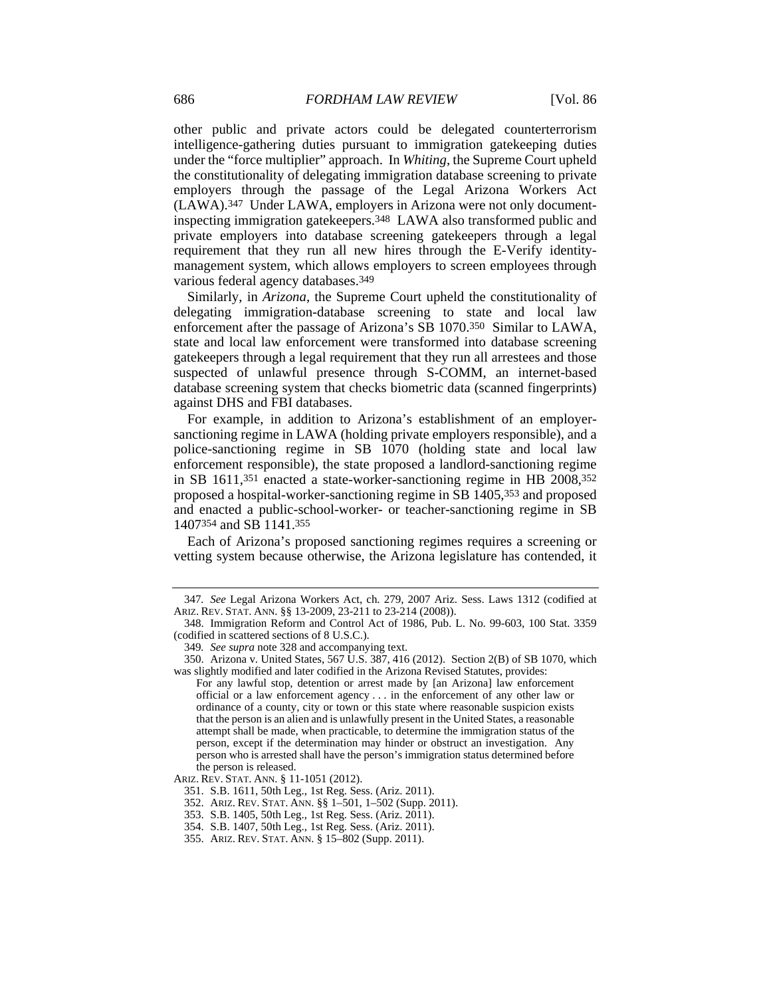other public and private actors could be delegated counterterrorism intelligence-gathering duties pursuant to immigration gatekeeping duties under the "force multiplier" approach. In *Whiting*, the Supreme Court upheld the constitutionality of delegating immigration database screening to private employers through the passage of the Legal Arizona Workers Act (LAWA).347 Under LAWA, employers in Arizona were not only documentinspecting immigration gatekeepers.348 LAWA also transformed public and private employers into database screening gatekeepers through a legal requirement that they run all new hires through the E-Verify identitymanagement system, which allows employers to screen employees through various federal agency databases.349

Similarly, in *Arizona*, the Supreme Court upheld the constitutionality of delegating immigration-database screening to state and local law enforcement after the passage of Arizona's SB 1070.350 Similar to LAWA, state and local law enforcement were transformed into database screening gatekeepers through a legal requirement that they run all arrestees and those suspected of unlawful presence through S-COMM, an internet-based database screening system that checks biometric data (scanned fingerprints) against DHS and FBI databases.

For example, in addition to Arizona's establishment of an employersanctioning regime in LAWA (holding private employers responsible), and a police-sanctioning regime in SB 1070 (holding state and local law enforcement responsible), the state proposed a landlord-sanctioning regime in SB 1611,351 enacted a state-worker-sanctioning regime in HB 2008,352 proposed a hospital-worker-sanctioning regime in SB 1405,353 and proposed and enacted a public-school-worker- or teacher-sanctioning regime in SB 1407354 and SB 1141.355

Each of Arizona's proposed sanctioning regimes requires a screening or vetting system because otherwise, the Arizona legislature has contended, it

<sup>347</sup>*. See* Legal Arizona Workers Act, ch. 279, 2007 Ariz. Sess. Laws 1312 (codified at ARIZ. REV. STAT. ANN. §§ 13-2009, 23-211 to 23-214 (2008)).

 <sup>348.</sup> Immigration Reform and Control Act of 1986, Pub. L. No. 99-603, 100 Stat. 3359 (codified in scattered sections of 8 U.S.C.).

<sup>349</sup>*. See supra* note 328 and accompanying text.

 <sup>350.</sup> Arizona v. United States, 567 U.S. 387, 416 (2012). Section 2(B) of SB 1070, which was slightly modified and later codified in the Arizona Revised Statutes, provides:

For any lawful stop, detention or arrest made by [an Arizona] law enforcement official or a law enforcement agency . . . in the enforcement of any other law or ordinance of a county, city or town or this state where reasonable suspicion exists that the person is an alien and is unlawfully present in the United States, a reasonable attempt shall be made, when practicable, to determine the immigration status of the person, except if the determination may hinder or obstruct an investigation. Any person who is arrested shall have the person's immigration status determined before the person is released.

ARIZ. REV. STAT. ANN. § 11-1051 (2012).

 <sup>351.</sup> S.B. 1611, 50th Leg., 1st Reg. Sess. (Ariz. 2011).

 <sup>352.</sup> ARIZ. REV. STAT. ANN. §§ 1–501, 1–502 (Supp. 2011).

 <sup>353.</sup> S.B. 1405, 50th Leg., 1st Reg. Sess. (Ariz. 2011).

 <sup>354.</sup> S.B. 1407, 50th Leg., 1st Reg. Sess. (Ariz. 2011).

 <sup>355.</sup> ARIZ. REV. STAT. ANN. § 15–802 (Supp. 2011).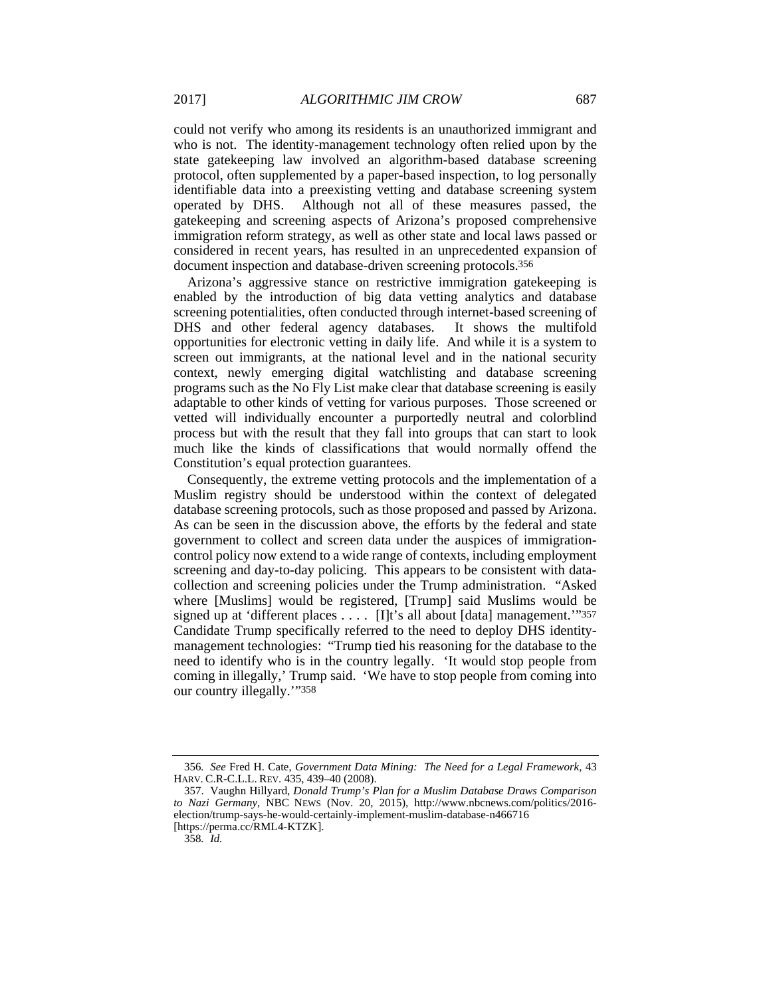could not verify who among its residents is an unauthorized immigrant and who is not. The identity-management technology often relied upon by the state gatekeeping law involved an algorithm-based database screening protocol, often supplemented by a paper-based inspection, to log personally identifiable data into a preexisting vetting and database screening system operated by DHS. Although not all of these measures passed, the gatekeeping and screening aspects of Arizona's proposed comprehensive immigration reform strategy, as well as other state and local laws passed or considered in recent years, has resulted in an unprecedented expansion of document inspection and database-driven screening protocols.356

Arizona's aggressive stance on restrictive immigration gatekeeping is enabled by the introduction of big data vetting analytics and database screening potentialities, often conducted through internet-based screening of DHS and other federal agency databases. It shows the multifold DHS and other federal agency databases. opportunities for electronic vetting in daily life. And while it is a system to screen out immigrants, at the national level and in the national security context, newly emerging digital watchlisting and database screening programs such as the No Fly List make clear that database screening is easily adaptable to other kinds of vetting for various purposes. Those screened or vetted will individually encounter a purportedly neutral and colorblind process but with the result that they fall into groups that can start to look much like the kinds of classifications that would normally offend the Constitution's equal protection guarantees.

Consequently, the extreme vetting protocols and the implementation of a Muslim registry should be understood within the context of delegated database screening protocols, such as those proposed and passed by Arizona. As can be seen in the discussion above, the efforts by the federal and state government to collect and screen data under the auspices of immigrationcontrol policy now extend to a wide range of contexts, including employment screening and day-to-day policing. This appears to be consistent with datacollection and screening policies under the Trump administration. "Asked where [Muslims] would be registered, [Trump] said Muslims would be signed up at 'different places . . . . [I]t's all about [data] management.'"357 Candidate Trump specifically referred to the need to deploy DHS identitymanagement technologies: "Trump tied his reasoning for the database to the need to identify who is in the country legally. 'It would stop people from coming in illegally,' Trump said. 'We have to stop people from coming into our country illegally.'"358

<sup>356</sup>*. See* Fred H. Cate, *Government Data Mining: The Need for a Legal Framework*, 43 HARV. C.R-C.L.L. REV. 435, 439–40 (2008).

 <sup>357.</sup> Vaughn Hillyard, *Donald Trump's Plan for a Muslim Database Draws Comparison to Nazi Germany*, NBC NEWS (Nov. 20, 2015), http://www.nbcnews.com/politics/2016 election/trump-says-he-would-certainly-implement-muslim-database-n466716 [https://perma.cc/RML4-KTZK].

<sup>358</sup>*. Id.*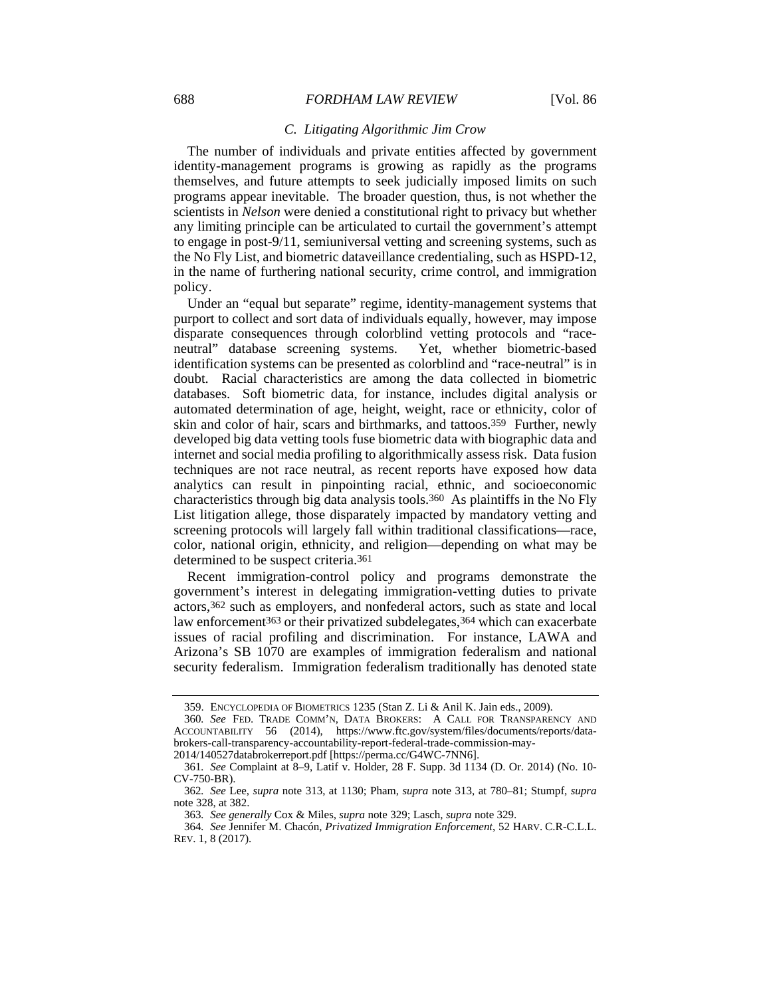#### *C. Litigating Algorithmic Jim Crow*

The number of individuals and private entities affected by government identity-management programs is growing as rapidly as the programs themselves, and future attempts to seek judicially imposed limits on such programs appear inevitable. The broader question, thus, is not whether the scientists in *Nelson* were denied a constitutional right to privacy but whether any limiting principle can be articulated to curtail the government's attempt to engage in post-9/11, semiuniversal vetting and screening systems, such as the No Fly List, and biometric dataveillance credentialing, such as HSPD-12, in the name of furthering national security, crime control, and immigration policy.

Under an "equal but separate" regime, identity-management systems that purport to collect and sort data of individuals equally, however, may impose disparate consequences through colorblind vetting protocols and "raceneutral" database screening systems. Yet, whether biometric-based identification systems can be presented as colorblind and "race-neutral" is in doubt. Racial characteristics are among the data collected in biometric databases. Soft biometric data, for instance, includes digital analysis or automated determination of age, height, weight, race or ethnicity, color of skin and color of hair, scars and birthmarks, and tattoos.359 Further, newly developed big data vetting tools fuse biometric data with biographic data and internet and social media profiling to algorithmically assess risk. Data fusion techniques are not race neutral, as recent reports have exposed how data analytics can result in pinpointing racial, ethnic, and socioeconomic characteristics through big data analysis tools.360 As plaintiffs in the No Fly List litigation allege, those disparately impacted by mandatory vetting and screening protocols will largely fall within traditional classifications—race, color, national origin, ethnicity, and religion—depending on what may be determined to be suspect criteria.361

Recent immigration-control policy and programs demonstrate the government's interest in delegating immigration-vetting duties to private actors,362 such as employers, and nonfederal actors, such as state and local law enforcement<sup>363</sup> or their privatized subdelegates,<sup>364</sup> which can exacerbate issues of racial profiling and discrimination. For instance, LAWA and Arizona's SB 1070 are examples of immigration federalism and national security federalism. Immigration federalism traditionally has denoted state

 <sup>359.</sup> ENCYCLOPEDIA OF BIOMETRICS 1235 (Stan Z. Li & Anil K. Jain eds., 2009).

<sup>360</sup>*. See* FED. TRADE COMM'N, DATA BROKERS: A CALL FOR TRANSPARENCY AND ACCOUNTABILITY 56 (2014), https://www.ftc.gov/system/files/documents/reports/databrokers-call-transparency-accountability-report-federal-trade-commission-may-

<sup>2014/140527</sup>databrokerreport.pdf [https://perma.cc/G4WC-7NN6].

<sup>361</sup>*. See* Complaint at 8–9, Latif v. Holder, 28 F. Supp. 3d 1134 (D. Or. 2014) (No. 10- CV-750-BR).

<sup>362</sup>*. See* Lee, *supra* note 313, at 1130; Pham, *supra* note 313, at 780–81; Stumpf, *supra* note 328, at 382.

<sup>363</sup>*. See generally* Cox & Miles, *supra* note 329; Lasch, *supra* note 329.

<sup>364</sup>*. See* Jennifer M. Chacón, *Privatized Immigration Enforcement*, 52 HARV. C.R-C.L.L. REV. 1, 8 (2017).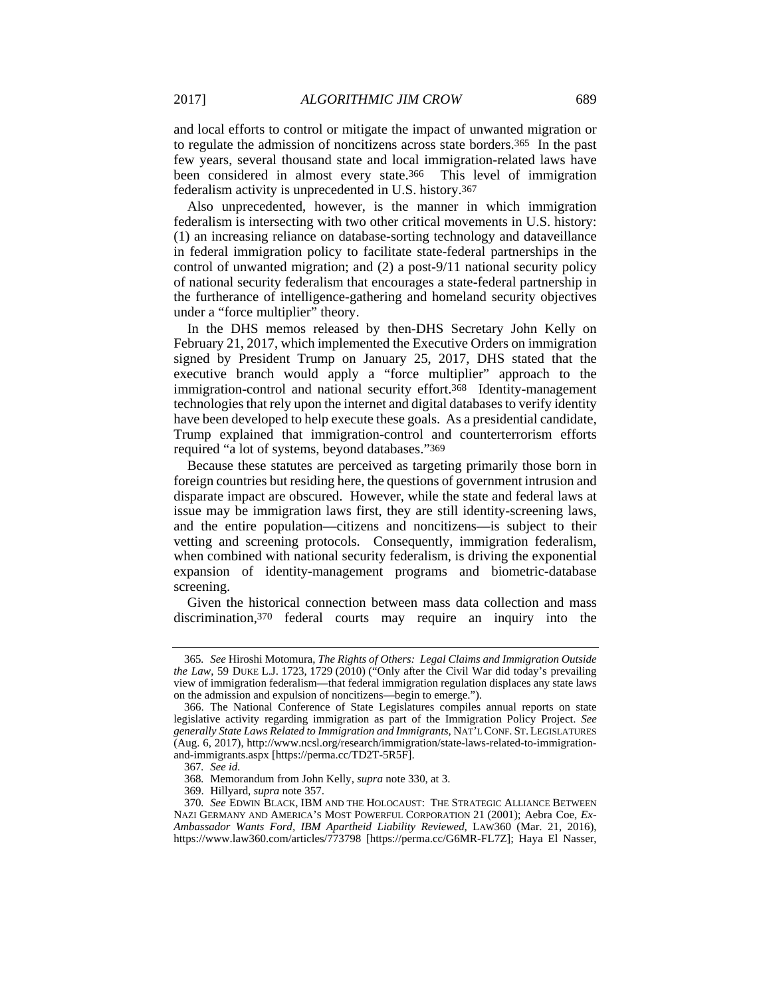and local efforts to control or mitigate the impact of unwanted migration or to regulate the admission of noncitizens across state borders.365 In the past few years, several thousand state and local immigration-related laws have been considered in almost every state.366 This level of immigration federalism activity is unprecedented in U.S. history.367

Also unprecedented, however, is the manner in which immigration federalism is intersecting with two other critical movements in U.S. history: (1) an increasing reliance on database-sorting technology and dataveillance in federal immigration policy to facilitate state-federal partnerships in the control of unwanted migration; and (2) a post-9/11 national security policy of national security federalism that encourages a state-federal partnership in the furtherance of intelligence-gathering and homeland security objectives under a "force multiplier" theory.

In the DHS memos released by then-DHS Secretary John Kelly on February 21, 2017, which implemented the Executive Orders on immigration signed by President Trump on January 25, 2017, DHS stated that the executive branch would apply a "force multiplier" approach to the immigration-control and national security effort.368 Identity-management technologies that rely upon the internet and digital databases to verify identity have been developed to help execute these goals. As a presidential candidate, Trump explained that immigration-control and counterterrorism efforts required "a lot of systems, beyond databases."369

Because these statutes are perceived as targeting primarily those born in foreign countries but residing here, the questions of government intrusion and disparate impact are obscured. However, while the state and federal laws at issue may be immigration laws first, they are still identity-screening laws, and the entire population—citizens and noncitizens—is subject to their vetting and screening protocols. Consequently, immigration federalism, when combined with national security federalism, is driving the exponential expansion of identity-management programs and biometric-database screening.

Given the historical connection between mass data collection and mass discrimination,370 federal courts may require an inquiry into the

<sup>365</sup>*. See* Hiroshi Motomura, *The Rights of Others: Legal Claims and Immigration Outside the Law*, 59 DUKE L.J. 1723, 1729 (2010) ("Only after the Civil War did today's prevailing view of immigration federalism—that federal immigration regulation displaces any state laws on the admission and expulsion of noncitizens—begin to emerge.").

 <sup>366.</sup> The National Conference of State Legislatures compiles annual reports on state legislative activity regarding immigration as part of the Immigration Policy Project. *See generally State Laws Related to Immigration and Immigrants*, NAT'L CONF. ST. LEGISLATURES (Aug. 6, 2017), http://www.ncsl.org/research/immigration/state-laws-related-to-immigrationand-immigrants.aspx [https://perma.cc/TD2T-5R5F].

<sup>367</sup>*. See id.*

<sup>368</sup>*.* Memorandum from John Kelly, *supra* note 330, at 3.

 <sup>369.</sup> Hillyard, *supra* note 357.

<sup>370</sup>*. See* EDWIN BLACK, IBM AND THE HOLOCAUST: THE STRATEGIC ALLIANCE BETWEEN NAZI GERMANY AND AMERICA'S MOST POWERFUL CORPORATION 21 (2001); Aebra Coe, *Ex-Ambassador Wants Ford, IBM Apartheid Liability Reviewed*, LAW360 (Mar. 21, 2016), https://www.law360.com/articles/773798 [https://perma.cc/G6MR-FL7Z]; Haya El Nasser,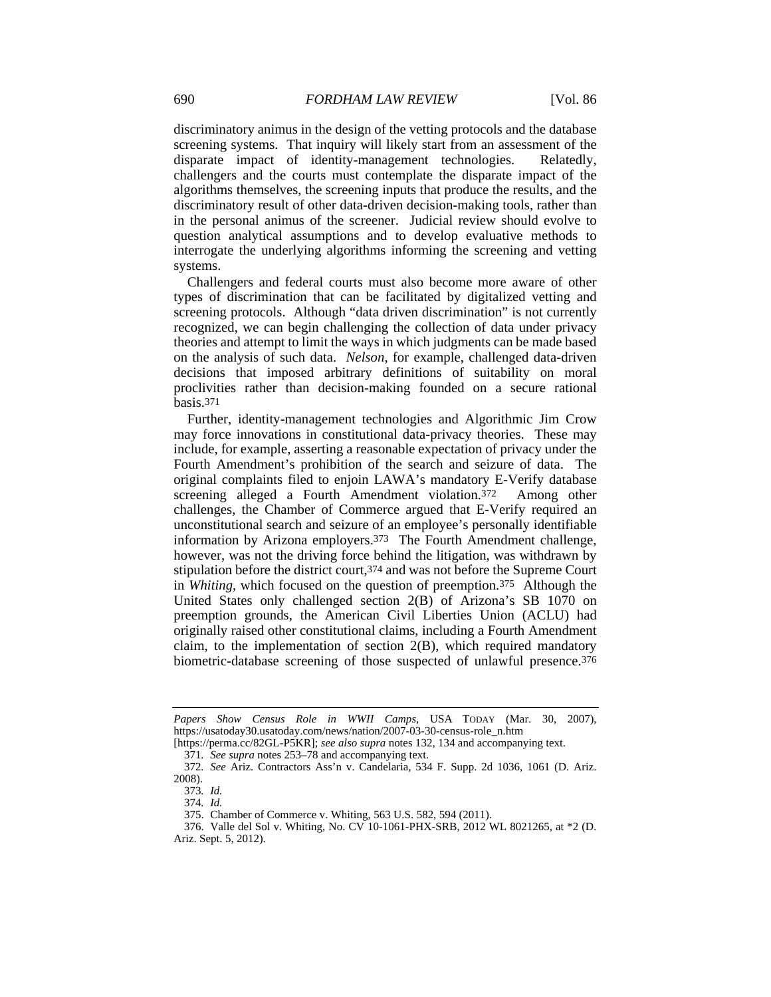discriminatory animus in the design of the vetting protocols and the database screening systems. That inquiry will likely start from an assessment of the disparate impact of identity-management technologies. Relatedly, challengers and the courts must contemplate the disparate impact of the algorithms themselves, the screening inputs that produce the results, and the discriminatory result of other data-driven decision-making tools, rather than in the personal animus of the screener. Judicial review should evolve to question analytical assumptions and to develop evaluative methods to interrogate the underlying algorithms informing the screening and vetting systems.

Challengers and federal courts must also become more aware of other types of discrimination that can be facilitated by digitalized vetting and screening protocols. Although "data driven discrimination" is not currently recognized, we can begin challenging the collection of data under privacy theories and attempt to limit the ways in which judgments can be made based on the analysis of such data. *Nelson*, for example, challenged data-driven decisions that imposed arbitrary definitions of suitability on moral proclivities rather than decision-making founded on a secure rational basis.371

Further, identity-management technologies and Algorithmic Jim Crow may force innovations in constitutional data-privacy theories. These may include, for example, asserting a reasonable expectation of privacy under the Fourth Amendment's prohibition of the search and seizure of data. The original complaints filed to enjoin LAWA's mandatory E-Verify database screening alleged a Fourth Amendment violation.372 Among other challenges, the Chamber of Commerce argued that E-Verify required an unconstitutional search and seizure of an employee's personally identifiable information by Arizona employers.373 The Fourth Amendment challenge, however, was not the driving force behind the litigation, was withdrawn by stipulation before the district court,374 and was not before the Supreme Court in *Whiting*, which focused on the question of preemption.375 Although the United States only challenged section 2(B) of Arizona's SB 1070 on preemption grounds, the American Civil Liberties Union (ACLU) had originally raised other constitutional claims, including a Fourth Amendment claim, to the implementation of section 2(B), which required mandatory biometric-database screening of those suspected of unlawful presence.376

*Papers Show Census Role in WWII Camps*, USA TODAY (Mar. 30, 2007), https://usatoday30.usatoday.com/news/nation/2007-03-30-census-role\_n.htm

<sup>[</sup>https://perma.cc/82GL-P5KR]; *see also supra* notes 132, 134 and accompanying text.

<sup>371</sup>*. See supra* notes 253–78 and accompanying text.

<sup>372</sup>*. See* Ariz. Contractors Ass'n v. Candelaria, 534 F. Supp. 2d 1036, 1061 (D. Ariz. 2008).

<sup>373</sup>*. Id.*

<sup>374</sup>*. Id.*

 <sup>375.</sup> Chamber of Commerce v. Whiting, 563 U.S. 582, 594 (2011).

 <sup>376.</sup> Valle del Sol v. Whiting, No. CV 10-1061-PHX-SRB, 2012 WL 8021265, at \*2 (D. Ariz. Sept. 5, 2012).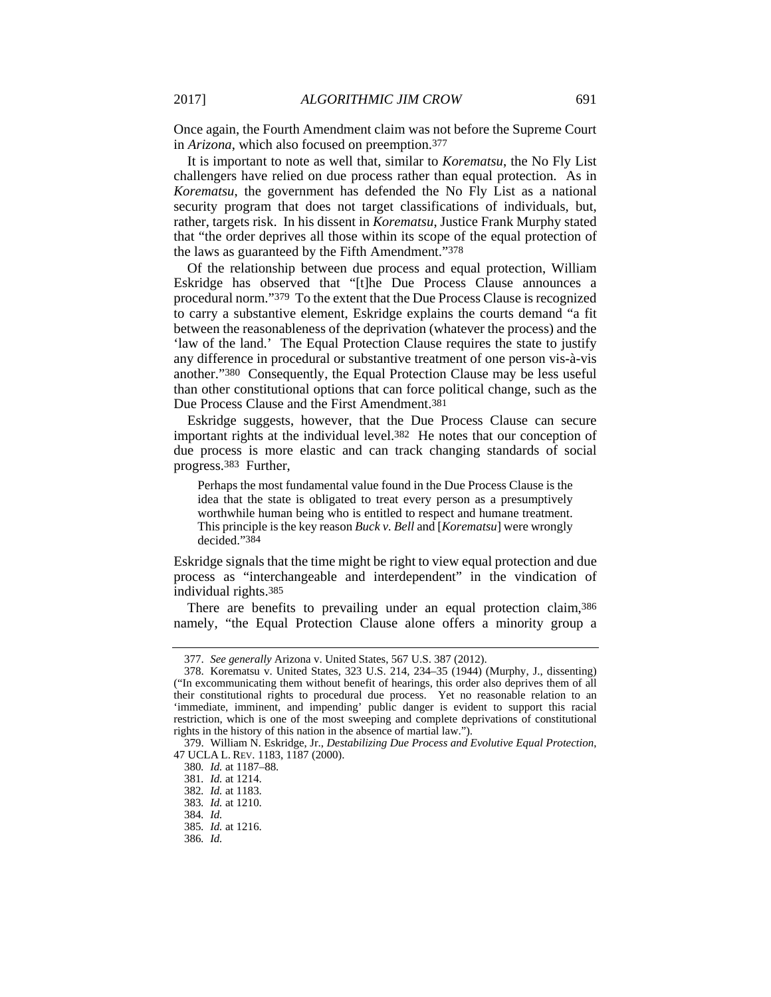Once again, the Fourth Amendment claim was not before the Supreme Court in *Arizona*, which also focused on preemption.377

It is important to note as well that, similar to *Korematsu*, the No Fly List challengers have relied on due process rather than equal protection. As in *Korematsu*, the government has defended the No Fly List as a national security program that does not target classifications of individuals, but, rather, targets risk. In his dissent in *Korematsu*, Justice Frank Murphy stated that "the order deprives all those within its scope of the equal protection of the laws as guaranteed by the Fifth Amendment."378

Of the relationship between due process and equal protection, William Eskridge has observed that "[t]he Due Process Clause announces a procedural norm."379 To the extent that the Due Process Clause is recognized to carry a substantive element, Eskridge explains the courts demand "a fit between the reasonableness of the deprivation (whatever the process) and the 'law of the land.' The Equal Protection Clause requires the state to justify any difference in procedural or substantive treatment of one person vis-à-vis another."380 Consequently, the Equal Protection Clause may be less useful than other constitutional options that can force political change, such as the Due Process Clause and the First Amendment.381

Eskridge suggests, however, that the Due Process Clause can secure important rights at the individual level.382 He notes that our conception of due process is more elastic and can track changing standards of social progress.383 Further,

Perhaps the most fundamental value found in the Due Process Clause is the idea that the state is obligated to treat every person as a presumptively worthwhile human being who is entitled to respect and humane treatment. This principle is the key reason *Buck v. Bell* and [*Korematsu*] were wrongly decided."384

Eskridge signals that the time might be right to view equal protection and due process as "interchangeable and interdependent" in the vindication of individual rights.385

There are benefits to prevailing under an equal protection claim, 386 namely, "the Equal Protection Clause alone offers a minority group a

 <sup>377.</sup> *See generally* Arizona v. United States, 567 U.S. 387 (2012).

 <sup>378.</sup> Korematsu v. United States, 323 U.S. 214, 234–35 (1944) (Murphy, J., dissenting) ("In excommunicating them without benefit of hearings, this order also deprives them of all their constitutional rights to procedural due process. Yet no reasonable relation to an 'immediate, imminent, and impending' public danger is evident to support this racial restriction, which is one of the most sweeping and complete deprivations of constitutional rights in the history of this nation in the absence of martial law.").

 <sup>379.</sup> William N. Eskridge, Jr., *Destabilizing Due Process and Evolutive Equal Protection*, 47 UCLA L. REV. 1183, 1187 (2000).

<sup>380</sup>*. Id.* at 1187–88.

<sup>381</sup>*. Id.* at 1214.

<sup>382</sup>*. Id.* at 1183.

<sup>383</sup>*. Id.* at 1210.

<sup>384</sup>*. Id.*

<sup>385</sup>*. Id.* at 1216.

<sup>386</sup>*. Id.*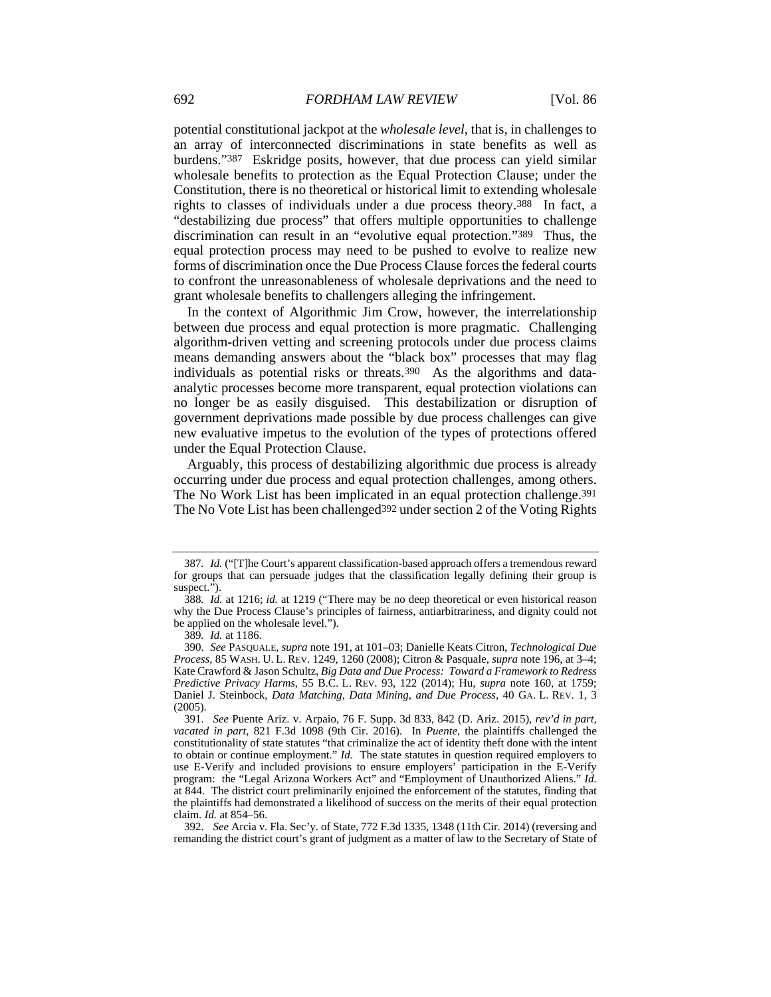potential constitutional jackpot at the *wholesale level*, that is, in challenges to an array of interconnected discriminations in state benefits as well as burdens."387 Eskridge posits, however, that due process can yield similar wholesale benefits to protection as the Equal Protection Clause; under the Constitution, there is no theoretical or historical limit to extending wholesale rights to classes of individuals under a due process theory.388 In fact, a "destabilizing due process" that offers multiple opportunities to challenge discrimination can result in an "evolutive equal protection."389 Thus, the equal protection process may need to be pushed to evolve to realize new forms of discrimination once the Due Process Clause forces the federal courts to confront the unreasonableness of wholesale deprivations and the need to grant wholesale benefits to challengers alleging the infringement.

In the context of Algorithmic Jim Crow, however, the interrelationship between due process and equal protection is more pragmatic. Challenging algorithm-driven vetting and screening protocols under due process claims means demanding answers about the "black box" processes that may flag individuals as potential risks or threats.390 As the algorithms and dataanalytic processes become more transparent, equal protection violations can no longer be as easily disguised. This destabilization or disruption of government deprivations made possible by due process challenges can give new evaluative impetus to the evolution of the types of protections offered under the Equal Protection Clause.

Arguably, this process of destabilizing algorithmic due process is already occurring under due process and equal protection challenges, among others. The No Work List has been implicated in an equal protection challenge.391 The No Vote List has been challenged<sup>392</sup> under section 2 of the Voting Rights

<sup>387</sup>*. Id.* ("[T]he Court's apparent classification-based approach offers a tremendous reward for groups that can persuade judges that the classification legally defining their group is suspect.").

<sup>388</sup>*. Id.* at 1216; *id.* at 1219 ("There may be no deep theoretical or even historical reason why the Due Process Clause's principles of fairness, antiarbitrariness, and dignity could not be applied on the wholesale level.").

<sup>389</sup>*. Id.* at 1186.

 <sup>390.</sup> *See* PASQUALE, *supra* note 191, at 101–03; Danielle Keats Citron, *Technological Due Process*, 85 WASH. U. L. REV. 1249, 1260 (2008); Citron & Pasquale, *supra* note 196, at 3–4; Kate Crawford & Jason Schultz, *Big Data and Due Process: Toward a Framework to Redress Predictive Privacy Harms*, 55 B.C. L. REV. 93, 122 (2014); Hu, *supra* note 160, at 1759; Daniel J. Steinbock, *Data Matching, Data Mining, and Due Process*, 40 GA. L. REV. 1, 3 (2005).

 <sup>391.</sup> *See* Puente Ariz. v. Arpaio, 76 F. Supp. 3d 833, 842 (D. Ariz. 2015), *rev'd in part, vacated in part*, 821 F.3d 1098 (9th Cir. 2016). In *Puente*, the plaintiffs challenged the constitutionality of state statutes "that criminalize the act of identity theft done with the intent to obtain or continue employment." *Id.* The state statutes in question required employers to use E-Verify and included provisions to ensure employers' participation in the E-Verify program: the "Legal Arizona Workers Act" and "Employment of Unauthorized Aliens." *Id.* at 844. The district court preliminarily enjoined the enforcement of the statutes, finding that the plaintiffs had demonstrated a likelihood of success on the merits of their equal protection claim. *Id.* at 854–56.

 <sup>392.</sup> *See* Arcia v. Fla. Sec'y. of State, 772 F.3d 1335, 1348 (11th Cir. 2014) (reversing and remanding the district court's grant of judgment as a matter of law to the Secretary of State of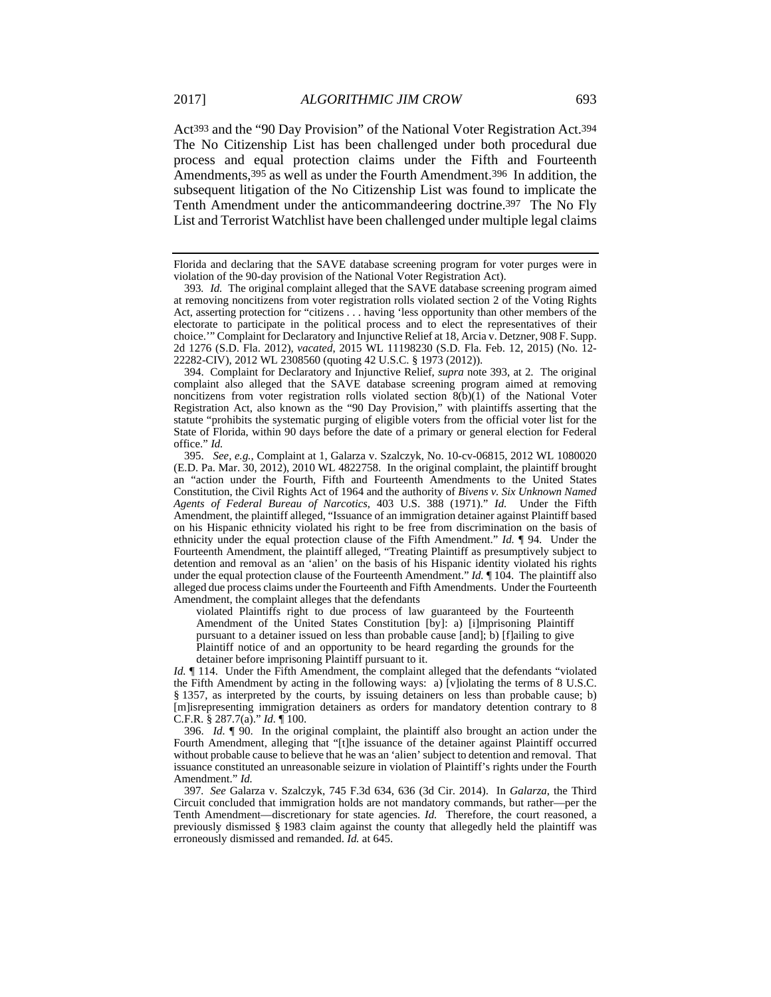Act393 and the "90 Day Provision" of the National Voter Registration Act.394 The No Citizenship List has been challenged under both procedural due process and equal protection claims under the Fifth and Fourteenth Amendments,395 as well as under the Fourth Amendment.396 In addition, the subsequent litigation of the No Citizenship List was found to implicate the Tenth Amendment under the anticommandeering doctrine.397 The No Fly List and Terrorist Watchlist have been challenged under multiple legal claims

 394. Complaint for Declaratory and Injunctive Relief, *supra* note 393, at 2. The original complaint also alleged that the SAVE database screening program aimed at removing noncitizens from voter registration rolls violated section  $8(b)(1)$  of the National Voter Registration Act, also known as the "90 Day Provision," with plaintiffs asserting that the statute "prohibits the systematic purging of eligible voters from the official voter list for the State of Florida, within 90 days before the date of a primary or general election for Federal office." *Id.*

 395. *See, e.g.*, Complaint at 1, Galarza v. Szalczyk, No. 10-cv-06815, 2012 WL 1080020 (E.D. Pa. Mar. 30, 2012), 2010 WL 4822758. In the original complaint, the plaintiff brought an "action under the Fourth, Fifth and Fourteenth Amendments to the United States Constitution, the Civil Rights Act of 1964 and the authority of *Bivens v. Six Unknown Named Agents of Federal Bureau of Narcotics*, 403 U.S. 388 (1971)." *Id.* Under the Fifth Amendment, the plaintiff alleged, "Issuance of an immigration detainer against Plaintiff based on his Hispanic ethnicity violated his right to be free from discrimination on the basis of ethnicity under the equal protection clause of the Fifth Amendment." *Id.* ¶ 94. Under the Fourteenth Amendment, the plaintiff alleged, "Treating Plaintiff as presumptively subject to detention and removal as an 'alien' on the basis of his Hispanic identity violated his rights under the equal protection clause of the Fourteenth Amendment." *Id.* ¶ 104. The plaintiff also alleged due process claims under the Fourteenth and Fifth Amendments. Under the Fourteenth Amendment, the complaint alleges that the defendants

violated Plaintiffs right to due process of law guaranteed by the Fourteenth Amendment of the United States Constitution [by]: a) [i]mprisoning Plaintiff pursuant to a detainer issued on less than probable cause [and]; b) [f]ailing to give Plaintiff notice of and an opportunity to be heard regarding the grounds for the detainer before imprisoning Plaintiff pursuant to it.

*Id.*  $\parallel$  114. Under the Fifth Amendment, the complaint alleged that the defendants "violated" the Fifth Amendment by acting in the following ways: a) [v]iolating the terms of 8 U.S.C. § 1357, as interpreted by the courts, by issuing detainers on less than probable cause; b) [m]isrepresenting immigration detainers as orders for mandatory detention contrary to 8 C.F.R. § 287.7(a)." *Id.* ¶ 100.

 396. *Id.* ¶ 90. In the original complaint, the plaintiff also brought an action under the Fourth Amendment, alleging that "[t]he issuance of the detainer against Plaintiff occurred without probable cause to believe that he was an 'alien' subject to detention and removal. That issuance constituted an unreasonable seizure in violation of Plaintiff's rights under the Fourth Amendment." *Id.*

397*. See* Galarza v. Szalczyk, 745 F.3d 634, 636 (3d Cir. 2014). In *Galarza*, the Third Circuit concluded that immigration holds are not mandatory commands, but rather—per the Tenth Amendment—discretionary for state agencies. *Id.* Therefore, the court reasoned, a previously dismissed § 1983 claim against the county that allegedly held the plaintiff was erroneously dismissed and remanded. *Id.* at 645.

Florida and declaring that the SAVE database screening program for voter purges were in violation of the 90-day provision of the National Voter Registration Act).

<sup>393</sup>*. Id.* The original complaint alleged that the SAVE database screening program aimed at removing noncitizens from voter registration rolls violated section 2 of the Voting Rights Act, asserting protection for "citizens . . . having 'less opportunity than other members of the electorate to participate in the political process and to elect the representatives of their choice.'" Complaint for Declaratory and Injunctive Relief at 18, Arcia v. Detzner, 908 F. Supp. 2d 1276 (S.D. Fla. 2012), *vacated*, 2015 WL 11198230 (S.D. Fla. Feb. 12, 2015) (No. 12- 22282-CIV), 2012 WL 2308560 (quoting 42 U.S.C. § 1973 (2012)).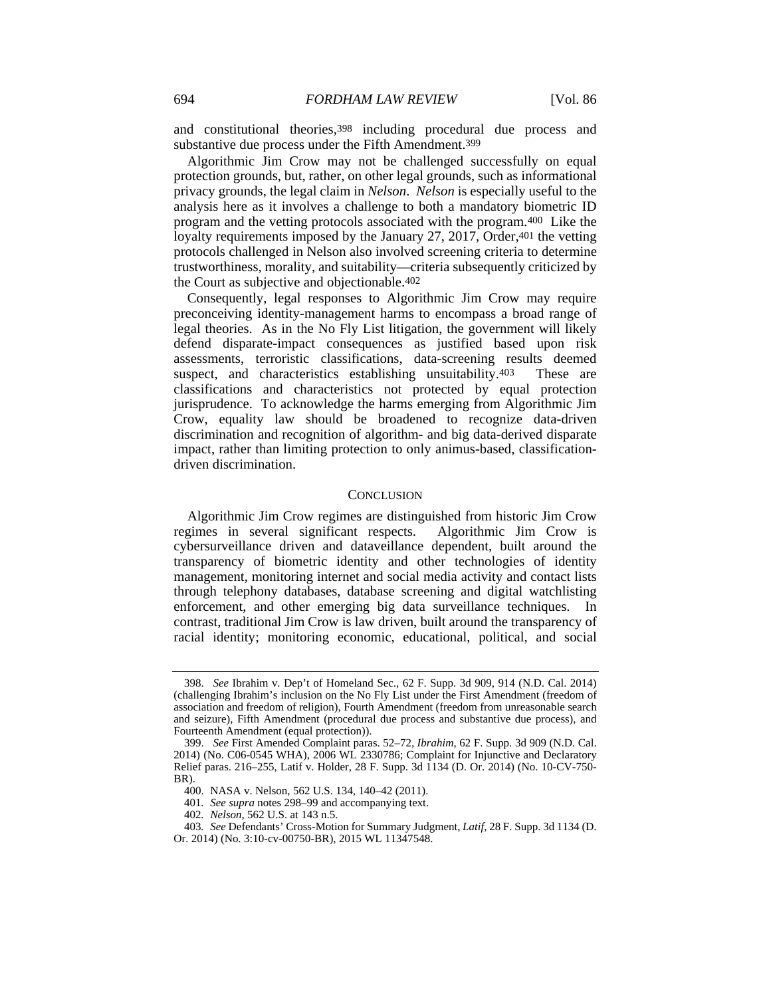and constitutional theories,398 including procedural due process and substantive due process under the Fifth Amendment.399

Algorithmic Jim Crow may not be challenged successfully on equal protection grounds, but, rather, on other legal grounds, such as informational privacy grounds, the legal claim in *Nelson*. *Nelson* is especially useful to the analysis here as it involves a challenge to both a mandatory biometric ID program and the vetting protocols associated with the program.400 Like the loyalty requirements imposed by the January 27, 2017, Order, 401 the vetting protocols challenged in Nelson also involved screening criteria to determine trustworthiness, morality, and suitability—criteria subsequently criticized by the Court as subjective and objectionable.402

Consequently, legal responses to Algorithmic Jim Crow may require preconceiving identity-management harms to encompass a broad range of legal theories. As in the No Fly List litigation, the government will likely defend disparate-impact consequences as justified based upon risk assessments, terroristic classifications, data-screening results deemed suspect, and characteristics establishing unsuitability.<sup>403</sup> These are classifications and characteristics not protected by equal protection jurisprudence. To acknowledge the harms emerging from Algorithmic Jim Crow, equality law should be broadened to recognize data-driven discrimination and recognition of algorithm- and big data-derived disparate impact, rather than limiting protection to only animus-based, classificationdriven discrimination.

#### **CONCLUSION**

Algorithmic Jim Crow regimes are distinguished from historic Jim Crow regimes in several significant respects. Algorithmic Jim Crow is cybersurveillance driven and dataveillance dependent, built around the transparency of biometric identity and other technologies of identity management, monitoring internet and social media activity and contact lists through telephony databases, database screening and digital watchlisting enforcement, and other emerging big data surveillance techniques. In contrast, traditional Jim Crow is law driven, built around the transparency of racial identity; monitoring economic, educational, political, and social

 <sup>398.</sup> *See* Ibrahim v. Dep't of Homeland Sec., 62 F. Supp. 3d 909, 914 (N.D. Cal. 2014) (challenging Ibrahim's inclusion on the No Fly List under the First Amendment (freedom of association and freedom of religion), Fourth Amendment (freedom from unreasonable search and seizure), Fifth Amendment (procedural due process and substantive due process), and Fourteenth Amendment (equal protection)).

 <sup>399.</sup> *See* First Amended Complaint paras. 52–72, *Ibrahim*, 62 F. Supp. 3d 909 (N.D. Cal. 2014) (No. C06-0545 WHA), 2006 WL 2330786; Complaint for Injunctive and Declaratory Relief paras. 216–255, Latif v. Holder, 28 F. Supp. 3d 1134 (D. Or. 2014) (No. 10-CV-750- BR).

 <sup>400.</sup> NASA v. Nelson, 562 U.S. 134, 140–42 (2011).

<sup>401</sup>*. See supra* notes 298–99 and accompanying text.

<sup>402</sup>*. Nelson*, 562 U.S. at 143 n.5.

<sup>403</sup>*. See* Defendants' Cross-Motion for Summary Judgment, *Latif*, 28 F. Supp. 3d 1134 (D. Or. 2014) (No. 3:10-cv-00750-BR), 2015 WL 11347548.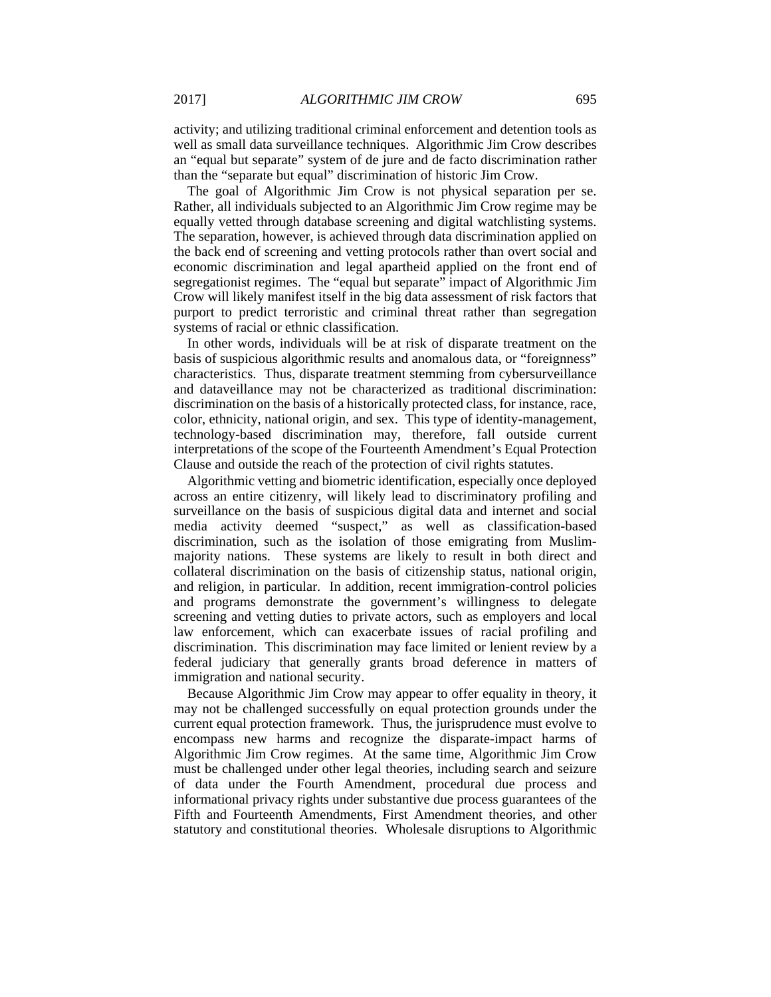activity; and utilizing traditional criminal enforcement and detention tools as well as small data surveillance techniques. Algorithmic Jim Crow describes an "equal but separate" system of de jure and de facto discrimination rather than the "separate but equal" discrimination of historic Jim Crow.

The goal of Algorithmic Jim Crow is not physical separation per se. Rather, all individuals subjected to an Algorithmic Jim Crow regime may be equally vetted through database screening and digital watchlisting systems. The separation, however, is achieved through data discrimination applied on the back end of screening and vetting protocols rather than overt social and economic discrimination and legal apartheid applied on the front end of segregationist regimes. The "equal but separate" impact of Algorithmic Jim Crow will likely manifest itself in the big data assessment of risk factors that purport to predict terroristic and criminal threat rather than segregation systems of racial or ethnic classification.

In other words, individuals will be at risk of disparate treatment on the basis of suspicious algorithmic results and anomalous data, or "foreignness" characteristics. Thus, disparate treatment stemming from cybersurveillance and dataveillance may not be characterized as traditional discrimination: discrimination on the basis of a historically protected class, for instance, race, color, ethnicity, national origin, and sex. This type of identity-management, technology-based discrimination may, therefore, fall outside current interpretations of the scope of the Fourteenth Amendment's Equal Protection Clause and outside the reach of the protection of civil rights statutes.

Algorithmic vetting and biometric identification, especially once deployed across an entire citizenry, will likely lead to discriminatory profiling and surveillance on the basis of suspicious digital data and internet and social media activity deemed "suspect," as well as classification-based discrimination, such as the isolation of those emigrating from Muslimmajority nations. These systems are likely to result in both direct and collateral discrimination on the basis of citizenship status, national origin, and religion, in particular. In addition, recent immigration-control policies and programs demonstrate the government's willingness to delegate screening and vetting duties to private actors, such as employers and local law enforcement, which can exacerbate issues of racial profiling and discrimination. This discrimination may face limited or lenient review by a federal judiciary that generally grants broad deference in matters of immigration and national security.

Because Algorithmic Jim Crow may appear to offer equality in theory, it may not be challenged successfully on equal protection grounds under the current equal protection framework. Thus, the jurisprudence must evolve to encompass new harms and recognize the disparate-impact harms of Algorithmic Jim Crow regimes. At the same time, Algorithmic Jim Crow must be challenged under other legal theories, including search and seizure of data under the Fourth Amendment, procedural due process and informational privacy rights under substantive due process guarantees of the Fifth and Fourteenth Amendments, First Amendment theories, and other statutory and constitutional theories. Wholesale disruptions to Algorithmic